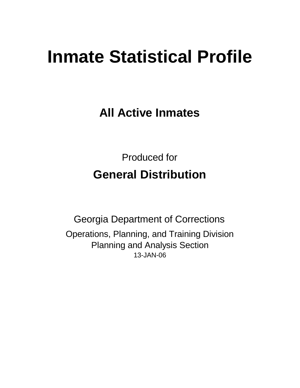# **Inmate Statistical Profile**

**All Active Inmates**

Produced for **General Distribution**

13-JAN-06 Georgia Department of Corrections Operations, Planning, and Training Division Planning and Analysis Section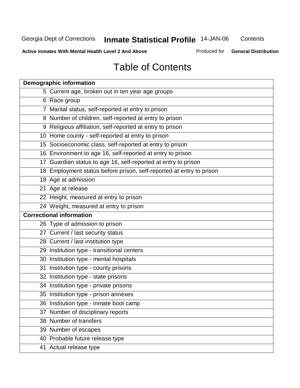**Contents** 

**Active Inmates With Mental Health Level 2 And Above**

Produced for **General Distribution**

# Table of Contents

| <b>Demographic information</b>                                       |
|----------------------------------------------------------------------|
| 5 Current age, broken out in ten year age groups                     |
| 6 Race group                                                         |
| 7 Marital status, self-reported at entry to prison                   |
| 8 Number of children, self-reported at entry to prison               |
| 9 Religious affiliation, self-reported at entry to prison            |
| 10 Home county - self-reported at entry to prison                    |
| 15 Socioeconomic class, self-reported at entry to prison             |
| 16 Environment to age 16, self-reported at entry to prison           |
| 17 Guardian status to age 16, self-reported at entry to prison       |
| 18 Employment status before prison, self-reported at entry to prison |
| 19 Age at admission                                                  |
| 21 Age at release                                                    |
| 22 Height, measured at entry to prison                               |
| 24 Weight, measured at entry to prison                               |
| <b>Correctional information</b>                                      |
| 26 Type of admission to prison                                       |
| 27 Current / last security status                                    |
| 28 Current / last institution type                                   |
| 29 Institution type - transitional centers                           |
| 30 Institution type - mental hospitals                               |
| 31 Institution type - county prisons                                 |
| 32 Institution type - state prisons                                  |
| 34 Institution type - private prisons                                |
| 35 Institution type - prison annexes                                 |
| 36 Institution type - inmate boot camp                               |
| 37 Number of disciplinary reports                                    |
| 38 Number of transfers                                               |
| 39 Number of escapes                                                 |
| 40 Probable future release type                                      |
| 41 Actual release type                                               |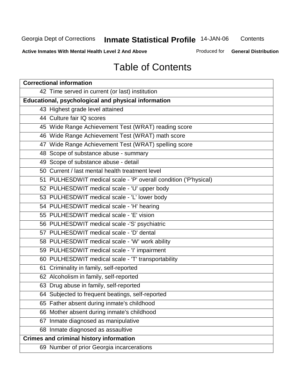**Contents** 

**Active Inmates With Mental Health Level 2 And Above**

Produced for **General Distribution**

# Table of Contents

| <b>Correctional information</b>                                  |
|------------------------------------------------------------------|
| 42 Time served in current (or last) institution                  |
| Educational, psychological and physical information              |
| 43 Highest grade level attained                                  |
| 44 Culture fair IQ scores                                        |
| 45 Wide Range Achievement Test (WRAT) reading score              |
| 46 Wide Range Achievement Test (WRAT) math score                 |
| 47 Wide Range Achievement Test (WRAT) spelling score             |
| 48 Scope of substance abuse - summary                            |
| 49 Scope of substance abuse - detail                             |
| 50 Current / last mental health treatment level                  |
| 51 PULHESDWIT medical scale - 'P' overall condition ('P'hysical) |
| 52 PULHESDWIT medical scale - 'U' upper body                     |
| 53 PULHESDWIT medical scale - 'L' lower body                     |
| 54 PULHESDWIT medical scale - 'H' hearing                        |
| 55 PULHESDWIT medical scale - 'E' vision                         |
| 56 PULHESDWIT medical scale -'S' psychiatric                     |
| 57 PULHESDWIT medical scale - 'D' dental                         |
| 58 PULHESDWIT medical scale - 'W' work ability                   |
| 59 PULHESDWIT medical scale - 'I' impairment                     |
| 60 PULHESDWIT medical scale - 'T' transportability               |
| 61 Criminality in family, self-reported                          |
| 62 Alcoholism in family, self-reported                           |
| 63 Drug abuse in family, self-reported                           |
| 64 Subjected to frequent beatings, self-reported                 |
| 65 Father absent during inmate's childhood                       |
| 66 Mother absent during inmate's childhood                       |
| 67 Inmate diagnosed as manipulative                              |
| 68 Inmate diagnosed as assaultive                                |
| <b>Crimes and criminal history information</b>                   |
| 69 Number of prior Georgia incarcerations                        |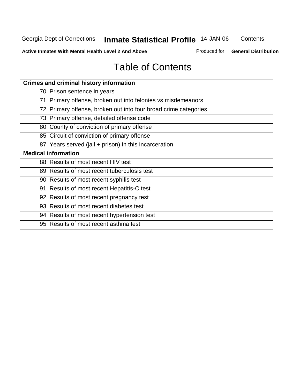Georgia Dept of Corrections **Inmate Statistical Profile** 14-JAN-06 **Contents** 

**Active Inmates With Mental Health Level 2 And Above**

Produced for **General Distribution**

# Table of Contents

| <b>Crimes and criminal history information</b>                  |
|-----------------------------------------------------------------|
| 70 Prison sentence in years                                     |
| 71 Primary offense, broken out into felonies vs misdemeanors    |
| 72 Primary offense, broken out into four broad crime categories |
| 73 Primary offense, detailed offense code                       |
| 80 County of conviction of primary offense                      |
| 85 Circuit of conviction of primary offense                     |
| 87 Years served (jail + prison) in this incarceration           |
| <b>Medical information</b>                                      |
| 88 Results of most recent HIV test                              |
| 89 Results of most recent tuberculosis test                     |
| 90 Results of most recent syphilis test                         |
| 91 Results of most recent Hepatitis-C test                      |
| 92 Results of most recent pregnancy test                        |
| 93 Results of most recent diabetes test                         |
| 94 Results of most recent hypertension test                     |
| 95 Results of most recent asthma test                           |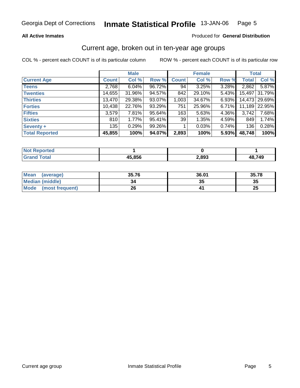#### **All Active Inmates**

#### Produced for **General Distribution**

#### Current age, broken out in ten-year age groups

|                       |              | <b>Male</b> |        |              | <b>Female</b> |       | <b>Total</b> |               |
|-----------------------|--------------|-------------|--------|--------------|---------------|-------|--------------|---------------|
| <b>Current Age</b>    | <b>Count</b> | Col %       | Row %  | <b>Count</b> | Col %         | Row % | <b>Total</b> | Col %         |
| <b>Teens</b>          | 2,768        | 6.04%       | 96.72% | 94           | 3.25%         | 3.28% | 2,862        | 5.87%         |
| <b>Twenties</b>       | 14,655       | 31.96%      | 94.57% | 842          | 29.10%        | 5.43% | 15,497       | 31.79%        |
| <b>Thirties</b>       | 13,470       | 29.38%      | 93.07% | 1,003        | 34.67%        | 6.93% |              | 14,473 29.69% |
| <b>Forties</b>        | 10,438       | 22.76%      | 93.29% | 751          | 25.96%        | 6.71% | 11,189       | 22.95%        |
| <b>Fifties</b>        | 3,579        | 7.81%       | 95.64% | 163          | 5.63%         | 4.36% | 3,742        | 7.68%         |
| <b>Sixties</b>        | 810          | 1.77%       | 95.41% | 39           | 1.35%         | 4.59% | 849          | 1.74%         |
| Seventy +             | 135          | 0.29%       | 99.26% |              | 0.03%         | 0.74% | 136          | 0.28%         |
| <b>Total Reported</b> | 45,855       | 100%        | 94.07% | 2,893        | 100%          | 5.93% | 48,748       | 100%          |

| <b>Not Reported</b> |        |       |        |
|---------------------|--------|-------|--------|
|                     | 45.856 | 2,893 | 48,749 |

| <b>Mean</b><br>(average) | 35.76 | 36.01   | 35.78    |
|--------------------------|-------|---------|----------|
| Median (middle)          | 34    | ^^<br>w | 35       |
| Mode<br>(most frequent)  | 26    |         | つに<br>ZJ |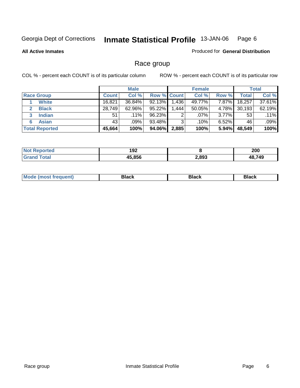**All Active Inmates**

#### Produced for **General Distribution**

# Race group

|                       |              | <b>Male</b> |                    |        | <b>Female</b> |          |        | <b>Total</b> |
|-----------------------|--------------|-------------|--------------------|--------|---------------|----------|--------|--------------|
| <b>Race Group</b>     | <b>Count</b> | Col %       | <b>Row % Count</b> |        | Col %         | Row %    | Total  | Col %        |
| <b>White</b>          | 16,821       | 36.84%      | 92.13%             | ا 436. | 49.77%        | $7.87\%$ | 18,257 | 37.61%       |
| <b>Black</b>          | 28,749       | 62.96%      | 95.22%             | .444   | 50.05%        | 4.78%    | 30,193 | 62.19%       |
| <b>Indian</b>         | 51           | $.11\%$     | 96.23%             | 2      | $.07\%$       | 3.77%    | 53     | .11%         |
| <b>Asian</b><br>6     | 43           | .09%        | 93.48%             | 3      | .10%          | $6.52\%$ | 46     | .09%         |
| <b>Total Reported</b> | 45,664       | 100%        | 94.06%             | 2,885  | 100%          | 5.94%    | 48,549 | 100%         |

| rted - | 192<br>___ |       | 200    |
|--------|------------|-------|--------|
| int    | 45.856     | 2,893 | 48.749 |

| 70001 | M.<br><b>Black</b><br>Rlack<br>. <b>.</b><br>∍ıacı |
|-------|----------------------------------------------------|
|-------|----------------------------------------------------|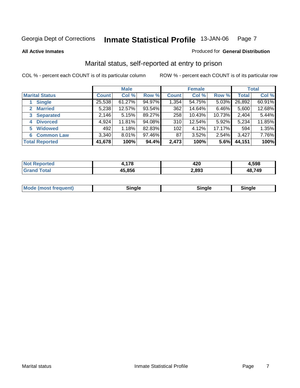**All Active Inmates**

#### Produced for **General Distribution**

# Marital status, self-reported at entry to prison

|                                    |              | <b>Male</b> |        |              | <b>Female</b> |         |              | <b>Total</b> |
|------------------------------------|--------------|-------------|--------|--------------|---------------|---------|--------------|--------------|
| <b>Marital Status</b>              | <b>Count</b> | Col %       | Row %  | <b>Count</b> | Col %         | Row %   | <b>Total</b> | Col %        |
| <b>Single</b>                      | 25,538       | $61.27\%$   | 94.97% | 1,354        | 54.75%        | 5.03%   | 26,892       | 60.91%       |
| <b>Married</b><br>$\mathbf{2}$     | 5,238        | 12.57%      | 93.54% | 362          | 14.64%        | 6.46%   | 5,600        | 12.68%       |
| <b>Separated</b><br>3 <sup>1</sup> | 2,146        | 5.15%       | 89.27% | 258          | 10.43%        | 10.73%  | 2,404        | 5.44%        |
| <b>Divorced</b><br>4               | 4,924        | 11.81%      | 94.08% | 310          | 12.54%        | 5.92%   | 5,234        | 11.85%       |
| <b>Widowed</b><br>5                | 492          | 1.18%       | 82.83% | 102          | 4.12%         | 17.17%  | 594          | 1.35%        |
| <b>Common Law</b><br>6.            | 3,340        | 8.01%       | 97.46% | 87           | 3.52%         | 2.54%   | 3,427        | 7.76%        |
| <b>Total Reported</b>              | 41,678       | 100%        | 94.4%  | 2,473        | 100%          | $5.6\%$ | 44,151       | 100%         |

| rted<br>NG | 470           | 420   | 598.ا  |
|------------|---------------|-------|--------|
|            | 15.856<br>,,, | 2,893 | 48.749 |

|  | Mo<br>duent)<br>וחבז<br><b>THOST II</b> | `inale |  | ∵nale<br>_____ |
|--|-----------------------------------------|--------|--|----------------|
|--|-----------------------------------------|--------|--|----------------|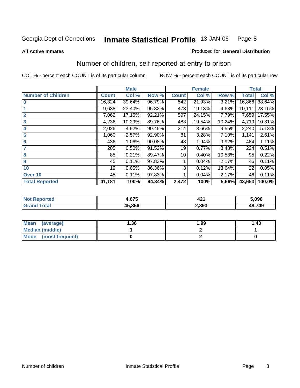**All Active Inmates**

#### Produced for **General Distribution**

# Number of children, self reported at entry to prison

|                           | <b>Male</b>  |        |        | <b>Female</b> |        |          | <b>Total</b> |        |
|---------------------------|--------------|--------|--------|---------------|--------|----------|--------------|--------|
| <b>Number of Children</b> | <b>Count</b> | Col %  | Row %  | <b>Count</b>  | Col %  | Row %    | <b>Total</b> | Col %  |
| $\bf{0}$                  | 16,324       | 39.64% | 96.79% | 542           | 21.93% | 3.21%    | 16,866       | 38.64% |
|                           | 9,638        | 23.40% | 95.32% | 473           | 19.13% | 4.68%    | 10,111       | 23.16% |
| $\overline{2}$            | 7,062        | 17.15% | 92.21% | 597           | 24.15% | 7.79%    | 7,659        | 17.55% |
| $\overline{\mathbf{3}}$   | 4,236        | 10.29% | 89.76% | 483           | 19.54% | 10.24%   | 4,719        | 10.81% |
| $\overline{\mathbf{4}}$   | 2,026        | 4.92%  | 90.45% | 214           | 8.66%  | 9.55%    | 2,240        | 5.13%  |
| 5                         | 1,060        | 2.57%  | 92.90% | 81            | 3.28%  | 7.10%    | 1,141        | 2.61%  |
| $6\phantom{a}6$           | 436          | 1.06%  | 90.08% | 48            | 1.94%  | $9.92\%$ | 484          | 1.11%  |
| 7                         | 205          | 0.50%  | 91.52% | 19            | 0.77%  | 8.48%    | 224          | 0.51%  |
| 8                         | 85           | 0.21%  | 89.47% | 10            | 0.40%  | 10.53%   | 95           | 0.22%  |
| 9                         | 45           | 0.11%  | 97.83% |               | 0.04%  | 2.17%    | 46           | 0.11%  |
| 10                        | 19           | 0.05%  | 86.36% | 3             | 0.12%  | 13.64%   | 22           | 0.05%  |
| Over 10                   | 45           | 0.11%  | 97.83% |               | 0.04%  | 2.17%    | 46           | 0.11%  |
| <b>Total Reported</b>     | 41,181       | 100%   | 94.34% | 2,472         | 100%   | 5.66%    | 43,653       | 100.0% |

| тес. | $\sim$<br>, .<br>1.07J | 104<br>44 L | 5.096       |
|------|------------------------|-------------|-------------|
|      | 15 856                 | 2,893       | .749<br>ΛЯ. |

| <b>Mean</b><br>(average) | 1.36 | 1.99 | 1.40 |
|--------------------------|------|------|------|
| <b>Median (middle)</b>   |      |      |      |
| Mode (most frequent)     |      |      |      |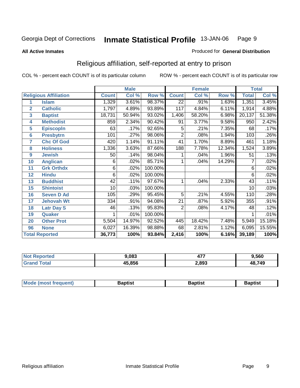#### **All Active Inmates**

#### Produced for **General Distribution**

# Religious affiliation, self-reported at entry to prison

|                  |                              | <b>Male</b>  |        |         |                 | <b>Female</b> |        | <b>Total</b> |        |
|------------------|------------------------------|--------------|--------|---------|-----------------|---------------|--------|--------------|--------|
|                  | <b>Religious Affiliation</b> | <b>Count</b> | Col %  | Row %   | <b>Count</b>    | Col %         | Row %  | <b>Total</b> | Col %  |
| 1                | <b>Islam</b>                 | 1,329        | 3.61%  | 98.37%  | $\overline{22}$ | .91%          | 1.63%  | 1,351        | 3.45%  |
| $\overline{2}$   | <b>Catholic</b>              | 1,797        | 4.89%  | 93.89%  | 117             | 4.84%         | 6.11%  | 1,914        | 4.88%  |
| 3                | <b>Baptist</b>               | 18,731       | 50.94% | 93.02%  | 1,406           | 58.20%        | 6.98%  | 20,137       | 51.38% |
| 4                | <b>Methodist</b>             | 859          | 2.34%  | 90.42%  | 91              | 3.77%         | 9.58%  | 950          | 2.42%  |
| 5                | <b>EpiscopIn</b>             | 63           | .17%   | 92.65%  | 5               | .21%          | 7.35%  | 68           | .17%   |
| $6\phantom{1}6$  | <b>Presbytrn</b>             | 101          | .27%   | 98.06%  | $\overline{2}$  | .08%          | 1.94%  | 103          | .26%   |
| 7                | <b>Chc Of God</b>            | 420          | 1.14%  | 91.11%  | 41              | 1.70%         | 8.89%  | 461          | 1.18%  |
| 8                | <b>Holiness</b>              | 1,336        | 3.63%  | 87.66%  | 188             | 7.78%         | 12.34% | 1,524        | 3.89%  |
| $\boldsymbol{9}$ | <b>Jewish</b>                | 50           | .14%   | 98.04%  |                 | .04%          | 1.96%  | 51           | .13%   |
| 10               | <b>Anglican</b>              | 6            | .02%   | 85.71%  |                 | .04%          | 14.29% | 7            | .02%   |
| 11               | <b>Grk Orthdx</b>            | 6            | .02%   | 100.00% |                 |               |        | 6            | .02%   |
| 12               | <b>Hindu</b>                 | 6            | .02%   | 100.00% |                 |               |        | 6            | .02%   |
| 13               | <b>Buddhist</b>              | 42           | .11%   | 97.67%  | 1               | .04%          | 2.33%  | 43           | .11%   |
| 15               | <b>Shintoist</b>             | 10           | .03%   | 100.00% |                 |               |        | 10           | .03%   |
| 16               | <b>Seven D Ad</b>            | 105          | .29%   | 95.45%  | 5               | .21%          | 4.55%  | 110          | .28%   |
| 17               | <b>Jehovah Wt</b>            | 334          | .91%   | 94.08%  | 21              | .87%          | 5.92%  | 355          | .91%   |
| 18               | <b>Latr Day S</b>            | 46           | .13%   | 95.83%  | 2               | .08%          | 4.17%  | 48           | .12%   |
| 19               | Quaker                       |              | .01%   | 100.00% |                 |               |        |              | .01%   |
| 20               | <b>Other Prot</b>            | 5,504        | 14.97% | 92.52%  | 445             | 18.42%        | 7.48%  | 5,949        | 15.18% |
| 96               | <b>None</b>                  | 6,027        | 16.39% | 98.88%  | 68              | 2.81%         | 1.12%  | 6,095        | 15.55% |
|                  | <b>Total Reported</b>        | 36,773       | 100%   | 93.84%  | 2,416           | 100%          | 6.16%  | 39,189       | 100%   |

| N | 3.083         | $- -$ | 9,560  |
|---|---------------|-------|--------|
|   | 45,856<br>л н | 2,893 | 48,749 |

| Mode (mo<br>ost freauent) | 3aptist | Baptist | 3aptist |
|---------------------------|---------|---------|---------|
|                           |         |         |         |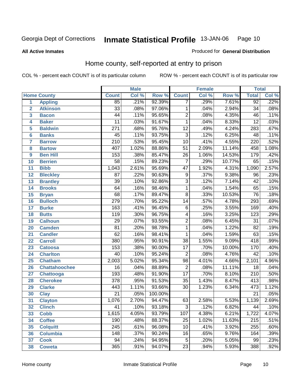Produced for **General Distribution**

#### **All Active Inmates**

# Home county, self-reported at entry to prison

|                 |                      | <b>Male</b>      |       |         | <b>Female</b>    |       |        | <b>Total</b>     |       |
|-----------------|----------------------|------------------|-------|---------|------------------|-------|--------|------------------|-------|
|                 | <b>Home County</b>   | <b>Count</b>     | Col % | Row %   | <b>Count</b>     | Col % | Row %  | <b>Total</b>     | Col % |
| 1               | <b>Appling</b>       | 85               | .21%  | 92.39%  | 7                | .29%  | 7.61%  | 92               | .22%  |
| $\overline{2}$  | <b>Atkinson</b>      | $\overline{33}$  | .08%  | 97.06%  | 1                | .04%  | 2.94%  | $\overline{34}$  | .08%  |
| 3               | <b>Bacon</b>         | $\overline{44}$  | .11%  | 95.65%  | $\overline{2}$   | .08%  | 4.35%  | $\overline{46}$  | .11%  |
| 4               | <b>Baker</b>         | $\overline{11}$  | .03%  | 91.67%  | $\mathbf{1}$     | .04%  | 8.33%  | $\overline{12}$  | .03%  |
| 5               | <b>Baldwin</b>       | $\overline{271}$ | .68%  | 95.76%  | $\overline{12}$  | .49%  | 4.24%  | 283              | .67%  |
| $6\phantom{a}$  | <b>Banks</b>         | 45               | .11%  | 93.75%  | $\overline{3}$   | .12%  | 6.25%  | $\overline{48}$  | .11%  |
| $\overline{7}$  | <b>Barrow</b>        | $\overline{210}$ | .53%  | 95.45%  | $\overline{10}$  | .41%  | 4.55%  | $\overline{220}$ | .52%  |
| 8               | <b>Bartow</b>        | 407              | 1.02% | 88.86%  | $\overline{51}$  | 2.09% | 11.14% | 458              | 1.08% |
| 9               | <b>Ben Hill</b>      | 153              | .38%  | 85.47%  | $\overline{26}$  | 1.06% | 14.53% | 179              | .42%  |
| 10              | <b>Berrien</b>       | $\overline{58}$  | .15%  | 89.23%  | 7                | .29%  | 10.77% | 65               | .15%  |
| 11              | <b>Bibb</b>          | 1,043            | 2.61% | 95.69%  | $\overline{47}$  | 1.92% | 4.31%  | 1,090            | 2.57% |
| 12              | <b>Bleckley</b>      | $\overline{87}$  | .22%  | 90.63%  | $\overline{9}$   | .37%  | 9.38%  | $\overline{96}$  | .23%  |
| 13              | <b>Brantley</b>      | $\overline{39}$  | .10%  | 92.86%  | $\overline{3}$   | .12%  | 7.14%  | $\overline{42}$  | .10%  |
| 14              | <b>Brooks</b>        | 64               | .16%  | 98.46%  | 1                | .04%  | 1.54%  | 65               | .15%  |
| 15              | <b>Bryan</b>         | $\overline{68}$  | .17%  | 89.47%  | $\overline{8}$   | .33%  | 10.53% | $\overline{76}$  | .18%  |
| 16              | <b>Bulloch</b>       | $\overline{279}$ | .70%  | 95.22%  | 14               | .57%  | 4.78%  | 293              | .69%  |
| $\overline{17}$ | <b>Burke</b>         | $\overline{163}$ | .41%  | 96.45%  | $\overline{6}$   | .25%  | 3.55%  | 169              | .40%  |
| 18              | <b>Butts</b>         | 119              | .30%  | 96.75%  | 4                | .16%  | 3.25%  | $\overline{123}$ | .29%  |
| 19              | <b>Calhoun</b>       | $\overline{29}$  | .07%  | 93.55%  | $\overline{2}$   | .08%  | 6.45%  | $\overline{31}$  | .07%  |
| 20              | <b>Camden</b>        | $\overline{81}$  | .20%  | 98.78%  | $\mathbf{1}$     | .04%  | 1.22%  | $\overline{82}$  | .19%  |
| $\overline{21}$ | <b>Candler</b>       | $\overline{62}$  | .16%  | 98.41%  | $\mathbf{1}$     | .04%  | 1.59%  | 63               | .15%  |
| $\overline{22}$ | <b>Carroll</b>       | 380              | .95%  | 90.91%  | $\overline{38}$  | 1.55% | 9.09%  | 418              | .99%  |
| 23              | <b>Catoosa</b>       | 153              | .38%  | 90.00%  | $\overline{17}$  | .70%  | 10.00% | 170              | .40%  |
| 24              | <b>Charlton</b>      | $\overline{40}$  | .10%  | 95.24%  | $\overline{2}$   | .08%  | 4.76%  | $\overline{42}$  | .10%  |
| 25              | <b>Chatham</b>       | 2,003            | 5.02% | 95.34%  | $\overline{98}$  | 4.01% | 4.66%  | 2,101            | 4.96% |
| 26              | <b>Chattahoochee</b> | $\overline{16}$  | .04%  | 88.89%  | $\overline{2}$   | .08%  | 11.11% | $\overline{18}$  | .04%  |
| 27              | Chattooga            | 193              | .48%  | 91.90%  | $\overline{17}$  | .70%  | 8.10%  | $\overline{210}$ | .50%  |
| 28              | <b>Cherokee</b>      | $\overline{378}$ | .95%  | 91.53%  | $\overline{35}$  | 1.43% | 8.47%  | 413              | .98%  |
| 29              | <b>Clarke</b>        | 443              | 1.11% | 93.66%  | $\overline{30}$  | 1.23% | 6.34%  | 473              | 1.12% |
| 30              | <b>Clay</b>          | $\overline{21}$  | .05%  | 100.00% |                  |       |        | $\overline{21}$  | .05%  |
| 31              | <b>Clayton</b>       | 1,076            | 2.70% | 94.47%  | 63               | 2.58% | 5.53%  | 1,139            | 2.69% |
| 32              | <b>Clinch</b>        | 41               | .10%  | 93.18%  | 3                | .12%  | 6.82%  | 44               | .10%  |
| 33              | <b>Cobb</b>          | 1,615            | 4.05% | 93.79%  | $\overline{107}$ | 4.38% | 6.21%  | 1,722            | 4.07% |
| 34              | <b>Coffee</b>        | 190              | .48%  | 88.37%  | $\overline{25}$  | 1.02% | 11.63% | $\overline{215}$ | .51%  |
| 35              | <b>Colquitt</b>      | $\overline{245}$ | .61%  | 96.08%  | 10               | .41%  | 3.92%  | 255              | .60%  |
| 36              | <b>Columbia</b>      | 148              | .37%  | 90.24%  | 16               | .65%  | 9.76%  | 164              | .39%  |
| 37              | <b>Cook</b>          | $\overline{94}$  | .24%  | 94.95%  | $\overline{5}$   | .20%  | 5.05%  | 99               | .23%  |
| 38              | <b>Coweta</b>        | 365              | .91%  | 94.07%  | $\overline{23}$  | .94%  | 5.93%  | 388              | .92%  |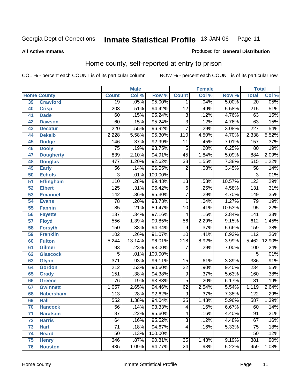#### **All Active Inmates**

#### Produced for **General Distribution**

# Home county, self-reported at entry to prison

|    |                    |                  | <b>Male</b> |         |                         | <b>Female</b> |        | <b>Total</b>     |        |
|----|--------------------|------------------|-------------|---------|-------------------------|---------------|--------|------------------|--------|
|    | <b>Home County</b> | <b>Count</b>     | Col %       | Row %   | <b>Count</b>            | Col %         | Row %  | <b>Total</b>     | Col %  |
| 39 | <b>Crawford</b>    | $\overline{19}$  | .05%        | 95.00%  | 1                       | .04%          | 5.00%  | $\overline{20}$  | .05%   |
| 40 | <b>Crisp</b>       | $\overline{203}$ | .51%        | 94.42%  | $\overline{12}$         | .49%          | 5.58%  | $\overline{215}$ | .51%   |
| 41 | <b>Dade</b>        | 60               | .15%        | 95.24%  | $\overline{3}$          | .12%          | 4.76%  | 63               | .15%   |
| 42 | <b>Dawson</b>      | 60               | .15%        | 95.24%  | $\overline{3}$          | .12%          | 4.76%  | 63               | .15%   |
| 43 | <b>Decatur</b>     | $\overline{220}$ | .55%        | 96.92%  | $\overline{7}$          | .29%          | 3.08%  | $\overline{227}$ | .54%   |
| 44 | <b>Dekalb</b>      | 2,228            | 5.58%       | 95.30%  | 110                     | 4.50%         | 4.70%  | 2,338            | 5.52%  |
| 45 | <b>Dodge</b>       | 146              | .37%        | 92.99%  | $\overline{11}$         | .45%          | 7.01%  | 157              | .37%   |
| 46 | <b>Dooly</b>       | $\overline{75}$  | .19%        | 93.75%  | $\overline{5}$          | .20%          | 6.25%  | 80               | .19%   |
| 47 | <b>Dougherty</b>   | 839              | 2.10%       | 94.91%  | 45                      | 1.84%         | 5.09%  | 884              | 2.09%  |
| 48 | <b>Douglas</b>     | 477              | 1.20%       | 92.62%  | $\overline{38}$         | 1.55%         | 7.38%  | 515              | 1.22%  |
| 49 | <b>Early</b>       | $\overline{56}$  | .14%        | 96.55%  | $\overline{2}$          | .08%          | 3.45%  | $\overline{58}$  | .14%   |
| 50 | <b>Echols</b>      | $\overline{3}$   | .01%        | 100.00% |                         |               |        | 3                | .01%   |
| 51 | <b>Effingham</b>   | 110              | .28%        | 89.43%  | $\overline{13}$         | .53%          | 10.57% | 123              | .29%   |
| 52 | <b>Elbert</b>      | $\overline{125}$ | .31%        | 95.42%  | $\overline{6}$          | .25%          | 4.58%  | 131              | .31%   |
| 53 | <b>Emanuel</b>     | $\overline{142}$ | .36%        | 95.30%  | $\overline{7}$          | .29%          | 4.70%  | $\overline{149}$ | .35%   |
| 54 | <b>Evans</b>       | $\overline{78}$  | .20%        | 98.73%  | 1                       | .04%          | 1.27%  | 79               | .19%   |
| 55 | <b>Fannin</b>      | 85               | .21%        | 89.47%  | $\overline{10}$         | .41%          | 10.53% | $\overline{95}$  | .22%   |
| 56 | <b>Fayette</b>     | 137              | .34%        | 97.16%  | 4                       | .16%          | 2.84%  | 141              | .33%   |
| 57 | <b>Floyd</b>       | 556              | 1.39%       | 90.85%  | $\overline{56}$         | 2.29%         | 9.15%  | 612              | 1.45%  |
| 58 | <b>Forsyth</b>     | 150              | .38%        | 94.34%  | 9                       | .37%          | 5.66%  | 159              | .38%   |
| 59 | <b>Franklin</b>    | 102              | .26%        | 91.07%  | $\overline{10}$         | .41%          | 8.93%  | $\overline{112}$ | .26%   |
| 60 | <b>Fulton</b>      | 5,244            | 13.14%      | 96.01%  | $\overline{218}$        | 8.92%         | 3.99%  | 5,462            | 12.90% |
| 61 | Gilmer             | 93               | .23%        | 93.00%  | 7                       | .29%          | 7.00%  | 100              | .24%   |
| 62 | <b>Glascock</b>    | 5                | .01%        | 100.00% |                         |               |        | 5                | .01%   |
| 63 | <b>Glynn</b>       | $\overline{371}$ | .93%        | 96.11%  | $\overline{15}$         | .61%          | 3.89%  | 386              | .91%   |
| 64 | <b>Gordon</b>      | $\overline{212}$ | .53%        | 90.60%  | $\overline{22}$         | .90%          | 9.40%  | 234              | .55%   |
| 65 | <b>Grady</b>       | 151              | .38%        | 94.38%  | 9                       | .37%          | 5.63%  | 160              | .38%   |
| 66 | <b>Greene</b>      | $\overline{76}$  | .19%        | 93.83%  | $\overline{5}$          | .20%          | 6.17%  | $\overline{81}$  | .19%   |
| 67 | <b>Gwinnett</b>    | 1,057            | 2.65%       | 94.46%  | 62                      | 2.54%         | 5.54%  | 1,119            | 2.64%  |
| 68 | <b>Habersham</b>   | 113              | .28%        | 92.62%  | $\overline{9}$          | .37%          | 7.38%  | 122              | .29%   |
| 69 | <b>Hall</b>        | 552              | 1.38%       | 94.04%  | $\overline{35}$         | 1.43%         | 5.96%  | 587              | 1.39%  |
| 70 | <b>Hancock</b>     | 56               | .14%        | 93.33%  | 4                       | .16%          | 6.67%  | 60               | .14%   |
| 71 | <b>Haralson</b>    | $\overline{87}$  | .22%        | 95.60%  | $\overline{\mathbf{4}}$ | .16%          | 4.40%  | $\overline{91}$  | .21%   |
| 72 | <b>Harris</b>      | 64               | .16%        | 95.52%  | $\overline{3}$          | .12%          | 4.48%  | 67               | .16%   |
| 73 | <b>Hart</b>        | $\overline{71}$  | .18%        | 94.67%  | $\overline{4}$          | .16%          | 5.33%  | $\overline{75}$  | .18%   |
| 74 | <b>Heard</b>       | $\overline{50}$  | .13%        | 100.00% |                         |               |        | 50               | .12%   |
| 75 | <b>Henry</b>       | $\overline{346}$ | .87%        | 90.81%  | $\overline{35}$         | 1.43%         | 9.19%  | 381              | .90%   |
| 76 | <b>Houston</b>     | 435              | 1.09%       | 94.77%  | $\overline{24}$         | .98%          | 5.23%  | 459              | 1.08%  |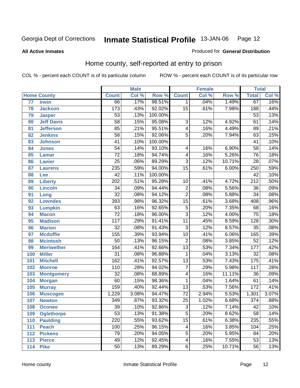Produced for **General Distribution**

#### **All Active Inmates**

# Home county, self-reported at entry to prison

|     |                    | <b>Male</b>      |       | Female  |                         |       | <b>Total</b> |                  |       |
|-----|--------------------|------------------|-------|---------|-------------------------|-------|--------------|------------------|-------|
|     | <b>Home County</b> | <b>Count</b>     | Col % | Row %   | <b>Count</b>            | Col % | Row %        | <b>Total</b>     | Col % |
| 77  | <b>Irwin</b>       | 66               | .17%  | 98.51%  | $\mathbf 1$             | .04%  | 1.49%        | 67               | .16%  |
| 78  | <b>Jackson</b>     | 173              | .43%  | 92.02%  | $\overline{15}$         | .61%  | 7.98%        | 188              | .44%  |
| 79  | <b>Jasper</b>      | $\overline{53}$  | .13%  | 100.00% |                         |       |              | $\overline{53}$  | .13%  |
| 80  | <b>Jeff Davis</b>  | $\overline{58}$  | .15%  | 95.08%  | $\overline{3}$          | .12%  | 4.92%        | 61               | .14%  |
| 81  | <b>Jefferson</b>   | $\overline{85}$  | .21%  | 95.51%  | $\overline{4}$          | .16%  | 4.49%        | $\overline{89}$  | .21%  |
| 82  | <b>Jenkins</b>     | $\overline{58}$  | .15%  | 92.06%  | $\overline{5}$          | .20%  | 7.94%        | $\overline{63}$  | .15%  |
| 83  | <b>Johnson</b>     | $\overline{41}$  | .10%  | 100.00% |                         |       |              | $\overline{41}$  | .10%  |
| 84  | <b>Jones</b>       | $\overline{54}$  | .14%  | 93.10%  | 4                       | .16%  | 6.90%        | $\overline{58}$  | .14%  |
| 85  | <b>Lamar</b>       | $\overline{72}$  | .18%  | 94.74%  | $\overline{4}$          | .16%  | 5.26%        | $\overline{76}$  | .18%  |
| 86  | <b>Lanier</b>      | $\overline{25}$  | .06%  | 89.29%  | $\overline{3}$          | .12%  | 10.71%       | $\overline{28}$  | .07%  |
| 87  | <b>Laurens</b>     | 235              | .59%  | 94.00%  | $\overline{15}$         | .61%  | 6.00%        | 250              | .59%  |
| 88  | Lee                | $\overline{42}$  | .11%  | 100.00% |                         |       |              | $\overline{42}$  | .10%  |
| 89  | <b>Liberty</b>     | $\overline{202}$ | .51%  | 95.28%  | $\overline{10}$         | .41%  | 4.72%        | $\overline{212}$ | .50%  |
| 90  | <b>Lincoln</b>     | $\overline{34}$  | .09%  | 94.44%  | $\overline{2}$          | .08%  | 5.56%        | $\overline{36}$  | .09%  |
| 91  | Long               | $\overline{32}$  | .08%  | 94.12%  | $\overline{2}$          | .08%  | 5.88%        | $\overline{34}$  | .08%  |
| 92  | <b>Lowndes</b>     | $\overline{393}$ | .98%  | 96.32%  | $\overline{15}$         | .61%  | 3.68%        | 408              | .96%  |
| 93  | <b>Lumpkin</b>     | $\overline{63}$  | .16%  | 92.65%  | $\overline{5}$          | .20%  | 7.35%        | $\overline{68}$  | .16%  |
| 94  | <b>Macon</b>       | $\overline{72}$  | .18%  | 96.00%  | $\overline{3}$          | .12%  | 4.00%        | $\overline{75}$  | .18%  |
| 95  | <b>Madison</b>     | $\overline{117}$ | .29%  | 91.41%  | $\overline{11}$         | .45%  | 8.59%        | 128              | .30%  |
| 96  | <b>Marion</b>      | $\overline{32}$  | .08%  | 91.43%  | $\overline{3}$          | .12%  | 8.57%        | $\overline{35}$  | .08%  |
| 97  | <b>Mcduffie</b>    | 155              | .39%  | 93.94%  | $\overline{10}$         | .41%  | 6.06%        | 165              | .39%  |
| 98  | <b>Mcintosh</b>    | $\overline{50}$  | .13%  | 96.15%  | $\overline{2}$          | .08%  | 3.85%        | $\overline{52}$  | .12%  |
| 99  | <b>Meriwether</b>  | 164              | .41%  | 92.66%  | $\overline{13}$         | .53%  | 7.34%        | $\overline{177}$ | .42%  |
| 100 | <b>Miller</b>      | $\overline{31}$  | .08%  | 96.88%  | $\mathbf{1}$            | .04%  | 3.13%        | $\overline{32}$  | .08%  |
| 101 | <b>Mitchell</b>    | 162              | .41%  | 92.57%  | $\overline{13}$         | .53%  | 7.43%        | 175              | .41%  |
| 102 | <b>Monroe</b>      | 110              | .28%  | 94.02%  | $\overline{7}$          | .29%  | 5.98%        | $\overline{117}$ | .28%  |
| 103 | <b>Montgomery</b>  | $\overline{32}$  | .08%  | 88.89%  | $\overline{\mathbf{4}}$ | .16%  | 11.11%       | $\overline{36}$  | .09%  |
| 104 | <b>Morgan</b>      | $\overline{60}$  | .15%  | 98.36%  | 1                       | .04%  | 1.64%        | $\overline{61}$  | .14%  |
| 105 | <b>Murray</b>      | $\overline{159}$ | .40%  | 92.44%  | $\overline{13}$         | .53%  | 7.56%        | $\overline{172}$ | .41%  |
| 106 | <b>Muscogee</b>    | 1,229            | 3.08% | 94.47%  | $\overline{72}$         | 2.94% | 5.53%        | 1,301            | 3.07% |
| 107 | <b>Newton</b>      | $\overline{349}$ | .87%  | 93.32%  | $\overline{25}$         | 1.02% | 6.68%        | $\overline{374}$ | .88%  |
| 108 | <b>Oconee</b>      | 39               | .10%  | 92.86%  | 3                       | .12%  | 7.14%        | 42               | .10%  |
| 109 | <b>Oglethorpe</b>  | $\overline{53}$  | .13%  | 91.38%  | $\overline{5}$          | .20%  | 8.62%        | $\overline{58}$  | .14%  |
| 110 | <b>Paulding</b>    | $\overline{220}$ | .55%  | 93.62%  | $\overline{15}$         | .61%  | 6.38%        | 235              | .55%  |
| 111 | <b>Peach</b>       | 100              | .25%  | 96.15%  | 4                       | .16%  | 3.85%        | 104              | .25%  |
| 112 | <b>Pickens</b>     | $\overline{79}$  | .20%  | 94.05%  | $\overline{5}$          | .20%  | 5.95%        | $\overline{84}$  | .20%  |
| 113 | <b>Pierce</b>      | 49               | .12%  | 92.45%  | $\overline{\mathbf{4}}$ | .16%  | 7.55%        | $\overline{53}$  | .13%  |
| 114 | <b>Pike</b>        | $\overline{50}$  | .13%  | 89.29%  | $\overline{6}$          | .25%  | 10.71%       | $\overline{56}$  | .13%  |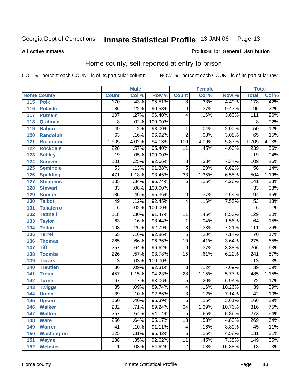Produced for **General Distribution**

#### **All Active Inmates**

# Home county, self-reported at entry to prison

|                  |                    | <b>Male</b>      |       |         | <b>Female</b>   |       |        | <b>Total</b>     |       |
|------------------|--------------------|------------------|-------|---------|-----------------|-------|--------|------------------|-------|
|                  | <b>Home County</b> | <b>Count</b>     | Col % | Row %   | <b>Count</b>    | Col % | Row %  | <b>Total</b>     | Col % |
| 115              | <b>Polk</b>        | 170              | .43%  | 95.51%  | $\overline{8}$  | .33%  | 4.49%  | 178              | .42%  |
| 116              | <b>Pulaski</b>     | $\overline{86}$  | .22%  | 90.53%  | $\overline{9}$  | .37%  | 9.47%  | $\overline{95}$  | .22%  |
| 117              | <b>Putnam</b>      | 107              | .27%  | 96.40%  | 4               | .16%  | 3.60%  | 111              | .26%  |
| 118              | Quitman            | $\overline{8}$   | .02%  | 100.00% |                 |       |        | $\overline{8}$   | .02%  |
| 119              | <b>Rabun</b>       | 49               | .12%  | 98.00%  | 1               | .04%  | 2.00%  | $\overline{50}$  | .12%  |
| 120              | <b>Randolph</b>    | 63               | .16%  | 96.92%  | $\overline{2}$  | .08%  | 3.08%  | 65               | .15%  |
| 121              | <b>Richmond</b>    | 1,605            | 4.02% | 94.13%  | 100             | 4.09% | 5.87%  | 1,705            | 4.03% |
| $\overline{122}$ | <b>Rockdale</b>    | 228              | .57%  | 95.40%  | $\overline{11}$ | .45%  | 4.60%  | 239              | .56%  |
| 123              | <b>Schley</b>      | $\overline{19}$  | .05%  | 100.00% |                 |       |        | $\overline{19}$  | .04%  |
| 124              | <b>Screven</b>     | 101              | .25%  | 92.66%  | 8               | .33%  | 7.34%  | 109              | .26%  |
| 125              | <b>Seminole</b>    | $\overline{53}$  | .13%  | 91.38%  | $\overline{5}$  | .20%  | 8.62%  | $\overline{58}$  | .14%  |
| 126              | <b>Spalding</b>    | 471              | 1.18% | 93.45%  | $\overline{33}$ | 1.35% | 6.55%  | 504              | 1.19% |
| 127              | <b>Stephens</b>    | $\overline{135}$ | .34%  | 95.74%  | $\overline{6}$  | .25%  | 4.26%  | $\overline{141}$ | .33%  |
| 128              | <b>Stewart</b>     | $\overline{33}$  | .08%  | 100.00% |                 |       |        | $\overline{33}$  | .08%  |
| 129              | <b>Sumter</b>      | 185              | .46%  | 95.36%  | 9               | .37%  | 4.64%  | 194              | .46%  |
| 130              | <b>Talbot</b>      | 49               | .12%  | 92.45%  | 4               | .16%  | 7.55%  | $\overline{53}$  | .13%  |
| 131              | <b>Taliaferro</b>  | $\overline{6}$   | .02%  | 100.00% |                 |       |        | $\overline{6}$   | .01%  |
| 132              | <b>Tattnall</b>    | 118              | .30%  | 91.47%  | 11              | .45%  | 8.53%  | $\overline{129}$ | .30%  |
| 133              | <b>Taylor</b>      | 63               | .16%  | 98.44%  | 1               | .04%  | 1.56%  | 64               | .15%  |
| 134              | <b>Telfair</b>     | 103              | .26%  | 92.79%  | $\overline{8}$  | .33%  | 7.21%  | 111              | .26%  |
| 135              | <b>Terrell</b>     | 65               | .16%  | 92.86%  | $\overline{5}$  | .20%  | 7.14%  | $\overline{70}$  | .17%  |
| 136              | <b>Thomas</b>      | $\overline{265}$ | .66%  | 96.36%  | $\overline{10}$ | .41%  | 3.64%  | $\overline{275}$ | .65%  |
| 137              | <b>Tift</b>        | $\overline{257}$ | .64%  | 96.62%  | $9\,$           | .37%  | 3.38%  | 266              | .63%  |
| 138              | <b>Toombs</b>      | $\overline{226}$ | .57%  | 93.78%  | $\overline{15}$ | .61%  | 6.22%  | $\overline{241}$ | .57%  |
| 139              | <b>Towns</b>       | $\overline{13}$  | .03%  | 100.00% |                 |       |        | $\overline{13}$  | .03%  |
| 140              | <b>Treutlen</b>    | $\overline{36}$  | .09%  | 92.31%  | $\overline{3}$  | .12%  | 7.69%  | $\overline{39}$  | .09%  |
| 141              | <b>Troup</b>       | 457              | 1.15% | 94.23%  | $\overline{28}$ | 1.15% | 5.77%  | 485              | 1.15% |
| 142              | <b>Turner</b>      | 67               | .17%  | 93.06%  | $\overline{5}$  | .20%  | 6.94%  | $\overline{72}$  | .17%  |
| 143              | <b>Twiggs</b>      | $\overline{35}$  | .09%  | 89.74%  | 4               | .16%  | 10.26% | $\overline{39}$  | .09%  |
| 144              | <b>Union</b>       | $\overline{39}$  | .10%  | 92.86%  | $\overline{3}$  | .12%  | 7.14%  | $\overline{42}$  | .10%  |
| 145              | <b>Upson</b>       | 160              | .40%  | 96.39%  | $\overline{6}$  | .25%  | 3.61%  | 166              | .39%  |
| 146              | <b>Walker</b>      | $\overline{282}$ | .71%  | 89.24%  | 34              | 1.39% | 10.76% | 316              | .75%  |
| 147              | <b>Walton</b>      | $\overline{257}$ | .64%  | 94.14%  | $\overline{16}$ | .65%  | 5.86%  | $\overline{273}$ | .64%  |
| 148              | <b>Ware</b>        | 256              | .64%  | 95.17%  | $\overline{13}$ | .53%  | 4.83%  | 269              | .64%  |
| 149              | <b>Warren</b>      | $\overline{41}$  | .10%  | 91.11%  | 4               | .16%  | 8.89%  | $\overline{45}$  | .11%  |
| 150              | <b>Washington</b>  | 125              | .31%  | 95.42%  | 6               | .25%  | 4.58%  | 131              | .31%  |
| 151              | <b>Wayne</b>       | $\overline{138}$ | .35%  | 92.62%  | $\overline{11}$ | .45%  | 7.38%  | 149              | .35%  |
| 152              | <b>Webster</b>     | 11               | .03%  | 84.62%  | $\overline{2}$  | .08%  | 15.38% | $\overline{13}$  | .03%  |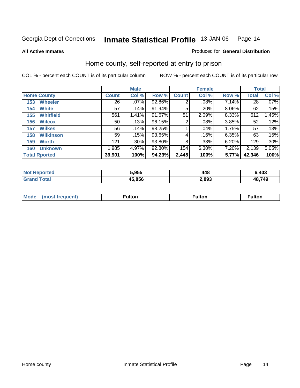Produced for **General Distribution**

#### **All Active Inmates**

# Home county, self-reported at entry to prison

|     |                      |              | <b>Male</b> |        |              | <b>Female</b> | <b>Total</b> |                 |         |
|-----|----------------------|--------------|-------------|--------|--------------|---------------|--------------|-----------------|---------|
|     | <b>Home County</b>   | <b>Count</b> | Col %       | Row %  | <b>Count</b> | Col %         | Row %        | <b>Total</b>    | Col %   |
| 153 | <b>Wheeler</b>       | 26           | .07%        | 92.86% | 2            | .08%          | 7.14%        | $\overline{28}$ | $.07\%$ |
| 154 | <b>White</b>         | 57           | .14%        | 91.94% | 5            | .20%          | 8.06%        | 62              | .15%    |
| 155 | <b>Whitfield</b>     | 561          | 1.41%       | 91.67% | 51           | 2.09%         | 8.33%        | 612             | 1.45%   |
| 156 | <b>Wilcox</b>        | 50           | .13%        | 96.15% | 2            | .08%          | 3.85%        | 52              | .12%    |
| 157 | <b>Wilkes</b>        | 56           | .14%        | 98.25% |              | .04%          | 1.75%        | 57              | .13%    |
| 158 | <b>Wilkinson</b>     | 59           | .15%        | 93.65% | 4            | .16%          | 6.35%        | 63              | .15%    |
| 159 | <b>Worth</b>         | 121          | .30%        | 93.80% | 8            | .33%          | 6.20%        | 129             | .30%    |
| 160 | <b>Unknown</b>       | 1,985        | 4.97%       | 92.80% | 154          | 6.30%         | 7.20%        | 2,139           | 5.05%   |
|     | <b>Total Rported</b> | 39,901       | 100%        | 94.23% | 2,445        | 100%          | 5.77%        | 42,346          | 100%    |

| orted<br>NO)        | 5,955  | 440   | 6,403  |
|---------------------|--------|-------|--------|
| <b>ota</b><br>. Gr' | 45.856 | 2,893 | 48.749 |

| <b>Mode</b><br>∙ulton<br><sup>∓</sup> ulton<br>'eauent<br>most | ∵ıltor. |
|----------------------------------------------------------------|---------|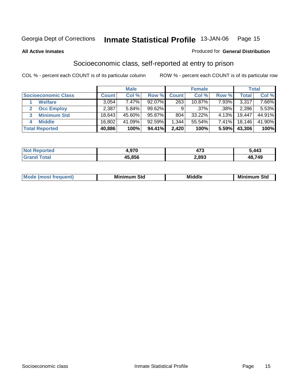#### **All Active Inmates**

#### Produced for **General Distribution**

# Socioeconomic class, self-reported at entry to prison

|                            |              | <b>Male</b> |        |                  | <b>Female</b> |       |        | <b>Total</b> |
|----------------------------|--------------|-------------|--------|------------------|---------------|-------|--------|--------------|
| <b>Socioeconomic Class</b> | <b>Count</b> | Col %       | Row %  | <b>Count</b>     | Col %         | Row % | Total  | Col %        |
| <b>Welfare</b>             | 3,054        | 7.47%       | 92.07% | $\overline{263}$ | 10.87%        | 7.93% | 3,317  | $7.66\%$     |
| <b>Occ Employ</b>          | 2,387        | 5.84%       | 99.62% | 9                | $.37\%$       | .38%  | 2,396  | $5.53\%$     |
| <b>Minimum Std</b>         | 18,643       | 45.60%      | 95.87% | 804              | 33.22%        | 4.13% | 19,447 | 44.91%       |
| <b>Middle</b><br>4         | 16,802       | 41.09%      | 92.59% | ,344             | 55.54%        | 7.41% | 18,146 | 41.90%       |
| <b>Total Reported</b>      | 40,886       | 100%        | 94.41% | 2,420            | 100%          | 5.59% | 43,306 | 100%         |

| าorted        | . 670<br>. . | ィフヘ<br>41 J | 5,443          |
|---------------|--------------|-------------|----------------|
| Total<br>Cror | 45.856       | 2,893       | 48,749<br>12 ° |

|  | $-$<br>IM 6 | Std<br>M. | . | Mil<br>84J<br>ວເບ<br>$   -$ |
|--|-------------|-----------|---|-----------------------------|
|--|-------------|-----------|---|-----------------------------|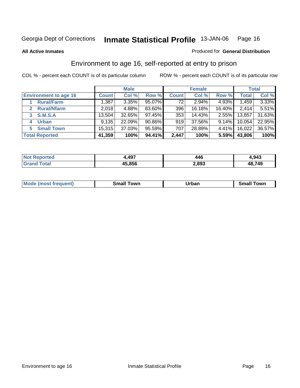**All Active Inmates**

#### Produced for **General Distribution**

# Environment to age 16, self-reported at entry to prison

|                              |              | <b>Male</b> |        |              | <b>Female</b> |        |        | <b>Total</b> |
|------------------------------|--------------|-------------|--------|--------------|---------------|--------|--------|--------------|
| <b>Environment to age 16</b> | <b>Count</b> | Col %       | Row %  | <b>Count</b> | Col %         | Row %  | Total  | Col %        |
| <b>Rural/Farm</b>            | 1,387        | 3.35%       | 95.07% | 72           | 2.94%         | 4.93%  | 1,459  | 3.33%        |
| <b>Rural/Nfarm</b>           | 2,018        | 4.88%       | 83.60% | 396          | 16.18%        | 16.40% | 2,414  | 5.51%        |
| <b>S.M.S.A</b><br>3          | 13,504       | 32.65%      | 97.45% | 353          | 14.43%        | 2.55%  | 13,857 | 31.63%       |
| <b>Urban</b><br>4            | 9,135        | 22.09%      | 90.86% | 919          | 37.56%        | 9.14%  | 10,054 | 22.95%       |
| <b>Small Town</b><br>5       | 15,315       | 37.03%      | 95.59% | 707          | 28.89%        | 4.41%  | 16,022 | 36.57%       |
| <b>Total Reported</b>        | 41,359       | 100%        | 94.41% | 2,447        | 100%          | 5.59%  | 43,806 | 100%         |

| <b>Not Reported</b> | 4,497  | 446   | 4,943  |
|---------------------|--------|-------|--------|
| <b>Grand Total</b>  | 45,856 | 2,893 | 48,749 |

| Mode (most frequent) | ----<br>Town<br>\mall<br>_____ | Jrban<br>____ | Towr<br>small |
|----------------------|--------------------------------|---------------|---------------|
|                      |                                |               |               |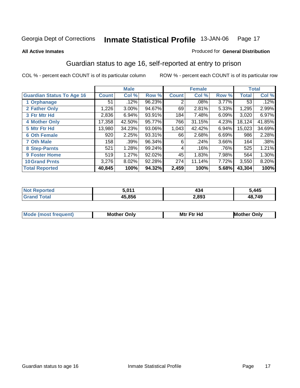#### **All Active Inmates**

#### Produced for **General Distribution**

# Guardian status to age 16, self-reported at entry to prison

|                                  |              | <b>Male</b> |        |              | <b>Female</b> |          |              | <b>Total</b> |
|----------------------------------|--------------|-------------|--------|--------------|---------------|----------|--------------|--------------|
| <b>Guardian Status To Age 16</b> | <b>Count</b> | Col %       | Row %  | <b>Count</b> | Col %         | Row %    | <b>Total</b> | Col %        |
| 1 Orphanage                      | 51           | .12%        | 96.23% | 2            | $.08\%$       | 3.77%    | 53           | .12%         |
| 2 Father Only                    | 1,226        | 3.00%       | 94.67% | 69           | 2.81%         | 5.33%    | 1,295        | 2.99%        |
| 3 Ftr Mtr Hd                     | 2,836        | 6.94%       | 93.91% | 184          | 7.48%         | 6.09%    | 3,020        | 6.97%        |
| <b>4 Mother Only</b>             | 17,358       | 42.50%      | 95.77% | 766          | 31.15%        | 4.23%    | 18,124       | 41.85%       |
| 5 Mtr Ftr Hd                     | 13,980       | 34.23%      | 93.06% | 1,043        | 42.42%        | 6.94%    | 15,023       | 34.69%       |
| <b>6 Oth Female</b>              | 920          | 2.25%       | 93.31% | 66           | 2.68%         | 6.69%    | 986          | 2.28%        |
| <b>7 Oth Male</b>                | 158          | .39%        | 96.34% | 6            | .24%          | $3.66\%$ | 164          | .38%         |
| 8 Step-Parnts                    | 521          | 1.28%       | 99.24% | 4            | .16%          | .76%     | 525          | 1.21%        |
| <b>9 Foster Home</b>             | 519          | 1.27%       | 92.02% | 45           | 1.83%         | 7.98%    | 564          | 1.30%        |
| <b>10 Grand Prnts</b>            | 3,276        | 8.02%       | 92.28% | 274          | 11.14%        | 7.72%    | 3,550        | 8.20%        |
| <b>Total Reported</b>            | 40,845       | 100%        | 94.32% | 2,459        | 100%          | 5.68%    | 43,304       | 100%         |

| <b>Not Reported</b> | 5,011  | 40.<br>434 | 5,445  |
|---------------------|--------|------------|--------|
| <b>Total</b>        | 45,856 | 2,893      | 48,749 |

| Mode (most | <b>Mother Only</b> | <b>Mtr Ftr Hd</b> | Only<br>Mother |
|------------|--------------------|-------------------|----------------|
|            |                    |                   |                |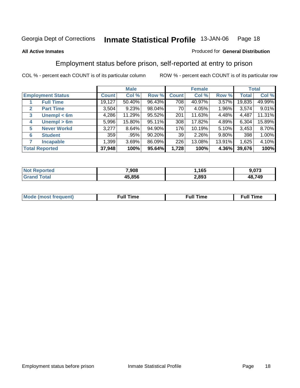#### **All Active Inmates**

#### Produced for **General Distribution**

# Employment status before prison, self-reported at entry to prison

|                                  |              | <b>Male</b> |        |              | <b>Female</b> |          |        | <b>Total</b> |
|----------------------------------|--------------|-------------|--------|--------------|---------------|----------|--------|--------------|
| <b>Employment Status</b>         | <b>Count</b> | Col %       | Row %  | <b>Count</b> | Col %         | Row %    | Total  | Col %        |
| <b>Full Time</b>                 | 19,127       | 50.40%      | 96.43% | 708          | 40.97%        | 3.57%    | 19,835 | 49.99%       |
| <b>Part Time</b><br>$\mathbf{2}$ | 3,504        | 9.23%       | 98.04% | 70           | 4.05%         | $1.96\%$ | 3,574  | 9.01%        |
| Unempl $<$ 6m<br>3               | 4,286        | 11.29%      | 95.52% | 201          | 11.63%        | 4.48%    | 4,487  | 11.31%       |
| Unempl > 6m<br>4                 | 5,996        | 15.80%      | 95.11% | 308          | 17.82%        | 4.89%    | 6,304  | 15.89%       |
| <b>Never Workd</b><br>5          | 3,277        | 8.64%       | 94.90% | 176          | 10.19%        | 5.10%    | 3,453  | 8.70%        |
| <b>Student</b><br>6              | 359          | .95%        | 90.20% | 39           | $2.26\%$      | 9.80%    | 398    | 1.00%        |
| <b>Incapable</b><br>7            | 1,399        | 3.69%       | 86.09% | 226          | 13.08%        | 13.91%   | 1,625  | 4.10%        |
| <b>Total Reported</b>            | 37,948       | 100%        | 95.64% | 1,728        | 100%          | 4.36%    | 39,676 | 100%         |

| тен<br>N | 7,908  | 165   | $\sim$<br>U 1 5 |
|----------|--------|-------|-----------------|
|          | 15.856 | 2.893 | 48,749          |

| Mο | 'un<br>.me<br>the contract of the contract of the contract of the contract of the contract of the contract of the contract of | the contract of the contract of the contract of the contract of the contract of the contract of the contract of | <b>Full Time</b> |
|----|-------------------------------------------------------------------------------------------------------------------------------|-----------------------------------------------------------------------------------------------------------------|------------------|
|    |                                                                                                                               |                                                                                                                 |                  |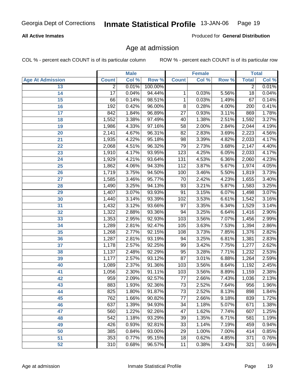#### **All Active Inmates**

Produced for **General Distribution**

# Age at admission

|                         |                | <b>Male</b> |         | <b>Female</b>   |       | <b>Total</b> |                |       |
|-------------------------|----------------|-------------|---------|-----------------|-------|--------------|----------------|-------|
| <b>Age At Admission</b> | <b>Count</b>   | Col %       | Row %   | <b>Count</b>    | Col % | Row %        | <b>Total</b>   | Col % |
| 13                      | $\overline{2}$ | 0.01%       | 100.00% |                 |       |              | $\overline{2}$ | 0.01% |
| 14                      | 17             | 0.04%       | 94.44%  | 1               | 0.03% | 5.56%        | 18             | 0.04% |
| 15                      | 66             | 0.14%       | 98.51%  | 1               | 0.03% | 1.49%        | 67             | 0.14% |
| 16                      | 192            | 0.42%       | 96.00%  | 8               | 0.28% | 4.00%        | 200            | 0.41% |
| $\overline{17}$         | 842            | 1.84%       | 96.89%  | $\overline{27}$ | 0.93% | 3.11%        | 869            | 1.78% |
| 18                      | 1,552          | 3.38%       | 97.49%  | 40              | 1.38% | 2.51%        | 1,592          | 3.27% |
| 19                      | 1,986          | 4.33%       | 97.16%  | $\overline{58}$ | 2.00% | 2.84%        | 2,044          | 4.19% |
| 20                      | 2,141          | 4.67%       | 96.31%  | 82              | 2.83% | 3.69%        | 2,223          | 4.56% |
| 21                      | 1,935          | 4.22%       | 95.18%  | $\overline{98}$ | 3.39% | 4.82%        | 2,033          | 4.17% |
| 22                      | 2,068          | 4.51%       | 96.32%  | 79              | 2.73% | 3.68%        | 2,147          | 4.40% |
| 23                      | 1,910          | 4.17%       | 93.95%  | 123             | 4.25% | 6.05%        | 2,033          | 4.17% |
| 24                      | 1,929          | 4.21%       | 93.64%  | 131             | 4.53% | 6.36%        | 2,060          | 4.23% |
| $\overline{25}$         | 1,862          | 4.06%       | 94.33%  | 112             | 3.87% | 5.67%        | 1,974          | 4.05% |
| 26                      | 1,719          | 3.75%       | 94.50%  | 100             | 3.46% | 5.50%        | 1,819          | 3.73% |
| 27                      | 1,585          | 3.46%       | 95.77%  | 70              | 2.42% | 4.23%        | 1,655          | 3.40% |
| 28                      | 1,490          | 3.25%       | 94.13%  | 93              | 3.21% | 5.87%        | 1,583          | 3.25% |
| 29                      | 1,407          | 3.07%       | 93.93%  | $\overline{91}$ | 3.15% | 6.07%        | 1,498          | 3.07% |
| 30                      | 1,440          | 3.14%       | 93.39%  | 102             | 3.53% | 6.61%        | 1,542          | 3.16% |
| 31                      | 1,432          | 3.12%       | 93.66%  | 97              | 3.35% | 6.34%        | 1,529          | 3.14% |
| 32                      | 1,322          | 2.88%       | 93.36%  | 94              | 3.25% | 6.64%        | 1,416          | 2.90% |
| 33                      | 1,353          | 2.95%       | 92.93%  | 103             | 3.56% | 7.07%        | 1,456          | 2.99% |
| 34                      | 1,289          | 2.81%       | 92.47%  | 105             | 3.63% | 7.53%        | 1,394          | 2.86% |
| 35                      | 1,268          | 2.77%       | 92.15%  | 108             | 3.73% | 7.85%        | 1,376          | 2.82% |
| 36                      | 1,287          | 2.81%       | 93.19%  | 94              | 3.25% | 6.81%        | 1,381          | 2.83% |
| 37                      | 1,178          | 2.57%       | 92.25%  | 99              | 3.42% | 7.75%        | 1,277          | 2.62% |
| 38                      | 1,137          | 2.48%       | 92.29%  | 95              | 3.28% | 7.71%        | 1,232          | 2.53% |
| 39                      | 1,177          | 2.57%       | 93.12%  | $\overline{87}$ | 3.01% | 6.88%        | 1,264          | 2.59% |
| 40                      | 1,089          | 2.37%       | 91.36%  | 103             | 3.56% | 8.64%        | 1,192          | 2.45% |
| 41                      | 1,056          | 2.30%       | 91.11%  | 103             | 3.56% | 8.89%        | 1,159          | 2.38% |
| 42                      | 959            | 2.09%       | 92.57%  | 77              | 2.66% | 7.43%        | 1,036          | 2.13% |
| 43                      | 883            | 1.93%       | 92.36%  | $\overline{73}$ | 2.52% | 7.64%        | 956            | 1.96% |
| 44                      | 825            | 1.80%       | 91.87%  | 73              | 2.52% | 8.13%        | 898            | 1.84% |
| 45                      | 762            | 1.66%       | 90.82%  | $\overline{77}$ | 2.66% | 9.18%        | 839            | 1.72% |
| 46                      | 637            | 1.39%       | 94.93%  | 34              | 1.18% | 5.07%        | 671            | 1.38% |
| 47                      | 560            | 1.22%       | 92.26%  | 47              | 1.62% | 7.74%        | 607            | 1.25% |
| 48                      | 542            | 1.18%       | 93.29%  | 39              | 1.35% | 6.71%        | 581            | 1.19% |
| 49                      | 426            | 0.93%       | 92.81%  | 33              | 1.14% | 7.19%        | 459            | 0.94% |
| 50                      | 385            | 0.84%       | 93.00%  | 29              | 1.00% | 7.00%        | 414            | 0.85% |
| 51                      | 353            | 0.77%       | 95.15%  | 18              | 0.62% | 4.85%        | 371            | 0.76% |
| 52                      | 310            | 0.68%       | 96.57%  | 11              | 0.38% | 3.43%        | 321            | 0.66% |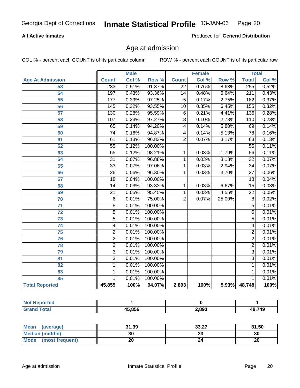#### **All Active Inmates**

Produced for **General Distribution**

# Age at admission

|                         | <b>Male</b>             |       | <b>Female</b> |                 |       | <b>Total</b> |                  |       |
|-------------------------|-------------------------|-------|---------------|-----------------|-------|--------------|------------------|-------|
| <b>Age At Admission</b> | <b>Count</b>            | Col % | Row %         | <b>Count</b>    | Col % | Row %        | <b>Total</b>     | Col % |
| 53                      | 233                     | 0.51% | 91.37%        | $\overline{22}$ | 0.76% | 8.63%        | 255              | 0.52% |
| 54                      | 197                     | 0.43% | 93.36%        | $\overline{14}$ | 0.48% | 6.64%        | $\overline{211}$ | 0.43% |
| $\overline{55}$         | 177                     | 0.39% | 97.25%        | $\overline{5}$  | 0.17% | 2.75%        | 182              | 0.37% |
| 56                      | 145                     | 0.32% | 93.55%        | $\overline{10}$ | 0.35% | 6.45%        | 155              | 0.32% |
| 57                      | $\overline{130}$        | 0.28% | 95.59%        | $\overline{6}$  | 0.21% | 4.41%        | 136              | 0.28% |
| 58                      | 107                     | 0.23% | 97.27%        | $\overline{3}$  | 0.10% | 2.73%        | 110              | 0.23% |
| 59                      | 65                      | 0.14% | 94.20%        | 4               | 0.14% | 5.80%        | 69               | 0.14% |
| 60                      | $\overline{74}$         | 0.16% | 94.87%        | 4               | 0.14% | 5.13%        | 78               | 0.16% |
| 61                      | 61                      | 0.13% | 96.83%        | $\overline{2}$  | 0.07% | 3.17%        | 63               | 0.13% |
| 62                      | $\overline{55}$         | 0.12% | 100.00%       |                 |       |              | $\overline{55}$  | 0.11% |
| 63                      | $\overline{55}$         | 0.12% | 98.21%        | 1               | 0.03% | 1.79%        | $\overline{56}$  | 0.11% |
| 64                      | $\overline{31}$         | 0.07% | 96.88%        | $\mathbf{1}$    | 0.03% | 3.13%        | $\overline{32}$  | 0.07% |
| 65                      | $\overline{33}$         | 0.07% | 97.06%        | $\mathbf{1}$    | 0.03% | 2.94%        | $\overline{34}$  | 0.07% |
| 66                      | $\overline{26}$         | 0.06% | 96.30%        | 1               | 0.03% | 3.70%        | $\overline{27}$  | 0.06% |
| 67                      | $\overline{18}$         | 0.04% | 100.00%       |                 |       |              | 18               | 0.04% |
| 68                      | $\overline{14}$         | 0.03% | 93.33%        | 1               | 0.03% | 6.67%        | $\overline{15}$  | 0.03% |
| 69                      | $\overline{21}$         | 0.05% | 95.45%        | $\mathbf{1}$    | 0.03% | 4.55%        | $\overline{22}$  | 0.05% |
| 70                      | $\overline{6}$          | 0.01% | 75.00%        | $\overline{2}$  | 0.07% | 25.00%       | $\overline{8}$   | 0.02% |
| $\overline{71}$         | $\overline{5}$          | 0.01% | 100.00%       |                 |       |              | $\overline{5}$   | 0.01% |
| $\overline{72}$         | $\overline{5}$          | 0.01% | 100.00%       |                 |       |              | $\overline{5}$   | 0.01% |
| 73                      | $\overline{5}$          | 0.01% | 100.00%       |                 |       |              | $\overline{5}$   | 0.01% |
| 74                      | $\overline{\mathbf{4}}$ | 0.01% | 100.00%       |                 |       |              | $\overline{4}$   | 0.01% |
| $\overline{75}$         | $\overline{2}$          | 0.01% | 100.00%       |                 |       |              | 2                | 0.01% |
| 76                      | $\overline{2}$          | 0.01% | 100.00%       |                 |       |              | $\overline{2}$   | 0.01% |
| 78                      | $\overline{2}$          | 0.01% | 100.00%       |                 |       |              | $\overline{2}$   | 0.01% |
| 79                      | $\overline{3}$          | 0.01% | 100.00%       |                 |       |              | $\overline{3}$   | 0.01% |
| 81                      | $\overline{3}$          | 0.01% | 100.00%       |                 |       |              | $\overline{3}$   | 0.01% |
| 82                      | $\mathbf 1$             | 0.01% | 100.00%       |                 |       |              | 1                | 0.01% |
| 83                      | $\mathbf 1$             | 0.01% | 100.00%       |                 |       |              | 1                | 0.01% |
| 85                      | 1                       | 0.01% | 100.00%       |                 |       |              | 1                | 0.01% |
| <b>Total Reported</b>   | 45,855                  | 100%  | 94.07%        | 2,893           | 100%  |              | 5.93% 48,748     | 100%  |

| <b>Not Reported</b> |        |       |        |
|---------------------|--------|-------|--------|
| <b>Grand Total</b>  | 45,856 | 2,893 | 48,749 |

| <b>Mean</b><br>(average) | 31.39 | 33.27    | 31.50 |
|--------------------------|-------|----------|-------|
| <b>Median (middle)</b>   | 30    | າາ<br>აა | 30    |
| Mode<br>(most frequent)  | 20    |          | 20    |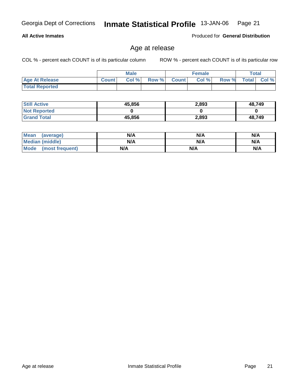**Total Reported**

**All Active Inmates**

| <b>Still Active</b> | 45,856 | 2,893 | 48,749 |
|---------------------|--------|-------|--------|
| <b>Not Reported</b> |        |       |        |
| <b>Grand Total</b>  | 45,856 | 2,893 | 48.749 |

 **Age At Release Count Col % Row % Count Col % Row % Total Col %** 

| <b>Mean</b><br>(average)       | N/A | N/A | N/A |
|--------------------------------|-----|-----|-----|
| <b>Median (middle)</b>         | N/A | N/A | N/A |
| <b>Mode</b><br>(most frequent) | N/A | N/A | N/A |

#### Age at release

**Male**

COL % - percent each COUNT is of its particular column ROW % - percent each COUNT is of its particular row

**Female Total**

Produced for **General Distribution**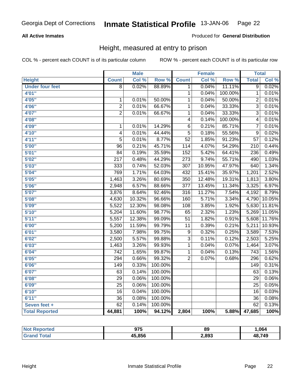#### **All Active Inmates**

#### Produced for **General Distribution**

# Height, measured at entry to prison

|                        |                  | <b>Male</b> |         |                  | <b>Female</b> |         | <b>Total</b>     |        |
|------------------------|------------------|-------------|---------|------------------|---------------|---------|------------------|--------|
| <b>Height</b>          | <b>Count</b>     | Col %       | Row %   | <b>Count</b>     | Col %         | Row %   | <b>Total</b>     | Col %  |
| <b>Under four feet</b> | $\overline{8}$   | 0.02%       | 88.89%  | 1                | 0.04%         | 11.11%  | $\overline{9}$   | 0.02%  |
| 4'01"                  |                  |             |         | 1                | 0.04%         | 100.00% | $\mathbf 1$      | 0.01%  |
| 4'05"                  | $\mathbf 1$      | 0.01%       | 50.00%  | 1                | 0.04%         | 50.00%  | $\overline{2}$   | 0.01%  |
| 4'06"                  | $\overline{2}$   | 0.01%       | 66.67%  | 1                | 0.04%         | 33.33%  | $\overline{3}$   | 0.01%  |
| 4'07"                  | $\overline{2}$   | 0.01%       | 66.67%  | $\overline{1}$   | 0.04%         | 33.33%  | $\overline{3}$   | 0.01%  |
| 4'08"                  |                  |             |         | $\overline{4}$   | 0.14%         | 100.00% | $\overline{4}$   | 0.01%  |
| 4'09"                  | $\overline{1}$   | 0.01%       | 14.29%  | $\overline{6}$   | 0.21%         | 85.71%  | $\overline{7}$   | 0.01%  |
| 4'10"                  | $\overline{4}$   | 0.01%       | 44.44%  | $\overline{5}$   | 0.18%         | 55.56%  | $\overline{9}$   | 0.02%  |
| 4'11''                 | $\overline{5}$   | 0.01%       | 8.77%   | $\overline{52}$  | 1.85%         | 91.23%  | $\overline{57}$  | 0.12%  |
| 5'00''                 | $\overline{96}$  | 0.21%       | 45.71%  | 114              | 4.07%         | 54.29%  | $\overline{210}$ | 0.44%  |
| 5'01''                 | $\overline{84}$  | 0.19%       | 35.59%  | $\overline{152}$ | 5.42%         | 64.41%  | 236              | 0.49%  |
| 5'02''                 | $\overline{217}$ | 0.48%       | 44.29%  | $\overline{273}$ | 9.74%         | 55.71%  | 490              | 1.03%  |
| 5'03''                 | 333              | 0.74%       | 52.03%  | $\overline{307}$ | 10.95%        | 47.97%  | 640              | 1.34%  |
| 5'04"                  | 769              | 1.71%       | 64.03%  | 432              | 15.41%        | 35.97%  | 1,201            | 2.52%  |
| 5'05"                  | 1,463            | 3.26%       | 80.69%  | 350              | 12.48%        | 19.31%  | 1,813            | 3.80%  |
| 5'06''                 | 2,948            | 6.57%       | 88.66%  | $\overline{377}$ | 13.45%        | 11.34%  | 3,325            | 6.97%  |
| 5'07''                 | 3,876            | 8.64%       | 92.46%  | 316              | 11.27%        | 7.54%   | 4,192            | 8.79%  |
| 5'08''                 | 4,630            | 10.32%      | 96.66%  | 160              | 5.71%         | 3.34%   | 4,790            | 10.05% |
| 5'09''                 | 5,522            | 12.30%      | 98.08%  | $\overline{108}$ | 3.85%         | 1.92%   | 5,630            | 11.81% |
| 5'10''                 | 5,204            | 11.60%      | 98.77%  | $\overline{65}$  | 2.32%         | 1.23%   | 5,269            | 11.05% |
| 5'11''                 | 5,557            | 12.38%      | 99.09%  | $\overline{51}$  | 1.82%         | 0.91%   | 5,608            | 11.76% |
| 6'00''                 | 5,200            | 11.59%      | 99.79%  | 11               | 0.39%         | 0.21%   | 5,211            | 10.93% |
| 6'01''                 | 3,580            | 7.98%       | 99.75%  | 9                | 0.32%         | 0.25%   | 3,589            | 7.53%  |
| 6'02''                 | 2,500            | 5.57%       | 99.88%  | $\overline{3}$   | 0.11%         | 0.12%   | 2,503            | 5.25%  |
| 6'03''                 | 1,463            | 3.26%       | 99.93%  | $\mathbf 1$      | 0.04%         | 0.07%   | 1,464            | 3.07%  |
| 6'04''                 | $\overline{742}$ | 1.65%       | 99.87%  | 1                | 0.04%         | 0.13%   | $\overline{743}$ | 1.56%  |
| 6'05''                 | 294              | 0.66%       | 99.32%  | $\overline{2}$   | 0.07%         | 0.68%   | 296              | 0.62%  |
| 6'06''                 | 149              | 0.33%       | 100.00% |                  |               |         | $\overline{149}$ | 0.31%  |
| 6'07''                 | 63               | 0.14%       | 100.00% |                  |               |         | 63               | 0.13%  |
| 6'08''                 | $\overline{29}$  | 0.06%       | 100.00% |                  |               |         | $\overline{29}$  | 0.06%  |
| 6'09''                 | $\overline{25}$  | 0.06%       | 100.00% |                  |               |         | $\overline{25}$  | 0.05%  |
| 6'10''                 | $\overline{16}$  | 0.04%       | 100.00% |                  |               |         | $\overline{16}$  | 0.03%  |
| 6'11''                 | $\overline{36}$  | 0.08%       | 100.00% |                  |               |         | $\overline{36}$  | 0.08%  |
| Seven feet +           | 62               | 0.14%       | 100.00% |                  |               |         | 62               | 0.13%  |
| <b>Total Reported</b>  | 44,881           | 100%        | 94.12%  | 2,804            | 100%          | 5.88%   | 47,685           | 100%   |

| ported<br><b>NOT</b>   | 975    | 89    | ,064   |
|------------------------|--------|-------|--------|
| <b>Total</b><br>. Gret | 45.856 | 2,893 | 48,749 |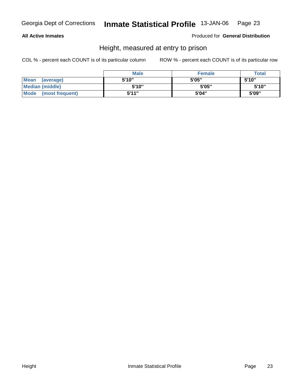#### **All Active Inmates**

Produced for **General Distribution**

# Height, measured at entry to prison

|                      | <b>Male</b> | <b>Female</b> | <b>Total</b> |
|----------------------|-------------|---------------|--------------|
| Mean (average)       | 5'10"       | 5'05"         | 5'10"        |
| Median (middle)      | 5'10"       | 5'05"         | 5'10"        |
| Mode (most frequent) | 5'11"       | 5'04"         | 5'09"        |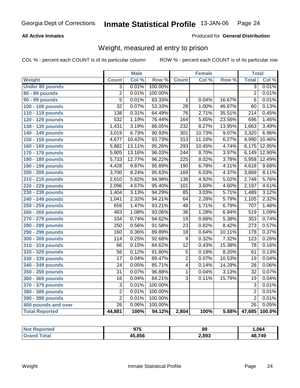#### **All Active Inmates**

#### Produced for **General Distribution**

# Weight, measured at entry to prison

|                        |                  | <b>Male</b> |         |                  | Female |        | <b>Total</b>     |        |
|------------------------|------------------|-------------|---------|------------------|--------|--------|------------------|--------|
| Weight                 | <b>Count</b>     | Col %       | Row %   | <b>Count</b>     | Col %  | Row %  | <b>Total</b>     | Col %  |
| <b>Under 80 pounds</b> | $\overline{3}$   | 0.01%       | 100.00% |                  |        |        | $\overline{3}$   | 0.01%  |
| 80 - 89 pounds         | $\overline{2}$   | 0.01%       | 100.00% |                  |        |        | $\overline{2}$   | 0.01%  |
| 90 - 99 pounds         | $\overline{5}$   | 0.01%       | 83.33%  | 1                | 0.04%  | 16.67% | $\overline{6}$   | 0.01%  |
| 100 - 109 pounds       | $\overline{32}$  | 0.07%       | 53.33%  | $\overline{28}$  | 1.00%  | 46.67% | 60               | 0.13%  |
| 110 - 119 pounds       | 138              | 0.31%       | 64.49%  | $\overline{76}$  | 2.71%  | 35.51% | $\overline{214}$ | 0.45%  |
| 120 - 129 pounds       | 532              | 1.19%       | 76.44%  | 164              | 5.85%  | 23.56% | 696              | 1.46%  |
| 130 - 139 pounds       | 1,431            | 3.19%       | 86.05%  | 232              | 8.27%  | 13.95% | 1,663            | 3.49%  |
| 140 - 149 pounds       | 3,019            | 6.73%       | 90.93%  | $\overline{301}$ | 10.73% | 9.07%  | 3,320            | 6.96%  |
| 150 - 159 pounds       | 4,677            | 10.42%      | 93.73%  | $\overline{313}$ | 11.16% | 6.27%  | 4,990            | 10.46% |
| 160 - 169 pounds       | 5,882            | 13.11%      | 95.26%  | 293              | 10.45% | 4.74%  | 6,175            | 12.95% |
| 170 - 179 pounds       | 5,905            | 13.16%      | 96.03%  | 244              | 8.70%  | 3.97%  | 6,149            | 12.90% |
| 180 - 189 pounds       | 5,733            | 12.77%      | 96.22%  | 225              | 8.02%  | 3.78%  | 5,958            | 12.49% |
| 190 - 199 pounds       | 4,428            | 9.87%       | 95.89%  | $\overline{190}$ | 6.78%  | 4.11%  | 4,618            | 9.68%  |
| 200 - 209 pounds       | 3,700            | 8.24%       | 95.63%  | 169              | 6.03%  | 4.37%  | 3,869            | 8.11%  |
| 210 - 219 pounds       | 2,610            | 5.82%       | 94.98%  | 138              | 4.92%  | 5.02%  | 2,748            | 5.76%  |
| 220 - 229 pounds       | 2,096            | 4.67%       | 95.40%  | 101              | 3.60%  | 4.60%  | 2,197            | 4.61%  |
| 230 - 239 pounds       | 1,404            | 3.13%       | 94.29%  | $\overline{85}$  | 3.03%  | 5.71%  | 1,489            | 3.12%  |
| 240 - 249 pounds       | 1,041            | 2.32%       | 94.21%  | 64               | 2.28%  | 5.79%  | 1,105            | 2.32%  |
| 250 - 259 pounds       | 659              | 1.47%       | 93.21%  | $\overline{48}$  | 1.71%  | 6.79%  | 707              | 1.48%  |
| 260 - 269 pounds       | 483              | 1.08%       | 93.06%  | $\overline{36}$  | 1.28%  | 6.94%  | $\overline{519}$ | 1.09%  |
| 270 - 279 pounds       | 334              | 0.74%       | 94.62%  | $\overline{19}$  | 0.68%  | 5.38%  | 353              | 0.74%  |
| 280 - 289 pounds       | $\overline{250}$ | 0.56%       | 91.58%  | $\overline{23}$  | 0.82%  | 8.42%  | $\overline{273}$ | 0.57%  |
| 290 - 299 pounds       | 160              | 0.36%       | 89.89%  | $\overline{18}$  | 0.64%  | 10.11% | 178              | 0.37%  |
| 300 - 309 pounds       | 114              | 0.25%       | 92.68%  | 9                | 0.32%  | 7.32%  | $\overline{123}$ | 0.26%  |
| 310 - 319 pounds       | $\overline{66}$  | 0.15%       | 84.62%  | $\overline{12}$  | 0.43%  | 15.38% | $\overline{78}$  | 0.16%  |
| 320 - 329 pounds       | $\overline{56}$  | 0.12%       | 91.80%  | 5                | 0.18%  | 8.20%  | 61               | 0.13%  |
| 330 - 339 pounds       | 17               | 0.04%       | 89.47%  | 2                | 0.07%  | 10.53% | 19               | 0.04%  |
| 340 - 349 pounds       | 24               | 0.05%       | 85.71%  | 4                | 0.14%  | 14.29% | $\overline{28}$  | 0.06%  |
| 350 - 359 pounds       | $\overline{31}$  | 0.07%       | 96.88%  | 1                | 0.04%  | 3.13%  | $\overline{32}$  | 0.07%  |
| 360 - 369 pounds       | $\overline{16}$  | 0.04%       | 84.21%  | 3                | 0.11%  | 15.79% | 19               | 0.04%  |
| 370 - 379 pounds       | $\overline{3}$   | 0.01%       | 100.00% |                  |        |        | $\overline{3}$   | 0.01%  |
| 380 - 389 pounds       | $\overline{2}$   | 0.01%       | 100.00% |                  |        |        | $\overline{2}$   | 0.01%  |
| 390 - 399 pounds       | $\overline{2}$   | 0.01%       | 100.00% |                  |        |        | $\overline{2}$   | 0.01%  |
| 400 pounds and over    | $\overline{26}$  | 0.06%       | 100.00% |                  |        |        | $\overline{26}$  | 0.05%  |
| <b>Total Reported</b>  | 44,881           | 100%        | 94.12%  | 2,804            | 100%   | 5.88%  | 47,685           | 100.0% |

| <b>Reported</b><br>NO.       | 975    | 89    | .064   |
|------------------------------|--------|-------|--------|
| <b>c</b> otal<br><b>Grat</b> | 45.856 | 2,893 | 48,749 |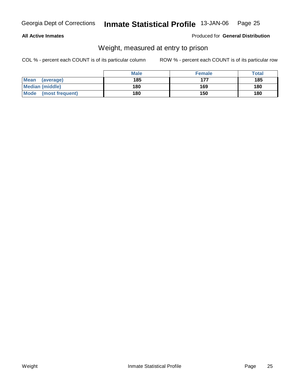#### **All Active Inmates**

#### Produced for **General Distribution**

# Weight, measured at entry to prison

|                         | <b>Male</b> | <b>Female</b> | <b>Total</b> |
|-------------------------|-------------|---------------|--------------|
| Mean<br>(average)       | 185         | 177           | 185          |
| <b>Median (middle)</b>  | 180         | 169           | 180          |
| Mode<br>(most frequent) | 180         | 150           | 180          |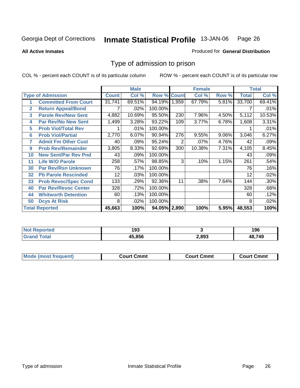**All Active Inmates**

#### Produced for **General Distribution**

# Type of admission to prison

|                |                             |              | <b>Male</b> |                    |     | <b>Female</b> |       |              | <b>Total</b> |
|----------------|-----------------------------|--------------|-------------|--------------------|-----|---------------|-------|--------------|--------------|
|                | <b>Type of Admission</b>    | <b>Count</b> | Col %       | <b>Row % Count</b> |     | Col %         | Row % | <b>Total</b> | Col %        |
|                | <b>Committed From Court</b> | 31,741       | 69.51%      | 94.19% 1,959       |     | 67.79%        | 5.81% | 33,700       | 69.41%       |
| $\overline{2}$ | <b>Return Appeal/Bond</b>   |              | .02%        | 100.00%            |     |               |       |              | .01%         |
| 3              | <b>Parole Rev/New Sent</b>  | 4,882        | 10.69%      | 95.50%             | 230 | 7.96%         | 4.50% | 5,112        | 10.53%       |
| 4              | <b>Par Rev/No New Sent</b>  | 1,499        | 3.28%       | 93.22%             | 109 | 3.77%         | 6.78% | 1,608        | 3.31%        |
| 5              | <b>Prob Viol/Total Rev</b>  |              | .01%        | 100.00%            |     |               |       |              | .01%         |
| 6              | <b>Prob Viol/Partial</b>    | 2,770        | 6.07%       | 90.94%             | 276 | 9.55%         | 9.06% | 3,046        | 6.27%        |
| 7              | <b>Admit Fm Other Cust</b>  | 40           | .09%        | 95.24%             | 2   | .07%          | 4.76% | 42           | .09%         |
| 9              | <b>Prob Rev/Remainder</b>   | 3,805        | 8.33%       | 92.69%             | 300 | 10.38%        | 7.31% | 4,105        | 8.45%        |
| 10             | <b>New Sent/Par Rev Pnd</b> | 43           | .09%        | 100.00%            |     |               |       | 43           | .09%         |
| 11             | <b>Life W/O Parole</b>      | 258          | .57%        | 98.85%             | 3   | .10%          | 1.15% | 261          | .54%         |
| 30             | <b>Par Rev/Rsn Unknown</b>  | 76           | .17%        | 100.00%            |     |               |       | 76           | .16%         |
| 32             | <b>Pb Parole Rescinded</b>  | 12           | .03%        | 100.00%            |     |               |       | 12           | .02%         |
| 33             | <b>Prob Revoc/Spec Cond</b> | 133          | .29%        | 92.36%             | 11  | .38%          | 7.64% | 144          | .30%         |
| 40             | <b>Par Rev/Revoc Center</b> | 328          | .72%        | 100.00%            |     |               |       | 328          | .68%         |
| 44             | <b>Whitworth Detention</b>  | 60           | .13%        | 100.00%            |     |               |       | 60           | .12%         |
| 50             | <b>Dcys At Risk</b>         | 8            | .02%        | 100.00%            |     |               |       | 8            | .02%         |
|                | <b>Total Reported</b>       | 45,663       | 100%        | 94.05% 2,890       |     | 100%          | 5.95% | 48,553       | 100%         |

| <b>Not</b><br><b>eported</b> | 193   |       | 196 |
|------------------------------|-------|-------|-----|
| `∩fa⊫<br>. Gr                | 5.856 | 2,893 | 749 |

| <b>Mou</b><br>วmmt<br>freauent)<br>.ourtث<br>$\cdots$ | Cmmt<br>Court - | Cmmu<br>∵יווח… |
|-------------------------------------------------------|-----------------|----------------|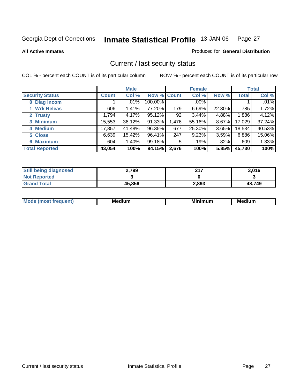**All Active Inmates**

#### Produced for **General Distribution**

# Current / last security status

|                        |              | <b>Male</b> |             |       | <b>Female</b> |          |              | <b>Total</b> |
|------------------------|--------------|-------------|-------------|-------|---------------|----------|--------------|--------------|
| <b>Security Status</b> | <b>Count</b> | Col %       | Row % Count |       | Col %         | Row %    | <b>Total</b> | Col %        |
| 0 Diag Incom           |              | $.01\%$     | 100.00%     |       | .00%          |          |              | $.01\%$      |
| 1 Wrk Releas           | 606          | 1.41%       | 77.20%      | 179   | 6.69%         | 22.80%   | 785          | 1.72%        |
| 2 Trusty               | 1,794        | 4.17%       | 95.12%      | 92    | 3.44%         | 4.88%    | 1,886        | 4.12%        |
| 3 Minimum              | 15,553       | 36.12%      | 91.33%      | 1,476 | 55.16%        | $8.67\%$ | 17,029       | 37.24%       |
| 4 Medium               | 17,857       | 41.48%      | 96.35%      | 677   | 25.30%        | $3.65\%$ | 18,534       | 40.53%       |
| 5 Close                | 6,639        | 15.42%      | 96.41%      | 247   | 9.23%         | $3.59\%$ | 6,886        | 15.06%       |
| <b>6 Maximum</b>       | 604          | 1.40%       | 99.18%      | 5     | .19%          | .82%     | 609          | 1.33%        |
| <b>Total Reported</b>  | 43,054       | 100%        | 94.15%      | 2,676 | 100%          | 5.85%    | 45,730       | 100%         |

| <b>Still being diagnosed</b> | 2,799  | 247   | 3,016  |
|------------------------------|--------|-------|--------|
| <b>Not Reported</b>          |        |       |        |
| <b>Grand Total</b>           | 45,856 | 2,893 | 48,749 |

| M,<br>--- | . .<br>М£<br>. | M<br>. | Medium |
|-----------|----------------|--------|--------|
|           |                |        |        |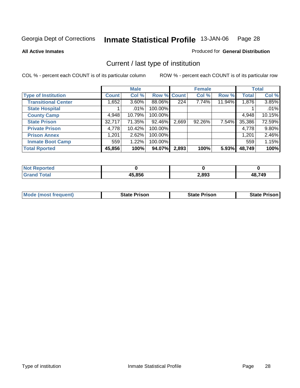**All Active Inmates**

#### Produced for **General Distribution**

# Current / last type of institution

|                            |              | <b>Male</b> |             |       | <b>Female</b> |        |              | <b>Total</b> |
|----------------------------|--------------|-------------|-------------|-------|---------------|--------|--------------|--------------|
| <b>Type of Institution</b> | <b>Count</b> | Col %       | Row % Count |       | Col %         | Row %  | <b>Total</b> | Col %        |
| <b>Transitional Center</b> | 1,652        | $3.60\%$    | 88.06%      | 224   | 7.74%         | 11.94% | 1,876        | 3.85%        |
| <b>State Hospital</b>      |              | $.01\%$     | 100.00%     |       |               |        |              | .01%         |
| <b>County Camp</b>         | 4,948        | 10.79%      | 100.00%     |       |               |        | 4,948        | 10.15%       |
| <b>State Prison</b>        | 32,717       | 71.35%      | 92.46%      | 2,669 | 92.26%        | 7.54%  | 35,386       | 72.59%       |
| <b>Private Prison</b>      | 4,778        | 10.42%      | 100.00%     |       |               |        | 4,778        | $9.80\%$     |
| <b>Prison Annex</b>        | 1,201        | 2.62%       | 100.00%     |       |               |        | 1,201        | 2.46%        |
| <b>Inmate Boot Camp</b>    | 559          | 1.22%       | 100.00%     |       |               |        | 559          | 1.15%        |
| <b>Total Rported</b>       | 45,856       | 100%        | 94.07%      | 2,893 | 100%          | 5.93%  | 48,749       | 100%         |

| rted<br>N   |        |       |            |
|-------------|--------|-------|------------|
| <b>otal</b> | 45.856 | 2,893 | ,749<br>ΔS |

| <b>Mode (most frequent)</b> | <b>State Prison</b> | <b>State Prison</b> | State Prison |
|-----------------------------|---------------------|---------------------|--------------|
|                             |                     |                     |              |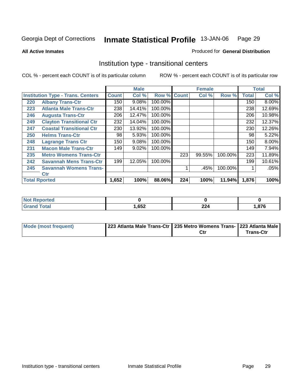**All Active Inmates**

#### Produced for **General Distribution**

# Institution type - transitional centers

|     |                                          |              | <b>Male</b> |                    |     | <b>Female</b> |         |              | <b>Total</b> |
|-----|------------------------------------------|--------------|-------------|--------------------|-----|---------------|---------|--------------|--------------|
|     | <b>Institution Type - Trans. Centers</b> | <b>Count</b> | Col %       | <b>Row % Count</b> |     | Col %         | Row %   | <b>Total</b> | Col %        |
| 220 | <b>Albany Trans-Ctr</b>                  | 150          | 9.08%       | 100.00%            |     |               |         | 150          | $8.00\%$     |
| 223 | <b>Atlanta Male Trans-Ctr</b>            | 238          | 14.41%      | 100.00%            |     |               |         | 238          | 12.69%       |
| 246 | <b>Augusta Trans-Ctr</b>                 | 206          | 12.47%      | 100.00%            |     |               |         | 206          | 10.98%       |
| 249 | <b>Clayton Transitional Ctr</b>          | 232          | 14.04%      | 100.00%            |     |               |         | 232          | 12.37%       |
| 247 | <b>Coastal Transitional Ctr</b>          | 230          | 13.92%      | 100.00%            |     |               |         | 230          | 12.26%       |
| 250 | <b>Helms Trans-Ctr</b>                   | 98           | 5.93%       | 100.00%            |     |               |         | 98           | 5.22%        |
| 248 | <b>Lagrange Trans Ctr</b>                | 150          | 9.08%       | 100.00%            |     |               |         | 150          | 8.00%        |
| 231 | <b>Macon Male Trans-Ctr</b>              | 149          | 9.02%       | 100.00%            |     |               |         | 149          | 7.94%        |
| 235 | <b>Metro Womens Trans-Ctr</b>            |              |             |                    | 223 | 99.55%        | 100.00% | 223          | 11.89%       |
| 242 | <b>Savannah Mens Trans-Ctr</b>           | 199          | 12.05%      | 100.00%            |     |               |         | 199          | 10.61%       |
| 245 | <b>Savannah Womens Trans-</b>            |              |             |                    |     | .45%          | 100.00% |              | .05%         |
|     | <b>Ctr</b>                               |              |             |                    |     |               |         |              |              |
|     | <b>Total Rported</b>                     | 1,652        | 100%        | 88.06%             | 224 | 100%          | 11.94%  | 1,876        | 100%         |

| <b>leu</b><br>. |      |              |     |
|-----------------|------|--------------|-----|
| $\sim$<br>_____ | ,652 | $\sim$<br>44 | 97C |

| Mode (most frequent) | 223 Atlanta Male Trans-Ctr   235 Metro Womens Trans- 223 Atlanta Male |     |           |
|----------------------|-----------------------------------------------------------------------|-----|-----------|
|                      |                                                                       | Ctr | Trans-Ctr |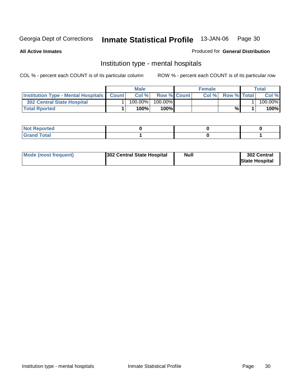**All Active Inmates**

#### Produced for **General Distribution**

# Institution type - mental hospitals

|                                                      | Male |            |                    | <b>Female</b> | $\tau$ otal        |  |         |
|------------------------------------------------------|------|------------|--------------------|---------------|--------------------|--|---------|
| <b>Institution Type - Mental Hospitals   Count  </b> |      | Col %      | <b>Row % Count</b> | Col%          | <b>Row % Total</b> |  | Col %   |
| 302 Central State Hospital                           |      | $100.00\%$ | $100.00\%$         |               |                    |  | 100.00% |
| <b>Total Rported</b>                                 |      | 100%       | 100%               |               | %                  |  | 100%    |

| $-1$<br><b>NOT</b><br>керогтеа<br>$\sim$ |  |  |
|------------------------------------------|--|--|
| Code <sup>r</sup><br>- - ----            |  |  |

| Mode (most frequent) | <b>Null</b><br>302 Central State Hospital | 302 Central<br><b>State Hospital</b> |
|----------------------|-------------------------------------------|--------------------------------------|
|----------------------|-------------------------------------------|--------------------------------------|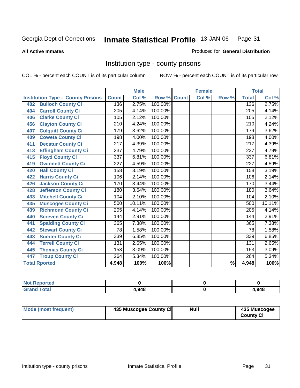#### **All Active Inmates**

#### Produced for **General Distribution**

# Institution type - county prisons

|                                          |                  | <b>Male</b> |         |              | <b>Female</b> |       |                  | <b>Total</b> |
|------------------------------------------|------------------|-------------|---------|--------------|---------------|-------|------------------|--------------|
| <b>Institution Type - County Prisons</b> | <b>Count</b>     | Col %       | Row %   | <b>Count</b> | Col %         | Row % | <b>Total</b>     | Col %        |
| <b>Bulloch County Ci</b><br>402          | 136              | 2.75%       | 100.00% |              |               |       | 136              | 2.75%        |
| <b>Carroll County Ci</b><br>404          | 205              | 4.14%       | 100.00% |              |               |       | $\overline{205}$ | 4.14%        |
| <b>Clarke County Ci</b><br>406           | 105              | 2.12%       | 100.00% |              |               |       | 105              | 2.12%        |
| <b>Clayton County Ci</b><br>456          | 210              | 4.24%       | 100.00% |              |               |       | 210              | 4.24%        |
| <b>Colquitt County Ci</b><br>407         | 179              | 3.62%       | 100.00% |              |               |       | 179              | 3.62%        |
| <b>Coweta County Ci</b><br>409           | 198              | 4.00%       | 100.00% |              |               |       | 198              | 4.00%        |
| <b>Decatur County Ci</b><br>411          | $\overline{217}$ | 4.39%       | 100.00% |              |               |       | $\overline{217}$ | 4.39%        |
| <b>Effingham County Ci</b><br>413        | 237              | 4.79%       | 100.00% |              |               |       | 237              | 4.79%        |
| <b>Floyd County Ci</b><br>415            | 337              | 6.81%       | 100.00% |              |               |       | 337              | 6.81%        |
| <b>Gwinnett County Ci</b><br>419         | $\overline{227}$ | 4.59%       | 100.00% |              |               |       | 227              | 4.59%        |
| <b>Hall County Ci</b><br>420             | 158              | 3.19%       | 100.00% |              |               |       | 158              | 3.19%        |
| <b>Harris County Ci</b><br>422           | 106              | 2.14%       | 100.00% |              |               |       | 106              | 2.14%        |
| <b>Jackson County Ci</b><br>426          | 170              | 3.44%       | 100.00% |              |               |       | 170              | 3.44%        |
| Jefferson County Ci<br>428               | 180              | 3.64%       | 100.00% |              |               |       | 180              | 3.64%        |
| <b>Mitchell County Ci</b><br>433         | 104              | 2.10%       | 100.00% |              |               |       | 104              | 2.10%        |
| <b>Muscogee County Ci</b><br>435         | 500              | 10.11%      | 100.00% |              |               |       | 500              | 10.11%       |
| <b>Richmond County Ci</b><br>439         | 205              | 4.14%       | 100.00% |              |               |       | 205              | 4.14%        |
| <b>Screven County Ci</b><br>440          | 144              | 2.91%       | 100.00% |              |               |       | 144              | 2.91%        |
| <b>Spalding County Ci</b><br>441         | 365              | 7.38%       | 100.00% |              |               |       | 365              | 7.38%        |
| <b>Stewart County Ci</b><br>442          | 78               | 1.58%       | 100.00% |              |               |       | 78               | 1.58%        |
| <b>Sumter County Ci</b><br>443           | 339              | 6.85%       | 100.00% |              |               |       | 339              | 6.85%        |
| <b>Terrell County Ci</b><br>444          | 131              | 2.65%       | 100.00% |              |               |       | 131              | 2.65%        |
| <b>Thomas County Ci</b><br>445           | 153              | 3.09%       | 100.00% |              |               |       | 153              | 3.09%        |
| <b>Troup County Ci</b><br>447            | 264              | 5.34%       | 100.00% |              |               |       | 264              | 5.34%        |
| <b>Total Rported</b>                     | 4,948            | 100%        | 100%    |              |               | $\%$  | 4,948            | 100%         |

| .948 | 4,948 |
|------|-------|

| Mode (most frequent) | 435 Muscogee County Ci | Null | 435 Muscogee     |
|----------------------|------------------------|------|------------------|
|                      |                        |      | <b>County Ci</b> |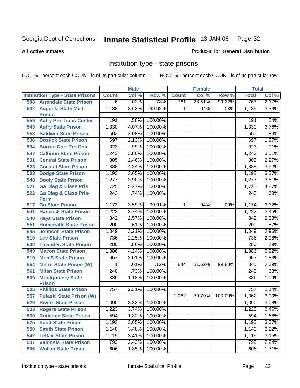**All Active Inmates**

#### Produced for **General Distribution**

# Institution type - state prisons

|     |                                                 |                  | <b>Male</b> |         |              | <b>Female</b> |         | <b>Total</b> |       |
|-----|-------------------------------------------------|------------------|-------------|---------|--------------|---------------|---------|--------------|-------|
|     | <b>Institution Type - State Prisons</b>         | <b>Count</b>     | Col %       | Row %   | <b>Count</b> | Col %         | Row %   | <b>Total</b> | Col % |
| 508 | <b>Arrendale State Prison</b>                   | $\overline{6}$   | .02%        | .78%    | 761          | 28.51%        | 99.22%  | 767          | 2.17% |
| 532 | <b>Augusta State Med.</b><br><b>Prison</b>      | 1,188            | 3.63%       | 99.92%  | $\mathbf{1}$ | .04%          | .08%    | 1,189        | 3.36% |
| 559 | <b>Autry Pre-Trans Center</b>                   | 191              | .58%        | 100.00% |              |               |         | 191          | .54%  |
| 543 | <b>Autry State Prison</b>                       | 1,330            | 4.07%       | 100.00% |              |               |         | 1,330        | 3.76% |
| 553 | <b>Baldwin State Prison</b>                     | 683              | 2.09%       | 100.00% |              |               |         | 683          | 1.93% |
| 536 | <b>Bostick State Prison</b>                     | 697              | 2.13%       | 100.00% |              |               |         | 697          | 1.97% |
| 534 | <b>Burrus Corr Trn Cntr</b>                     | 323              | .99%        | 100.00% |              |               |         | 323          | .91%  |
| 547 | <b>Calhoun State Prison</b>                     | 1,243            | 3.80%       | 100.00% |              |               |         | 1,243        | 3.51% |
| 531 | <b>Central State Prison</b>                     | 805              | 2.46%       | 100.00% |              |               |         | 805          | 2.27% |
| 523 | <b>Coastal State Prison</b>                     | 1,388            | 4.24%       | 100.00% |              |               |         | 1,388        | 3.92% |
| 503 | <b>Dodge State Prison</b>                       | 1,193            | 3.65%       | 100.00% |              |               |         | 1,193        | 3.37% |
| 548 | <b>Dooly State Prison</b>                       | 1,277            | 3.90%       | 100.00% |              |               |         | 1,277        | 3.61% |
| 521 | <b>Ga Diag &amp; Class Pris</b>                 | 1,725            | 5.27%       | 100.00% |              |               |         | 1,725        | 4.87% |
| 522 | <b>Ga Diag &amp; Class Pris-</b><br><b>Perm</b> | 243              | .74%        | 100.00% |              |               |         | 243          | .69%  |
| 517 | <b>Ga State Prison</b>                          | 1,173            | 3.59%       | 99.91%  | $\mathbf{1}$ | .04%          | .09%    | 1,174        | 3.32% |
| 541 | <b>Hancock State Prison</b>                     | 1,222            | 3.74%       | 100.00% |              |               |         | 1,222        | 3.45% |
| 540 | <b>Hays State Prison</b>                        | 842              | 2.57%       | 100.00% |              |               |         | 842          | 2.38% |
| 551 | <b>Homerville State Prison</b>                  | $\overline{200}$ | .61%        | 100.00% |              |               |         | 200          | .57%  |
| 545 | <b>Johnson State Prison</b>                     | 1,049            | 3.21%       | 100.00% |              |               |         | 1,049        | 2.96% |
| 510 | <b>Lee State Prison</b>                         | 736              | 2.25%       | 100.00% |              |               |         | 736          | 2.08% |
| 502 | <b>Lowndes State Prison</b>                     | 280              | .86%        | 100.00% |              |               |         | 280          | .79%  |
| 549 | <b>Macon State Prison</b>                       | 1,386            | 4.24%       | 100.00% |              |               |         | 1,386        | 3.92% |
| 519 | <b>Men'S State Prison</b>                       | 657              | 2.01%       | 100.00% |              |               |         | 657          | 1.86% |
| 554 | <b>Metro State Prison (W)</b>                   | 1                | .01%        | .12%    | 844          | 31.62%        | 99.88%  | 845          | 2.39% |
| 561 | <b>Milan State Prison</b>                       | 240              | .73%        | 100.00% |              |               |         | 240          | .68%  |
| 509 | <b>Montgomery State</b><br><b>Prison</b>        | 386              | 1.18%       | 100.00% |              |               |         | 386          | 1.09% |
| 505 | <b>Phillips State Prison</b>                    | 757              | 2.31%       | 100.00% |              |               |         | 757          | 2.14% |
| 557 | <b>Pulaski State Prison (W)</b>                 |                  |             |         | 1,062        | 39.79%        | 100.00% | 1,062        | 3.00% |
| 529 | <b>Rivers State Prison</b>                      | 1,090            | 3.33%       | 100.00% |              |               |         | 1,090        | 3.08% |
| 533 | <b>Rogers State Prison</b>                      | 1,223            | 3.74%       | 100.00% |              |               |         | 1,223        | 3.46% |
| 530 | <b>Rutledge State Prison</b>                    | 594              | 1.82%       | 100.00% |              |               |         | 594          | 1.68% |
| 525 | <b>Scott State Prison</b>                       | 1,193            | 3.65%       | 100.00% |              |               |         | 1,193        | 3.37% |
| 550 | <b>Smith State Prison</b>                       | 1,140            | 3.48%       | 100.00% |              |               |         | 1,140        | 3.22% |
| 542 | <b>Telfair State Prison</b>                     | 1,115            | 3.41%       | 100.00% |              |               |         | 1,115        | 3.15% |
| 537 | <b>Valdosta State Prison</b>                    | 792              | 2.42%       | 100.00% |              |               |         | 792          | 2.24% |
| 506 | <b>Walker State Prison</b>                      | 606              | 1.85%       | 100.00% |              |               |         | 606          | 1.71% |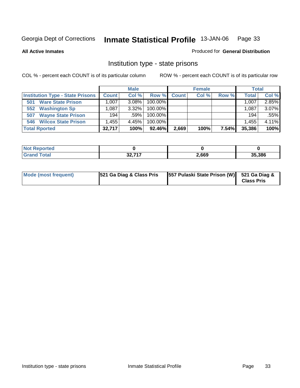**All Active Inmates**

#### Produced for **General Distribution**

# Institution type - state prisons

|                                         | <b>Male</b>  |          |            |              | <b>Female</b> | <b>Total</b> |              |          |
|-----------------------------------------|--------------|----------|------------|--------------|---------------|--------------|--------------|----------|
| <b>Institution Type - State Prisons</b> | <b>Count</b> | Col %    | Row %      | <b>Count</b> | Col %         | Row %        | <b>Total</b> | Col %    |
| <b>Ware State Prison</b><br>501         | .007         | $3.08\%$ | $100.00\%$ |              |               |              | 1,007        | 2.85%    |
| <b>Washington Sp</b><br>552             | .087         | $3.32\%$ | $100.00\%$ |              |               |              | 1.087        | $3.07\%$ |
| <b>Wayne State Prison</b><br>507        | 194          | $.59\%$  | $100.00\%$ |              |               |              | 194          | .55%     |
| <b>Wilcox State Prison</b><br>546       | .455         | 4.45%    | 100.00%    |              |               |              | 1,455        | 4.11%    |
| <b>Total Rported</b>                    | 32,717       | 100%     | 92.46%     | 2,669        | 100%          | 7.54%        | 35,386       | 100%     |

| ported<br>NOI |            |       |        |
|---------------|------------|-------|--------|
| <b>c</b> otal | 227<br>JŁ. | 2,669 | 35,386 |

| Mode (most frequent) | 521 Ga Diag & Class Pris | [557 Pulaski State Prison (W)] 521 Ga Diag & | <b>Class Pris</b> |
|----------------------|--------------------------|----------------------------------------------|-------------------|
|----------------------|--------------------------|----------------------------------------------|-------------------|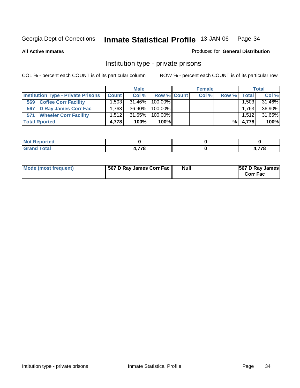**All Active Inmates**

#### Produced for **General Distribution**

# Institution type - private prisons

|                                           | <b>Male</b>  |        |             | <b>Female</b> |       |       | <b>Total</b> |        |
|-------------------------------------------|--------------|--------|-------------|---------------|-------|-------|--------------|--------|
| <b>Institution Type - Private Prisons</b> | <b>Count</b> | Col %  | Row % Count |               | Col % | Row % | Total I      | Col %  |
| <b>Coffee Corr Facility</b><br>569        | 1.503        | 31.46% | $100.00\%$  |               |       |       | 1,503        | 31.46% |
| <b>D Ray James Corr Fac</b><br>567        | 1.763        | 36.90% | $100.00\%$  |               |       |       | 1.763        | 36.90% |
| <b>Wheeler Corr Facility</b><br>571       | 1.512        | 31.65% | $100.00\%$  |               |       |       | 1.512        | 31.65% |
| <b>Total Rported</b>                      | 4,778        | 100%   | 100%        |               |       | %I    | 4,778        | 100%   |

| <b>Not</b><br><b>Reported</b>             |        |  |         |
|-------------------------------------------|--------|--|---------|
| <b>Total</b><br>Grand<br>$\mathbf{v}$ and | $-77c$ |  | $- - -$ |

| Mode (most frequent) | 567 D Ray James Corr Fac | <b>Null</b> | <b>567 D Ray James</b><br><b>Corr Fac</b> |
|----------------------|--------------------------|-------------|-------------------------------------------|
|----------------------|--------------------------|-------------|-------------------------------------------|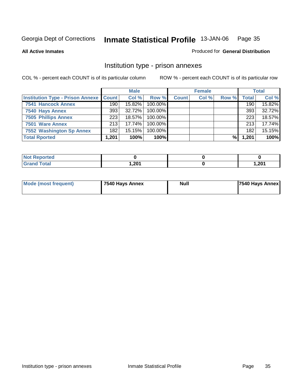**All Active Inmates**

Produced for **General Distribution**

# Institution type - prison annexes

|                                                   |       | <b>Male</b> |            |              | <b>Female</b> |       |       | <b>Total</b> |
|---------------------------------------------------|-------|-------------|------------|--------------|---------------|-------|-------|--------------|
| <b>Institution Type - Prison Annexe   Count  </b> |       | Col %       | Row %      | <b>Count</b> | Col %         | Row % | Total | Col %        |
| <b>7541 Hancock Annex</b>                         | 190   | 15.82%      | 100.00%    |              |               |       | 190   | 15.82%       |
| 7540 Hays Annex                                   | 393   | 32.72%      | 100.00%    |              |               |       | 393   | 32.72%       |
| <b>7505 Phillips Annex</b>                        | 223   | $18.57\%$   | $100.00\%$ |              |               |       | 223   | 18.57%       |
| 7501 Ware Annex                                   | 213   | 17.74%      | $100.00\%$ |              |               |       | 213   | 17.74%       |
| 7552 Washington Sp Annex                          | 182   | $15.15\%$   | $100.00\%$ |              |               |       | 182   | 15.15%       |
| <b>Total Rported</b>                              | 1,201 | 100%        | 100%       |              |               | %     | 1,201 | 100%         |

| keported∡            |      |       |
|----------------------|------|-------|
| <b>Total</b><br>Grar | 201. | 1,201 |

| <b>Mode (most frequent)</b> | 7540 Hays Annex | Null | 7540 Hays Annex |
|-----------------------------|-----------------|------|-----------------|
|                             |                 |      |                 |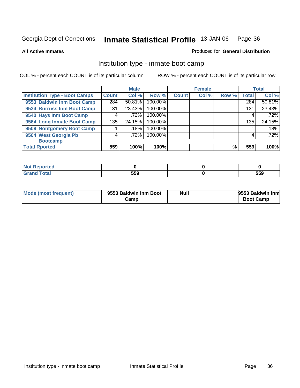**All Active Inmates**

#### Produced for **General Distribution**

# Institution type - inmate boot camp

|                                      |              | <b>Male</b> |         |              | <b>Female</b> |       |              | <b>Total</b> |
|--------------------------------------|--------------|-------------|---------|--------------|---------------|-------|--------------|--------------|
| <b>Institution Type - Boot Camps</b> | <b>Count</b> | Col %       | Row %   | <b>Count</b> | Col %         | Row % | <b>Total</b> | Col %        |
| 9553 Baldwin Inm Boot Camp           | 284          | 50.81%      | 100.00% |              |               |       | 284          | 50.81%       |
| 9534 Burruss Inm Boot Camp           | 131          | 23.43%      | 100.00% |              |               |       | 131          | 23.43%       |
| 9540 Hays Inm Boot Camp              | 4            | .72%        | 100.00% |              |               |       | 4            | .72%         |
| 9564 Long Inmate Boot Camp           | 135          | 24.15%      | 100.00% |              |               |       | 135          | 24.15%       |
| 9509 Nontgomery Boot Camp            |              | .18%        | 100.00% |              |               |       |              | .18%         |
| 9504 West Georgia Pb                 |              | .72%        | 100.00% |              |               |       | 4            | .72%         |
| <b>Bootcamp</b>                      |              |             |         |              |               |       |              |              |
| <b>Total Rported</b>                 | 559          | 100%        | 100%    |              |               | %     | 559          | 100%         |

| <b>Peported</b><br>. |     |     |
|----------------------|-----|-----|
| _______              | 559 | 559 |

| Mode (most frequent) | 9553 Baldwin Inm Boot | Null | 9553 Baldwin Inm |
|----------------------|-----------------------|------|------------------|
|                      | Camp                  |      | <b>Boot Camp</b> |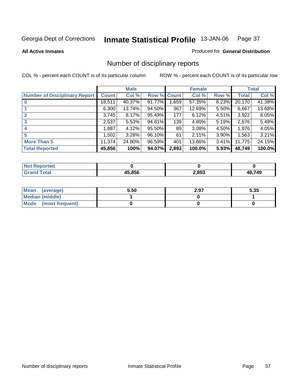**All Active Inmates**

#### Produced for **General Distribution**

# Number of disciplinary reports

|                                      |              | <b>Male</b> |             |       | <b>Female</b> |          |        | <b>Total</b> |
|--------------------------------------|--------------|-------------|-------------|-------|---------------|----------|--------|--------------|
| <b>Number of Disciplinary Report</b> | <b>Count</b> | Col %       | Row % Count |       | Col %         | Row %    | Total  | Col %        |
|                                      | 18,511       | 40.37%      | 91.77%      | 1,659 | 57.35%        | 8.23%    | 20,170 | 41.38%       |
|                                      | 6,300        | 13.74%      | 94.50%      | 367   | 12.69%        | $5.50\%$ | 6,667  | 13.68%       |
|                                      | 3,745        | 8.17%       | 95.49%      | 177   | 6.12%         | $4.51\%$ | 3,922  | 8.05%        |
| 3                                    | 2,537        | 5.53%       | 94.81%      | 139   | 4.80%         | $5.19\%$ | 2,676  | 5.49%        |
| 4                                    | 1,887        | 4.12%       | 95.50%      | 89    | 3.08%         | 4.50%    | 1,976  | 4.05%        |
| 5                                    | 1,502        | 3.28%       | 96.10%      | 61    | 2.11%         | 3.90%    | 1,563  | 3.21%        |
| <b>More Than 5</b>                   | 11,374       | 24.80%      | 96.59%      | 401   | 13.86%        | $3.41\%$ | 11,775 | 24.15%       |
| <b>Total Reported</b>                | 45,856       | 100%        | 94.07%      | 2,893 | 100.0%        | 5.93%    | 48,749 | 100.0%       |

| N      |        |       |     |
|--------|--------|-------|-----|
| ______ | AE OEC | 2,893 | 749 |

| Mean (average)       | 5.50 | 2.97 | 5.35 |
|----------------------|------|------|------|
| Median (middle)      |      |      |      |
| Mode (most frequent) |      |      |      |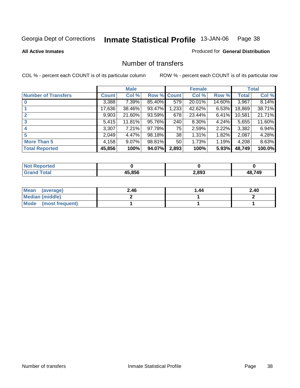**All Active Inmates**

### Produced for **General Distribution**

## Number of transfers

|                            |        | <b>Male</b> |             |       | <b>Female</b> |          |              | <b>Total</b> |
|----------------------------|--------|-------------|-------------|-------|---------------|----------|--------------|--------------|
| <b>Number of Transfers</b> | Count  | Col %       | Row % Count |       | Col %         | Row %    | <b>Total</b> | Col %        |
|                            | 3,388  | $7.39\%$    | 85.40%      | 579   | 20.01%        | 14.60%   | 3,967        | 8.14%        |
|                            | 17,636 | 38.46%      | 93.47%      | 1,233 | 42.62%        | 6.53%    | 18,869       | 38.71%       |
| $\mathbf{2}$               | 9,903  | 21.60%      | 93.59%      | 678   | 23.44%        | $6.41\%$ | 10,581       | 21.71%       |
| 3                          | 5,415  | 11.81%      | 95.76%      | 240   | 8.30%         | $4.24\%$ | 5,655        | 11.60%       |
|                            | 3,307  | 7.21%       | 97.78%      | 75    | 2.59%         | 2.22%    | 3,382        | 6.94%        |
| 5                          | 2,049  | 4.47%       | 98.18%      | 38    | 1.31%         | 1.82%    | 2,087        | 4.28%        |
| <b>More Than 5</b>         | 4,158  | $9.07\%$    | 98.81%      | 50    | 1.73%         | 1.19%    | 4,208        | 8.63%        |
| <b>Total Reported</b>      | 45,856 | 100%        | 94.07%      | 2,893 | 100%          | 5.93%    | 48,749       | 100.0%       |

| הפז<br>N |        |       |     |
|----------|--------|-------|-----|
| ______   | AE OEC | 2,893 | 749 |

| Mean (average)       | 2.46 | 1.44 | 2.40 |
|----------------------|------|------|------|
| Median (middle)      |      |      |      |
| Mode (most frequent) |      |      |      |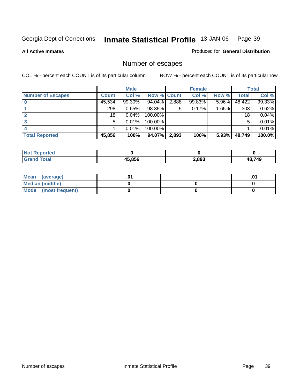**All Active Inmates**

#### Produced for **General Distribution**

# Number of escapes

|                          |              | <b>Male</b> |                    |       | <b>Female</b> |          |        | <b>Total</b> |
|--------------------------|--------------|-------------|--------------------|-------|---------------|----------|--------|--------------|
| <b>Number of Escapes</b> | <b>Count</b> | Col %       | <b>Row % Count</b> |       | Col %         | Row %    | Total  | Col %        |
|                          | 45,534       | 99.30%      | 94.04%             | 2,888 | 99.83%        | $5.96\%$ | 48,422 | 99.33%       |
|                          | 298          | 0.65%       | 98.35%             | 5     | 0.17%         | $1.65\%$ | 303    | 0.62%        |
|                          | 18           | 0.04%       | 100.00%            |       |               |          | 18     | 0.04%        |
|                          | 5            | 0.01%       | 100.00%            |       |               |          | 5      | 0.01%        |
|                          |              | 0.01%       | $100.00\%$         |       |               |          |        | 0.01%        |
| <b>Total Reported</b>    | 45,856       | 100%        | 94.07%             | 2,893 | 100%          | 5.93%    | 48,749 | 100.0%       |

| тео |        |       |       |
|-----|--------|-------|-------|
|     | IE OEC | 2,893 | 48749 |

| Mean (average)       |  | י ש. |
|----------------------|--|------|
| Median (middle)      |  |      |
| Mode (most frequent) |  |      |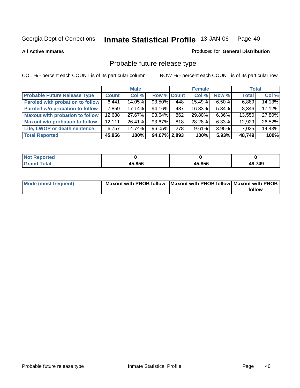**All Active Inmates**

#### Produced for **General Distribution**

# Probable future release type

|                                         |        | <b>Male</b> |                    |     | <b>Female</b> |          | <b>Total</b> |        |
|-----------------------------------------|--------|-------------|--------------------|-----|---------------|----------|--------------|--------|
| <b>Probable Future Release Type</b>     | Count  | Col %       | <b>Row % Count</b> |     | Col %         | Row %    | <b>Total</b> | Col %  |
| <b>Paroled with probation to follow</b> | 6,441  | 14.05%      | 93.50%             | 448 | 15.49%        | 6.50%    | 6,889        | 14.13% |
| Paroled w/o probation to follow         | 7,859  | 17.14%      | 94.16%             | 487 | 16.83%        | $5.84\%$ | 8,346        | 17.12% |
| Maxout with probation to follow         | 12,688 | 27.67%      | 93.64%             | 862 | 29.80%        | $6.36\%$ | 13,550       | 27.80% |
| <b>Maxout w/o probation to follow</b>   | 12,111 | 26.41%      | 93.67%             | 818 | 28.28%        | 6.33%    | 12,929       | 26.52% |
| Life, LWOP or death sentence            | 6.757  | 14.74%      | 96.05%             | 278 | 9.61%         | $3.95\%$ | 7,035        | 14.43% |
| <b>Total Reported</b>                   | 45,856 | 100%        | 94.07% 2,893       |     | 100%          | 5.93%    | 48,749       | 100%   |

| <b>Not</b><br><b>oorted</b> |        |        |        |
|-----------------------------|--------|--------|--------|
| <b>f</b> otal<br>Cror       | 45,856 | 45,856 | 48,749 |

| <b>Mode (most frequent)</b> | Maxout with PROB follow Maxout with PROB follow Maxout with PROB |        |
|-----------------------------|------------------------------------------------------------------|--------|
|                             |                                                                  | follow |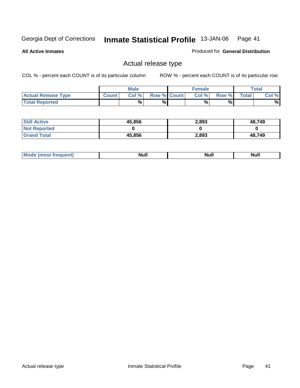**All Active Inmates**

#### Produced for **General Distribution**

## Actual release type

|                            |              | <b>Male</b> |                    | <b>Female</b> |       |       | $\tau$ otal |
|----------------------------|--------------|-------------|--------------------|---------------|-------|-------|-------------|
| <b>Actual Release Type</b> | <b>Count</b> | Col %       | <b>Row % Count</b> | Col %         | Row % | Total | Col %       |
| <b>Total Reported</b>      |              | %           | %                  | %             | %     |       | %           |

| <b>Still Active</b> | 45,856 | 2,893 | 48,749 |
|---------------------|--------|-------|--------|
| <b>Not Reported</b> |        |       |        |
| <b>Grand Total</b>  | 45,856 | 2,893 | 48,749 |

| M | <b>Null</b> | יישי |      |
|---|-------------|------|------|
|   |             |      | Null |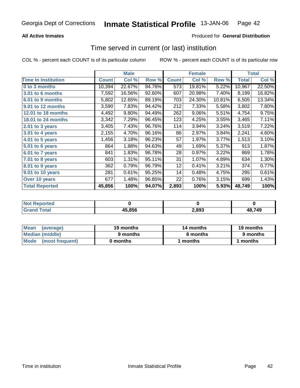## **All Active Inmates**

### Produced for **General Distribution**

## Time served in current (or last) institution

|                            |              | <b>Male</b> |        |              | <b>Female</b> |        |                    | <b>Total</b> |
|----------------------------|--------------|-------------|--------|--------------|---------------|--------|--------------------|--------------|
| <b>Time In Institution</b> | <b>Count</b> | Col %       | Row %  | <b>Count</b> | Col %         | Row %  | <b>Total</b>       | Col %        |
| 0 to 3 months              | 10,394       | 22.67%      | 94.78% | 573          | 19.81%        | 5.22%  | 10,967             | 22.50%       |
| 3.01 to 6 months           | 7,592        | 16.56%      | 92.60% | 607          | 20.98%        | 7.40%  | 8,199              | 16.82%       |
| 6.01 to 9 months           | 5,802        | 12.65%      | 89.19% | 703          | 24.30%        | 10.81% | $\overline{6,}505$ | 13.34%       |
| 9.01 to 12 months          | 3,590        | 7.83%       | 94.42% | 212          | 7.33%         | 5.58%  | 3,802              | 7.80%        |
| <b>12.01 to 18 months</b>  | 4,492        | 9.80%       | 94.49% | 262          | 9.06%         | 5.51%  | 4,754              | 9.75%        |
| 18.01 to 24 months         | 3,342        | 7.29%       | 96.45% | 123          | 4.25%         | 3.55%  | 3,465              | 7.11%        |
| $2.01$ to 3 years          | 3,405        | 7.43%       | 96.76% | 114          | 3.94%         | 3.24%  | 3,519              | 7.22%        |
| 3.01 to 4 years            | 2,155        | 4.70%       | 96.16% | 86           | 2.97%         | 3.84%  | 2,241              | 4.60%        |
| 4.01 to 5 years            | 1,456        | 3.18%       | 96.23% | 57           | 1.97%         | 3.77%  | 1,513              | 3.10%        |
| 5.01 to 6 years            | 864          | 1.88%       | 94.63% | 49           | 1.69%         | 5.37%  | 913                | 1.87%        |
| 6.01 to 7 years            | 841          | 1.83%       | 96.78% | 28           | 0.97%         | 3.22%  | 869                | 1.78%        |
| 7.01 to 8 years            | 603          | 1.31%       | 95.11% | 31           | 1.07%         | 4.89%  | 634                | 1.30%        |
| 8.01 to 9 years            | 362          | 0.79%       | 96.79% | 12           | 0.41%         | 3.21%  | 374                | 0.77%        |
| 9.01 to 10 years           | 281          | 0.61%       | 95.25% | 14           | 0.48%         | 4.75%  | 295                | 0.61%        |
| Over 10 years              | 677          | 1.48%       | 96.85% | 22           | 0.76%         | 3.15%  | 699                | 1.43%        |
| <b>Total Reported</b>      | 45,856       | 100%        | 94.07% | 2,893        | 100%          | 5.93%  | 48,749             | 100%         |

| <b>Not</b><br>keported∡ |        |       |        |
|-------------------------|--------|-------|--------|
| Cota'                   | 45,856 | 2,893 | 48,749 |

| Mean<br>(average)    | 19 months | 14 months | 19 months |  |
|----------------------|-----------|-----------|-----------|--|
| Median (middle)      | 9 months  | 8 months  | 9 months  |  |
| Mode (most frequent) | 0 months  | months    | 1 months  |  |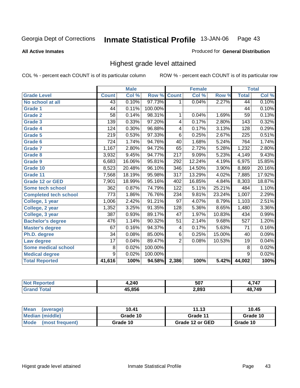#### **All Active Inmates**

#### Produced for **General Distribution**

## Highest grade level attained

|                              |                  | <b>Male</b> |         |                  | <b>Female</b> |        |                  | <b>Total</b> |
|------------------------------|------------------|-------------|---------|------------------|---------------|--------|------------------|--------------|
| <b>Grade Level</b>           | <b>Count</b>     | Col %       | Row %   | <b>Count</b>     | Col %         | Row %  | <b>Total</b>     | Col %        |
| No school at all             | 43               | 0.10%       | 97.73%  | 1                | 0.04%         | 2.27%  | 44               | 0.10%        |
| <b>Grade 1</b>               | $\overline{44}$  | 0.11%       | 100.00% |                  |               |        | 44               | 0.10%        |
| <b>Grade 2</b>               | $\overline{58}$  | 0.14%       | 98.31%  | 1                | 0.04%         | 1.69%  | $\overline{59}$  | 0.13%        |
| <b>Grade 3</b>               | 139              | 0.33%       | 97.20%  | 4                | 0.17%         | 2.80%  | 143              | 0.32%        |
| Grade 4                      | $\overline{124}$ | 0.30%       | 96.88%  | 4                | 0.17%         | 3.13%  | 128              | 0.29%        |
| Grade 5                      | 219              | 0.53%       | 97.33%  | $\overline{6}$   | 0.25%         | 2.67%  | $\overline{225}$ | 0.51%        |
| Grade 6                      | 724              | 1.74%       | 94.76%  | 40               | 1.68%         | 5.24%  | 764              | 1.74%        |
| <b>Grade 7</b>               | 1,167            | 2.80%       | 94.72%  | 65               | 2.72%         | 5.28%  | 1,232            | 2.80%        |
| <b>Grade 8</b>               | 3,932            | 9.45%       | 94.77%  | $\overline{217}$ | 9.09%         | 5.23%  | 4,149            | 9.43%        |
| <b>Grade 9</b>               | 6,683            | 16.06%      | 95.81%  | 292              | 12.24%        | 4.19%  | 6,975            | 15.85%       |
| Grade 10                     | 8,523            | 20.48%      | 96.10%  | 346              | 14.50%        | 3.90%  | 8,869            | 20.16%       |
| Grade 11                     | 7,568            | 18.19%      | 95.98%  | 317              | 13.29%        | 4.02%  | 7,885            | 17.92%       |
| <b>Grade 12 or GED</b>       | 7,901            | 18.99%      | 95.16%  | 402              | 16.85%        | 4.84%  | 8,303            | 18.87%       |
| Some tech school             | $\overline{362}$ | 0.87%       | 74.79%  | $\overline{122}$ | 5.11%         | 25.21% | 484              | 1.10%        |
| <b>Completed tech school</b> | $\overline{773}$ | 1.86%       | 76.76%  | 234              | 9.81%         | 23.24% | 1,007            | 2.29%        |
| College, 1 year              | 1,006            | 2.42%       | 91.21%  | $\overline{97}$  | 4.07%         | 8.79%  | 1,103            | 2.51%        |
| College, 2 year              | 1,352            | 3.25%       | 91.35%  | $\overline{128}$ | 5.36%         | 8.65%  | 1,480            | 3.36%        |
| College, 3 year              | $\overline{387}$ | 0.93%       | 89.17%  | 47               | 1.97%         | 10.83% | 434              | 0.99%        |
| <b>Bachelor's degree</b>     | 476              | 1.14%       | 90.32%  | 51               | 2.14%         | 9.68%  | 527              | 1.20%        |
| <b>Master's degree</b>       | 67               | 0.16%       | 94.37%  | 4                | 0.17%         | 5.63%  | 71               | 0.16%        |
| Ph.D. degree                 | $\overline{34}$  | 0.08%       | 85.00%  | $\overline{6}$   | 0.25%         | 15.00% | 40               | 0.09%        |
| Law degree                   | $\overline{17}$  | 0.04%       | 89.47%  | $\overline{2}$   | 0.08%         | 10.53% | $\overline{19}$  | 0.04%        |
| <b>Some medical school</b>   | 8                | 0.02%       | 100.00% |                  |               |        | 8                | 0.02%        |
| <b>Medical degree</b>        | $\overline{9}$   | 0.02%       | 100.00% |                  |               |        | $\overline{9}$   | 0.02%        |
| <b>Total Reported</b>        | 41,616           | 100%        | 94.58%  | 2,386            | 100%          | 5.42%  | 44,002           | 100%         |

| 240<br>᠇៶<br>. . | 507   | $-1 -$ |
|------------------|-------|--------|
| IE OEA           | 2,893 | 749    |

| Mean<br>(average)       | 10.41    | 11.13           | 10.45    |
|-------------------------|----------|-----------------|----------|
| Median (middle)         | Grade 10 | Grade 11        | Grade 10 |
| Mode<br>(most frequent) | Grade 10 | Grade 12 or GED | Grade 10 |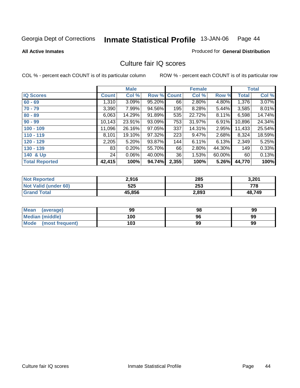**All Active Inmates**

#### Produced for **General Distribution**

## Culture fair IQ scores

|                       |              | <b>Male</b> |        |              | <b>Female</b> |        |              | <b>Total</b> |
|-----------------------|--------------|-------------|--------|--------------|---------------|--------|--------------|--------------|
| <b>IQ Scores</b>      | <b>Count</b> | Col %       | Row %  | <b>Count</b> | Col %         | Row %  | <b>Total</b> | Col %        |
| $60 - 69$             | 1,310        | 3.09%       | 95.20% | 66           | 2.80%         | 4.80%  | 1,376        | 3.07%        |
| $70 - 79$             | 3,390        | 7.99%       | 94.56% | 195          | 8.28%         | 5.44%  | 3,585        | 8.01%        |
| $80 - 89$             | 6,063        | 14.29%      | 91.89% | 535          | 22.72%        | 8.11%  | 6,598        | 14.74%       |
| $90 - 99$             | 10,143       | 23.91%      | 93.09% | 753          | 31.97%        | 6.91%  | 10,896       | 24.34%       |
| $100 - 109$           | 11,096       | 26.16%      | 97.05% | 337          | 14.31%        | 2.95%  | 11,433       | 25.54%       |
| $110 - 119$           | 8,101        | 19.10%      | 97.32% | 223          | 9.47%         | 2.68%  | 8,324        | 18.59%       |
| $120 - 129$           | 2,205        | 5.20%       | 93.87% | 144          | 6.11%         | 6.13%  | 2,349        | 5.25%        |
| $130 - 139$           | 83           | 0.20%       | 55.70% | 66           | 2.80%         | 44.30% | 149          | 0.33%        |
| 140 & Up              | 24           | 0.06%       | 40.00% | 36           | 1.53%         | 60.00% | 60           | 0.13%        |
| <b>Total Reported</b> | 42,415       | 100%        | 94.74% | 2,355        | 100%          | 5.26%  | 44,770       | 100%         |

| <b>Not Reported</b>  | 2,916  | 285   | 3,201  |
|----------------------|--------|-------|--------|
| Not Valid (under 60) | 525    | 253   | 778    |
| <b>Grand Total</b>   | 45,856 | 2,893 | 48,749 |

| Mean<br>(average)       | 99  | 98 | 99 |
|-------------------------|-----|----|----|
| Median (middle)         | 100 | 96 | 99 |
| Mode<br>(most frequent) | 103 | 99 | 99 |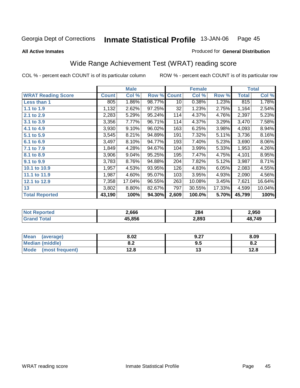**All Active Inmates**

#### Produced for **General Distribution**

# Wide Range Achievement Test (WRAT) reading score

|                           |              | <b>Male</b> |        |              | <b>Female</b> |        |              | <b>Total</b> |
|---------------------------|--------------|-------------|--------|--------------|---------------|--------|--------------|--------------|
| <b>WRAT Reading Score</b> | <b>Count</b> | Col %       | Row %  | <b>Count</b> | Col %         | Row %  | <b>Total</b> | Col %        |
| <b>Less than 1</b>        | 805          | 1.86%       | 98.77% | 10           | 0.38%         | 1.23%  | 815          | 1.78%        |
| 1.1 to 1.9                | 1,132        | 2.62%       | 97.25% | 32           | 1.23%         | 2.75%  | 1,164        | 2.54%        |
| 2.1 to 2.9                | 2,283        | 5.29%       | 95.24% | 114          | 4.37%         | 4.76%  | 2,397        | 5.23%        |
| 3.1 to 3.9                | 3,356        | 7.77%       | 96.71% | 114          | 4.37%         | 3.29%  | 3,470        | 7.58%        |
| 4.1 to 4.9                | 3,930        | 9.10%       | 96.02% | 163          | 6.25%         | 3.98%  | 4,093        | 8.94%        |
| 5.1 to 5.9                | 3,545        | 8.21%       | 94.89% | 191          | 7.32%         | 5.11%  | 3,736        | 8.16%        |
| 6.1 to 6.9                | 3,497        | 8.10%       | 94.77% | 193          | 7.40%         | 5.23%  | 3,690        | 8.06%        |
| 7.1 to 7.9                | 1,849        | 4.28%       | 94.67% | 104          | 3.99%         | 5.33%  | 1,953        | 4.26%        |
| 8.1 to 8.9                | 3,906        | 9.04%       | 95.25% | 195          | 7.47%         | 4.75%  | 4,101        | 8.95%        |
| 9.1 to 9.9                | 3,783        | 8.76%       | 94.88% | 204          | 7.82%         | 5.12%  | 3,987        | 8.71%        |
| 10.1 to 10.9              | 1,957        | 4.53%       | 93.95% | 126          | 4.83%         | 6.05%  | 2,083        | 4.55%        |
| 11.1 to 11.9              | 1,987        | 4.60%       | 95.07% | 103          | 3.95%         | 4.93%  | 2,090        | 4.56%        |
| 12.1 to 12.9              | 7,358        | 17.04%      | 96.55% | 263          | 10.08%        | 3.45%  | 7,621        | 16.64%       |
| 13                        | 3,802        | 8.80%       | 82.67% | 797          | 30.55%        | 17.33% | 4,599        | 10.04%       |
| <b>Total Reported</b>     | 43,190       | 100%        | 94.30% | 2,609        | 100.0%        | 5.70%  | 45,799       | 100%         |

| .666  | 284<br>____ | 2,950 |
|-------|-------------|-------|
| e oee | 2,893       | .749  |

| Mean<br>(average)      | 8.02       | 9.27 | 8.09 |
|------------------------|------------|------|------|
| <b>Median (middle)</b> | ה ה<br>o.z | 9.5  | O.∠  |
| Mode (most frequent)   | 12.8       | IJ   | 12.8 |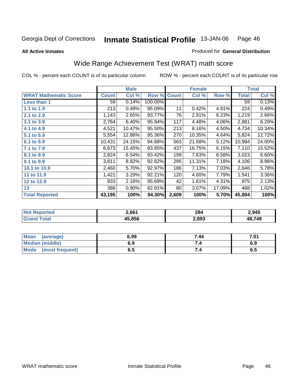**All Active Inmates**

#### Produced for **General Distribution**

# Wide Range Achievement Test (WRAT) math score

|                              |              | <b>Male</b> |         |              | <b>Female</b> |        |        | <b>Total</b> |
|------------------------------|--------------|-------------|---------|--------------|---------------|--------|--------|--------------|
| <b>WRAT Mathematic Score</b> | <b>Count</b> | Col %       | Row %   | <b>Count</b> | Col %         | Row %  | Total  | Col %        |
| Less than 1                  | 59           | 0.14%       | 100.00% |              |               |        | 59     | 0.13%        |
| 1.1 to 1.9                   | 213          | 0.49%       | 95.09%  | 11           | 0.42%         | 4.91%  | 224    | 0.49%        |
| 2.1 to 2.9                   | 1,143        | 2.65%       | 93.77%  | 76           | 2.91%         | 6.23%  | 1,219  | 2.66%        |
| 3.1 to 3.9                   | 2,764        | 6.40%       | 95.94%  | 117          | 4.48%         | 4.06%  | 2,881  | 6.29%        |
| 4.1 to 4.9                   | 4,521        | 10.47%      | 95.50%  | 213          | 8.16%         | 4.50%  | 4,734  | 10.34%       |
| 5.1 to 5.9                   | 5,554        | 12.86%      | 95.36%  | 270          | 10.35%        | 4.64%  | 5,824  | 12.72%       |
| 6.1 to 6.9                   | 10,431       | 24.15%      | 94.88%  | 563          | 21.58%        | 5.12%  | 10,994 | 24.00%       |
| 7.1 to 7.9                   | 6,673        | 15.45%      | 93.85%  | 437          | 16.75%        | 6.15%  | 7,110  | 15.52%       |
| 8.1 to 8.9                   | 2,824        | 6.54%       | 93.42%  | 199          | 7.63%         | 6.58%  | 3,023  | 6.60%        |
| 9.1 to 9.9                   | 3,811        | 8.82%       | 92.82%  | 295          | 11.31%        | 7.18%  | 4,106  | 8.96%        |
| 10.1 to 10.9                 | 2,460        | 5.70%       | 92.97%  | 186          | 7.13%         | 7.03%  | 2,646  | 5.78%        |
| 11 to 11.9                   | 1,421        | 3.29%       | 92.21%  | 120          | 4.60%         | 7.79%  | 1,541  | 3.36%        |
| 12 to 12.9                   | 933          | 2.16%       | 95.69%  | 42           | 1.61%         | 4.31%  | 975    | 2.13%        |
| 13                           | 388          | $0.90\%$    | 82.91%  | 80           | 3.07%         | 17.09% | 468    | 1.02%        |
| <b>Total Reported</b>        | 43,195       | 100%        | 94.30%  | 2,609        | 100%          | 5.70%  | 45,804 | 100%         |

| 2.661 | 284<br>____ | 2.945 |
|-------|-------------|-------|
| e oee | 2,893       | .749  |

| <b>Mean</b><br>(average) | 6.99 | 7.44 | 7.01 |
|--------------------------|------|------|------|
| <b>Median (middle)</b>   | 6.9  |      | 6.9  |
| Mode<br>(most frequent)  | υ.υ  | 7.4  | ხ.ნ  |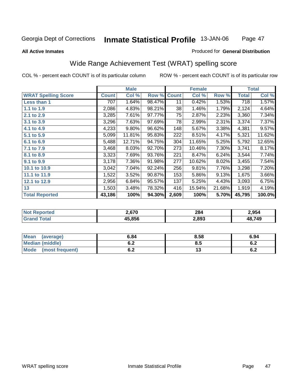#### **All Active Inmates**

#### Produced for **General Distribution**

# Wide Range Achievement Test (WRAT) spelling score

|                            |              | <b>Male</b> |        |              | <b>Female</b> |        |              | <b>Total</b> |
|----------------------------|--------------|-------------|--------|--------------|---------------|--------|--------------|--------------|
| <b>WRAT Spelling Score</b> | <b>Count</b> | Col %       | Row %  | <b>Count</b> | Col %         | Row %  | <b>Total</b> | Col %        |
| <b>Less than 1</b>         | 707          | 1.64%       | 98.47% | 11           | 0.42%         | 1.53%  | 718          | 1.57%        |
| 1.1 to 1.9                 | 2,086        | 4.83%       | 98.21% | 38           | 1.46%         | 1.79%  | 2,124        | 4.64%        |
| 2.1 to 2.9                 | 3,285        | 7.61%       | 97.77% | 75           | 2.87%         | 2.23%  | 3,360        | 7.34%        |
| 3.1 to 3.9                 | 3,296        | 7.63%       | 97.69% | 78           | 2.99%         | 2.31%  | 3,374        | 7.37%        |
| 4.1 to 4.9                 | 4,233        | 9.80%       | 96.62% | 148          | 5.67%         | 3.38%  | 4,381        | 9.57%        |
| 5.1 to 5.9                 | 5,099        | 11.81%      | 95.83% | 222          | 8.51%         | 4.17%  | 5,321        | 11.62%       |
| 6.1 to 6.9                 | 5,488        | 12.71%      | 94.75% | 304          | 11.65%        | 5.25%  | 5,792        | 12.65%       |
| 7.1 to 7.9                 | 3,468        | 8.03%       | 92.70% | 273          | 10.46%        | 7.30%  | 3,741        | 8.17%        |
| 8.1 to 8.9                 | 3,323        | 7.69%       | 93.76% | 221          | 8.47%         | 6.24%  | 3,544        | 7.74%        |
| 9.1 to 9.9                 | 3,178        | 7.36%       | 91.98% | 277          | 10.62%        | 8.02%  | 3,455        | 7.54%        |
| 10.1 to 10.9               | 3,042        | 7.04%       | 92.24% | 256          | 9.81%         | 7.76%  | 3,298        | 7.20%        |
| 11.1 to 11.9               | 1,522        | 3.52%       | 90.87% | 153          | 5.86%         | 9.13%  | 1,675        | 3.66%        |
| 12.1 to 12.9               | 2,956        | 6.84%       | 95.57% | 137          | 5.25%         | 4.43%  | 3,093        | 6.75%        |
| 13                         | 1,503        | 3.48%       | 78.32% | 416          | 15.94%        | 21.68% | 1,919        | 4.19%        |
| <b>Total Reported</b>      | 43,186       | 100%        | 94.30% | 2,609        | 100%          | 5.70%  | 45,795       | 100.0%       |

| n era | 2.670 | 284<br>____ | 2,954 |
|-------|-------|-------------|-------|
|       | 5.856 | 2,893       | .749  |

| <b>Mean</b><br>(average) | 6.84       | 8.58 | 6.94       |
|--------------------------|------------|------|------------|
| <b>Median (middle)</b>   | v.z        | Ծ. : | . .<br>ο.Ζ |
| Mode<br>(most frequent)  | . .<br>◡.∠ | ' J  | . .<br>0.Z |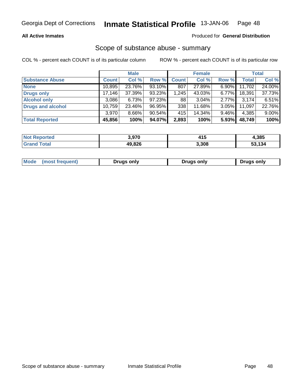### **All Active Inmates**

#### Produced for **General Distribution**

## Scope of substance abuse - summary

|                          |              | <b>Male</b> |        |              | <b>Female</b> |          |        | <b>Total</b> |
|--------------------------|--------------|-------------|--------|--------------|---------------|----------|--------|--------------|
| <b>Substance Abuse</b>   | <b>Count</b> | Col %       | Row %  | <b>Count</b> | Col %         | Row %    | Total  | Col %        |
| <b>None</b>              | 10,895       | 23.76%      | 93.10% | 807          | 27.89%        | $6.90\%$ | 11,702 | 24.00%       |
| <b>Drugs only</b>        | 17,146       | 37.39%      | 93.23% | 1,245        | 43.03%        | $6.77\%$ | 18,391 | 37.73%       |
| <b>Alcohol only</b>      | 3,086        | 6.73%       | 97.23% | 88           | $3.04\%$      | 2.77%    | 3,174  | 6.51%        |
| <b>Drugs and alcohol</b> | 10,759       | 23.46%      | 96.95% | 338          | 11.68%        | 3.05%    | 11,097 | 22.76%       |
|                          | 3,970        | 8.66%       | 90.54% | 415          | 14.34%        | 9.46%    | 4,385  | 9.00%        |
| <b>Total Reported</b>    | 45,856       | 100%        | 94.07% | 2,893        | 100%          | 5.93%    | 48,749 | 100%         |

| orteo       | 3.970  | 44 F<br>41 J | 4,385  |
|-------------|--------|--------------|--------|
| <b>otal</b> | 49,826 | 3,308        | 13,134 |

| Mode | lmost.<br>reguent | Drugs only | <b>Drugs only</b> | Druas onlv |
|------|-------------------|------------|-------------------|------------|
|      |                   |            |                   |            |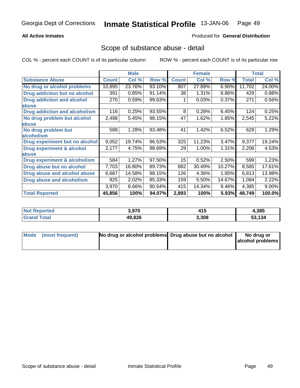#### **All Active Inmates**

#### Produced for **General Distribution**

## Scope of substance abuse - detail

|                                      |              | <b>Male</b> |        |                  | <b>Female</b> |          |              | <b>Total</b> |
|--------------------------------------|--------------|-------------|--------|------------------|---------------|----------|--------------|--------------|
| <b>Substance Abuse</b>               | <b>Count</b> | Col %       | Row %  | <b>Count</b>     | Col %         | Row %    | <b>Total</b> | Col %        |
| No drug or alcohol problems          | 10,895       | 23.76%      | 93.10% | 807              | 27.89%        | $6.90\%$ | 11,702       | 24.00%       |
| Drug addiction but no alcohol        | 391          | 0.85%       | 91.14% | 38               | 1.31%         | $8.86\%$ | 429          | 0.88%        |
| <b>Drug addiction and alcohol</b>    | 270          | 0.59%       | 99.63% |                  | 0.03%         | 0.37%    | 271          | 0.56%        |
| abuse                                |              |             |        |                  |               |          |              |              |
| <b>Drug addiction and alcoholism</b> | 116          | 0.25%       | 93.55% | 8                | 0.28%         | 6.45%    | 124          | 0.25%        |
| No drug problem but alcohol          | 2,498        | 5.45%       | 98.15% | 47               | 1.62%         | 1.85%    | 2,545        | 5.22%        |
| abuse                                |              |             |        |                  |               |          |              |              |
| No drug problem but                  | 588          | 1.28%       | 93.48% | 41               | 1.42%         | 6.52%    | 629          | 1.29%        |
| alcoholism                           |              |             |        |                  |               |          |              |              |
| Drug experiment but no alcohol       | 9,052        | 19.74%      | 96.53% | 325              | 11.23%        | 3.47%    | 9,377        | 19.24%       |
| <b>Drug experiment &amp; alcohol</b> | 2,177        | 4.75%       | 98.69% | 29               | 1.00%         | 1.31%    | 2,206        | 4.53%        |
| abuse                                |              |             |        |                  |               |          |              |              |
| Drug experiment & alcoholism         | 584          | 1.27%       | 97.50% | 15 <sub>15</sub> | 0.52%         | 2.50%    | 599          | 1.23%        |
| Drug abuse but no alcohol            | 7,703        | 16.80%      | 89.73% | 882              | 30.49%        | 10.27%   | 8,585        | 17.61%       |
| Drug abuse and alcohol abuse         | 6.687        | 14.58%      | 98.15% | 126              | 4.36%         | 1.85%    | 6,813        | 13.98%       |
| <b>Drug abuse and alcoholism</b>     | 925          | 2.02%       | 85.33% | 159              | 5.50%         | 14.67%   | 1,084        | 2.22%        |
|                                      | 3,970        | 8.66%       | 90.54% | 415              | 14.34%        | 9.46%    | 4,385        | 9.00%        |
| <b>Total Reported</b>                | 45,856       | 100%        | 94.07% | 2,893            | 100%          | 5.93%    | 48,749       | 100.0%       |

| rted<br>Nt | 3,970  | 14 E<br>ט ד | 4,385  |
|------------|--------|-------------|--------|
| <b>ota</b> | 49,826 | 3,308       | 53.134 |

| Mode (most frequent) | No drug or alcohol problems Drug abuse but no alcohol | No drug or       |
|----------------------|-------------------------------------------------------|------------------|
|                      |                                                       | alcohol problems |
|                      |                                                       |                  |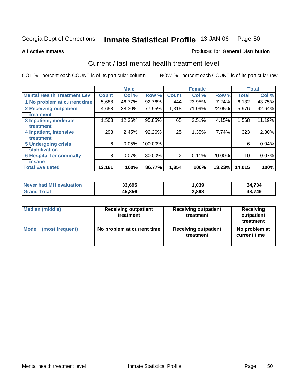Produced for **General Distribution**

#### **All Active Inmates**

# Current / last mental health treatment level

|                                    |              | <b>Male</b> |         |              | <b>Female</b> |        |              | <b>Total</b> |
|------------------------------------|--------------|-------------|---------|--------------|---------------|--------|--------------|--------------|
| <b>Mental Health Treatment Lev</b> | <b>Count</b> | Col%        | Row %   | <b>Count</b> | Col %         | Row %  | <b>Total</b> | Col %        |
| 1 No problem at current time       | 5,688        | 46.77%      | 92.76%  | 444          | 23.95%        | 7.24%  | 6,132        | 43.75%       |
| <b>2 Receiving outpatient</b>      | 4,658        | 38.30%      | 77.95%  | 1,318        | 71.09%        | 22.05% | 5,976        | 42.64%       |
| treatment                          |              |             |         |              |               |        |              |              |
| 3 Inpatient, moderate              | 1,503        | 12.36%      | 95.85%  | 65           | 3.51%         | 4.15%  | 1,568        | 11.19%       |
| treatment                          |              |             |         |              |               |        |              |              |
| 4 Inpatient, intensive             | 298          | 2.45%       | 92.26%  | 25           | 1.35%         | 7.74%  | 323          | 2.30%        |
| treatment                          |              |             |         |              |               |        |              |              |
| <b>5 Undergoing crisis</b>         | 6            | 0.05%       | 100.00% |              |               |        | 6            | 0.04%        |
| stabilization                      |              |             |         |              |               |        |              |              |
| <b>6 Hospital for criminally</b>   | 8            | 0.07%       | 80.00%  | 2            | 0.11%         | 20.00% | 10           | $0.07\%$     |
| insane                             |              |             |         |              |               |        |              |              |
| <b>Total Evaluated</b>             | 12,161       | 100%        | 86.77%  | 1,854        | 100%          | 13.23% | 14,015       | 100%         |

| Never had MH<br>evaluation | 33.695 | ,039  | ,734<br>34 |
|----------------------------|--------|-------|------------|
| ⊺otal                      | 45,856 | 2,893 | 48,749     |

| <b>Median (middle)</b> | <b>Receiving outpatient</b><br>treatment | <b>Receiving outpatient</b><br>treatment | Receiving<br>outpatient<br>treatment |
|------------------------|------------------------------------------|------------------------------------------|--------------------------------------|
| Mode                   | No problem at current time               | <b>Receiving outpatient</b>              | No problem at                        |
| (most frequent)        |                                          | treatment                                | current time                         |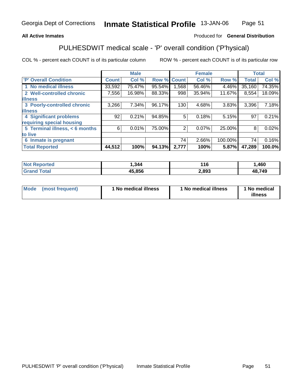#### **All Active Inmates**

## Produced for **General Distribution**

## PULHESDWIT medical scale - 'P' overall condition ('P'hysical)

|                                |              | <b>Male</b> |                    |       | <b>Female</b> |         |              | <b>Total</b> |
|--------------------------------|--------------|-------------|--------------------|-------|---------------|---------|--------------|--------------|
| <b>P' Overall Condition</b>    | <b>Count</b> | Col %       | <b>Row % Count</b> |       | Col %         | Row %   | <b>Total</b> | Col%         |
| 1 No medical illness           | 33,592       | 75.47%      | 95.54%             | ,568  | 56.46%        | 4.46%   | 35,160       | 74.35%       |
| 2 Well-controlled chronic      | 7,556        | 16.98%      | 88.33%             | 998   | 35.94%        | 11.67%  | 8,554        | 18.09%       |
| <b>illness</b>                 |              |             |                    |       |               |         |              |              |
| 3 Poorly-controlled chronic    | 3,266        | 7.34%       | 96.17%             | 130   | 4.68%         | 3.83%   | 3,396        | 7.18%        |
| <b>illness</b>                 |              |             |                    |       |               |         |              |              |
| <b>4 Significant problems</b>  | 92           | 0.21%       | 94.85%             | 5     | 0.18%         | 5.15%   | 97           | 0.21%        |
| requiring special housing      |              |             |                    |       |               |         |              |              |
| 5 Terminal illness, < 6 months | 6            | 0.01%       | 75.00%             | 2     | 0.07%         | 25.00%  | 8            | 0.02%        |
| to live                        |              |             |                    |       |               |         |              |              |
| 6 Inmate is pregnant           |              |             |                    | 74    | 2.66%         | 100.00% | 74           | 0.16%        |
| <b>Total Reported</b>          | 44,512       | 100%        | 94.13%             | 2,777 | 100%          | 5.87%   | 47,289       | 100.0%       |

| <b>Not Reported</b>   | 344, ا | 116   | ,460   |
|-----------------------|--------|-------|--------|
| Total<br><b>Grand</b> | 45,856 | 2,893 | 48,749 |

| <b>Mode</b><br>(most frequent) |  | 1 No medical illness | <sup>1</sup> No medical illness | 1 No medical<br>illness |
|--------------------------------|--|----------------------|---------------------------------|-------------------------|
|--------------------------------|--|----------------------|---------------------------------|-------------------------|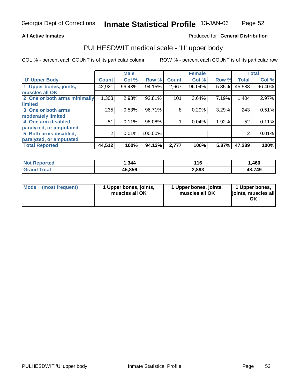#### **All Active Inmates**

#### Produced for **General Distribution**

## PULHESDWIT medical scale - 'U' upper body

|                              |              | <b>Male</b> |         |              | <b>Female</b> |       |              | <b>Total</b> |
|------------------------------|--------------|-------------|---------|--------------|---------------|-------|--------------|--------------|
| <b>U' Upper Body</b>         | <b>Count</b> | Col %       | Row %   | <b>Count</b> | Col %         | Row % | <b>Total</b> | Col %        |
| 1 Upper bones, joints,       | 42,921       | 96.43%      | 94.15%  | 2,667        | 96.04%        | 5.85% | 45,588       | 96.40%       |
| muscles all OK               |              |             |         |              |               |       |              |              |
| 2 One or both arms minimally | 1,303        | 2.93%       | 92.81%  | 101          | 3.64%         | 7.19% | 1,404        | 2.97%        |
| <b>limited</b>               |              |             |         |              |               |       |              |              |
| 3 One or both arms           | 235          | 0.53%       | 96.71%  | 8            | 0.29%         | 3.29% | 243          | 0.51%        |
| moderately limited           |              |             |         |              |               |       |              |              |
| 4 One arm disabled,          | 51           | 0.11%       | 98.08%  |              | 0.04%         | 1.92% | 52           | 0.11%        |
| paralyzed, or amputated      |              |             |         |              |               |       |              |              |
| 5 Both arms disabled,        | 2            | 0.01%       | 100.00% |              |               |       | 2            | 0.01%        |
| paralyzed, or amputated      |              |             |         |              |               |       |              |              |
| <b>Total Reported</b>        | 44,512       | 100%        | 94.13%  | 2,777        | 100%          | 5.87% | 47,289       | 100%         |

| <b>Not Reported</b>         | 1,344  | l 16  | ,460   |
|-----------------------------|--------|-------|--------|
| $\tau$ otal<br><b>Grano</b> | 45,856 | 2,893 | 48,749 |

| Mode | (most frequent) | 1 Upper bones, joints,<br>muscles all OK | 1 Upper bones, joints,<br>muscles all OK | 1 Upper bones,<br>joints, muscles all<br>ΟK |
|------|-----------------|------------------------------------------|------------------------------------------|---------------------------------------------|
|------|-----------------|------------------------------------------|------------------------------------------|---------------------------------------------|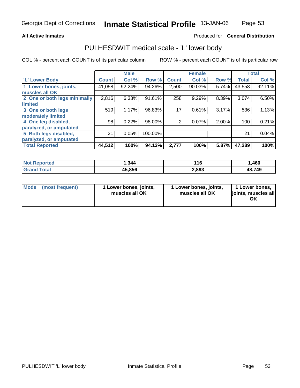#### **All Active Inmates**

### Produced for **General Distribution**

## PULHESDWIT medical scale - 'L' lower body

|                              |              | <b>Male</b> |           |                | <b>Female</b> |       |              | <b>Total</b> |
|------------------------------|--------------|-------------|-----------|----------------|---------------|-------|--------------|--------------|
| 'L' Lower Body               | <b>Count</b> | Col %       | Row %     | <b>Count</b>   | Col %         | Row % | <b>Total</b> | Col %        |
| 1 Lower bones, joints,       | 41,058       | 92.24%      | 94.26%    | 2,500          | 90.03%        | 5.74% | 43,558       | 92.11%       |
| muscles all OK               |              |             |           |                |               |       |              |              |
| 2 One or both legs minimally | 2,816        | 6.33%       | $91.61\%$ | 258            | 9.29%         | 8.39% | 3,074        | 6.50%        |
| limited                      |              |             |           |                |               |       |              |              |
| 3 One or both legs           | 519          | 1.17%       | 96.83%    | 17             | 0.61%         | 3.17% | 536          | 1.13%        |
| moderately limited           |              |             |           |                |               |       |              |              |
| 4 One leg disabled,          | 98           | 0.22%       | 98.00%    | $\overline{2}$ | 0.07%         | 2.00% | 100          | 0.21%        |
| paralyzed, or amputated      |              |             |           |                |               |       |              |              |
| 5 Both legs disabled,        | 21           | 0.05%       | 100.00%   |                |               |       | 21           | 0.04%        |
| paralyzed, or amputated      |              |             |           |                |               |       |              |              |
| <b>Total Reported</b>        | 44,512       | 100%        | 94.13%    | 2,777          | 100%          | 5.87% | 47,289       | 100%         |

| <b>Not Reported</b>         | 1,344  | l 16  | ,460   |
|-----------------------------|--------|-------|--------|
| $\tau$ otal<br><b>Grano</b> | 45,856 | 2,893 | 48,749 |

| Mode | (most frequent) | 1 Lower bones, joints,<br>muscles all OK | 1 Lower bones, joints,<br>muscles all OK | 1 Lower bones,<br>ljoints, muscles all<br>OK |
|------|-----------------|------------------------------------------|------------------------------------------|----------------------------------------------|
|------|-----------------|------------------------------------------|------------------------------------------|----------------------------------------------|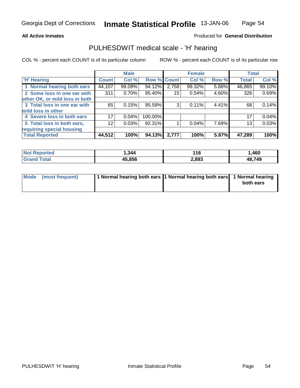#### **All Active Inmates**

### Produced for **General Distribution**

## PULHESDWIT medical scale - 'H' hearing

|                                |              | <b>Male</b> |             |                 | <b>Female</b> |       | <b>Total</b> |        |
|--------------------------------|--------------|-------------|-------------|-----------------|---------------|-------|--------------|--------|
| <b>H'</b> Hearing              | <b>Count</b> | Col %       | Row % Count |                 | Col %         | Row % | <b>Total</b> | Col %  |
| 1 Normal hearing both ears     | 44,107       | 99.09%      | 94.12%      | 2,758           | 99.32%        | 5.88% | 46,865       | 99.10% |
| 2 Some loss in one ear with    | 311          | 0.70%       | 95.40%      | 15 <sup>1</sup> | 0.54%         | 4.60% | 326          | 0.69%  |
| other OK, or mild loss in both |              |             |             |                 |               |       |              |        |
| 3 Total loss in one ear with   | 65           | 0.15%       | 95.59%      | 3               | 0.11%         | 4.41% | 68           | 0.14%  |
| mild loss in other             |              |             |             |                 |               |       |              |        |
| 4 Severe loss in both ears     | 17           | 0.04%       | 100.00%     |                 |               |       | 17           | 0.04%  |
| 5 Total loss in both ears,     | 12           | 0.03%       | 92.31%      |                 | 0.04%         | 7.69% | 13           | 0.03%  |
| requiring special housing      |              |             |             |                 |               |       |              |        |
| <b>Total Reported</b>          | 44,512       | 100%        | 94.13%      | 2,777           | 100%          | 5.87% | 47,289       | 100%   |

| rted | 344    | 116   | ,460       |
|------|--------|-------|------------|
|      | 45.856 | 2,893 | ,749<br>48 |

| Mode (most frequent) | 1 Normal hearing both ears 1 Normal hearing both ears 1 Normal hearing |           |
|----------------------|------------------------------------------------------------------------|-----------|
|                      |                                                                        | both ears |
|                      |                                                                        |           |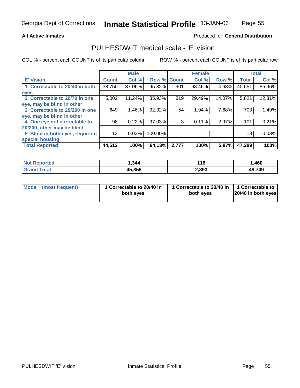#### **All Active Inmates**

### Produced for **General Distribution**

## PULHESDWIT medical scale - 'E' vision

|                                 |              | <b>Male</b> |                    |       | <b>Female</b> |        |              | <b>Total</b> |
|---------------------------------|--------------|-------------|--------------------|-------|---------------|--------|--------------|--------------|
| <b>E' Vision</b>                | <b>Count</b> | Col %       | <b>Row % Count</b> |       | Col %         | Row %  | <b>Total</b> | Col %        |
| 1 Correctable to 20/40 in both  | 38,750       | 87.06%      | 95.32%             | 1,901 | 68.46%        | 4.68%  | 40,651       | 85.96%       |
| eyes                            |              |             |                    |       |               |        |              |              |
| 2 Correctable to 20/70 in one   | 5,002        | 11.24%      | 85.93%             | 819   | 29.49%        | 14.07% | 5,821        | 12.31%       |
| eye, may be blind in other      |              |             |                    |       |               |        |              |              |
| 3 Correctable to 20/200 in one  | 649          | $1.46\%$    | 92.32%             | 54    | 1.94%         | 7.68%  | 703          | 1.49%        |
| eye, may be blind in other      |              |             |                    |       |               |        |              |              |
| 4 One eye not correctable to    | 98           | 0.22%       | 97.03%             | 3     | 0.11%         | 2.97%  | 101          | 0.21%        |
| 20/200, other may be blind      |              |             |                    |       |               |        |              |              |
| 5 Blind in both eyes, requiring | 13           | 0.03%       | 100.00%            |       |               |        | 13           | 0.03%        |
| special housing                 |              |             |                    |       |               |        |              |              |
| <b>Total Reported</b>           | 44,512       | 100%        | 94.13%             | 2,777 | 100%          | 5.87%  | 47,289       | 100%         |

| orted<br>NO.    | 344. ا | 116   | ,460   |
|-----------------|--------|-------|--------|
| `otal<br>'Grand | 45,856 | 2,893 | 48,749 |

| Mode            | 1 Correctable to 20/40 in | 1 Correctable to 20/40 in   1 Correctable to | 20/40 in both eyes |
|-----------------|---------------------------|----------------------------------------------|--------------------|
| (most frequent) | both eyes                 | both eyes                                    |                    |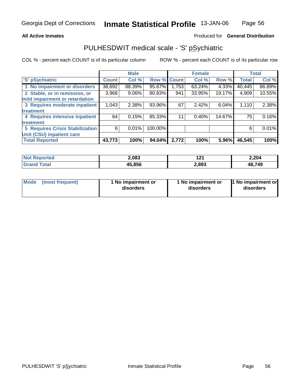#### **All Active Inmates**

#### Produced for **General Distribution**

## PULHESDWIT medical scale - 'S' pSychiatric

|                                        |              | <b>Male</b> |         |              | <b>Female</b> |        |              | <b>Total</b> |
|----------------------------------------|--------------|-------------|---------|--------------|---------------|--------|--------------|--------------|
| 'S' pSychiatric                        | <b>Count</b> | Col %       | Row %   | <b>Count</b> | Col %         | Row %  | <b>Total</b> | Col %        |
| 1 No impairment or disorders           | 38,692       | 88.39%      | 95.67%  | 1,753        | $63.24\%$     | 4.33%  | 40,445       | 86.89%       |
| 2 Stable, or in remission, or          | 3,968        | 9.06%       | 80.83%  | 941          | 33.95%        | 19.17% | 4,909        | 10.55%       |
| mild impairment or retardation         |              |             |         |              |               |        |              |              |
| 3 Requires moderate inpatient          | 1,043        | 2.38%       | 93.96%  | 67           | 2.42%         | 6.04%  | 1,110        | 2.38%        |
| treatment                              |              |             |         |              |               |        |              |              |
| 4 Requires intensive inpatient         | 64           | 0.15%       | 85.33%  | 11           | 0.40%         | 14.67% | 75           | 0.16%        |
| treatment                              |              |             |         |              |               |        |              |              |
| <b>5 Requires Crisis Stabilization</b> | 6            | 0.01%       | 100.00% |              |               |        | 6            | 0.01%        |
| Unit (CSU) inpatient care              |              |             |         |              |               |        |              |              |
| <b>Total Reported</b>                  | 43,773       | 100%        | 94.04%  | 2,772        | 100%          | 5.96%  | 46,545       | 100%         |

| <b>Not</b><br><b>orted</b> | 2,083  | າ ລະ<br>14 I | 2,204  |
|----------------------------|--------|--------------|--------|
| $f$ oto $f$<br>Cror        | 45.856 | 2,893        | 48,749 |

| <b>Mode</b> | (most frequent) | 1 No impairment or<br>disorders | 1 No impairment or<br>disorders | 1 No impairment or<br>disorders |
|-------------|-----------------|---------------------------------|---------------------------------|---------------------------------|
|-------------|-----------------|---------------------------------|---------------------------------|---------------------------------|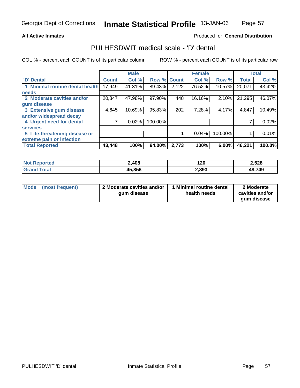#### **All Active Inmates**

### Produced for **General Distribution**

## PULHESDWIT medical scale - 'D' dental

|                                 |              | <b>Male</b> |             |       | <b>Female</b> |          |              | <b>Total</b> |
|---------------------------------|--------------|-------------|-------------|-------|---------------|----------|--------------|--------------|
| 'D' Dental                      | <b>Count</b> | Col %       | Row % Count |       | Col %         | Row %    | <b>Total</b> | Col %        |
| 1 Minimal routine dental health | 17,949       | 41.31%      | 89.43%      | 2,122 | 76.52%        | 10.57%   | 20,071       | 43.42%       |
| <b>needs</b>                    |              |             |             |       |               |          |              |              |
| 2 Moderate cavities and/or      | 20,847       | 47.98%      | 97.90%      | 448   | 16.16%        | 2.10%    | 21,295       | 46.07%       |
| gum disease                     |              |             |             |       |               |          |              |              |
| 3 Extensive gum disease         | 4,645        | 10.69%      | 95.83%      | 202   | 7.28%         | 4.17%    | 4,847        | 10.49%       |
| and/or widespread decay         |              |             |             |       |               |          |              |              |
| 4 Urgent need for dental        |              | 0.02%       | 100.00%     |       |               |          |              | 0.02%        |
| <b>services</b>                 |              |             |             |       |               |          |              |              |
| 5 Life-threatening disease or   |              |             |             |       | 0.04%         | 100.00%  |              | 0.01%        |
| extreme pain or infection       |              |             |             |       |               |          |              |              |
| <b>Total Reported</b>           | 43,448       | 100%        | 94.00%      | 2,773 | 100%          | $6.00\%$ | 46,221       | 100.0%       |

| <b>Not</b><br>Reported | 2,408  | 120   | 2,528  |
|------------------------|--------|-------|--------|
| Гоtа<br><b>Grar</b>    | 45,856 | 2,893 | 48,749 |

| Mode | (most frequent) | 2 Moderate cavities and/or  <br>gum disease | 1 Minimal routine dental<br>health needs | 2 Moderate<br>cavities and/or |
|------|-----------------|---------------------------------------------|------------------------------------------|-------------------------------|
|      |                 |                                             |                                          | gum disease                   |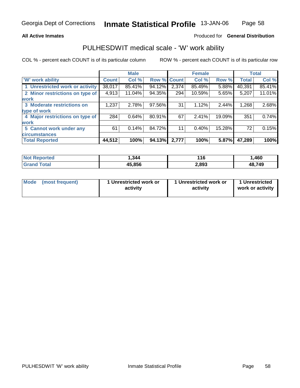### **All Active Inmates**

#### Produced for **General Distribution**

## PULHESDWIT medical scale - 'W' work ability

|                                 |              | <b>Male</b> |             |       | <b>Female</b> |        |              | <b>Total</b> |
|---------------------------------|--------------|-------------|-------------|-------|---------------|--------|--------------|--------------|
| <b>W' work ability</b>          | <b>Count</b> | Col %       | Row % Count |       | Col %         | Row %  | <b>Total</b> | Col %        |
| 1 Unrestricted work or activity | 38,017       | 85.41%      | 94.12%      | 2,374 | 85.49%        | 5.88%  | 40,391       | 85.41%       |
| 2 Minor restrictions on type of | 4,913        | 11.04%      | 94.35%      | 294   | 10.59%        | 5.65%  | 5,207        | 11.01%       |
| <b>work</b>                     |              |             |             |       |               |        |              |              |
| 3 Moderate restrictions on      | 1,237        | 2.78%       | 97.56%      | 31    | 1.12%         | 2.44%  | 1,268        | 2.68%        |
| type of work                    |              |             |             |       |               |        |              |              |
| 4 Major restrictions on type of | 284          | 0.64%       | 80.91%      | 67    | 2.41%         | 19.09% | 351          | 0.74%        |
| work                            |              |             |             |       |               |        |              |              |
| 5 Cannot work under any         | 61           | 0.14%       | 84.72%      | 11    | 0.40%         | 15.28% | 72           | 0.15%        |
| <b>circumstances</b>            |              |             |             |       |               |        |              |              |
| <b>Total Reported</b>           | 44,512       | 100%        | 94.13%      | 2,777 | 100%          | 5.87%  | 47,289       | 100%         |

| <b>Not Reported</b>               | 344. ا | 11C<br>- I V | ,460   |
|-----------------------------------|--------|--------------|--------|
| <b>Total</b><br>Gran <sub>(</sub> | 45,856 | 2,893        | 48,749 |

| Mode            | 1 Unrestricted work or | 1 Unrestricted work or | 1 Unrestricted   |
|-----------------|------------------------|------------------------|------------------|
| (most frequent) | activity               | activity               | work or activity |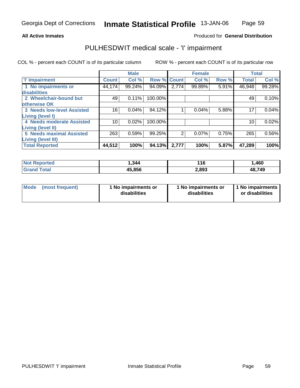## Page 59

#### **All Active Inmates**

## Produced for **General Distribution**

## PULHESDWIT medical scale - 'I' impairment

|                                   |              | <b>Male</b> |             |       | <b>Female</b> |       |              | <b>Total</b> |
|-----------------------------------|--------------|-------------|-------------|-------|---------------|-------|--------------|--------------|
| <b>T' Impairment</b>              | <b>Count</b> | Col %       | Row % Count |       | Col %         | Row % | <b>Total</b> | Col %        |
| 1 No impairments or               | 44,174       | 99.24%      | 94.09%      | 2,774 | 99.89%        | 5.91% | 46,948       | 99.28%       |
| disabilities                      |              |             |             |       |               |       |              |              |
| 2 Wheelchair-bound but            | 49           | 0.11%       | 100.00%     |       |               |       | 49           | 0.10%        |
| otherwise OK                      |              |             |             |       |               |       |              |              |
| <b>3 Needs low-level Assisted</b> | 16           | 0.04%       | 94.12%      |       | 0.04%         | 5.88% | 17           | 0.04%        |
| <b>Living (level I)</b>           |              |             |             |       |               |       |              |              |
| 4 Needs moderate Assisted         | 10           | 0.02%       | 100.00%     |       |               |       | 10           | 0.02%        |
| Living (level II)                 |              |             |             |       |               |       |              |              |
| <b>5 Needs maximal Assisted</b>   | 263          | 0.59%       | 99.25%      | 2     | 0.07%         | 0.75% | 265          | 0.56%        |
| Living (level III)                |              |             |             |       |               |       |              |              |
| <b>Total Reported</b>             | 44,512       | 100%        | 94.13%      | 2,777 | 100%          | 5.87% | 47,289       | 100%         |

| <b>Not</b><br><b>Reported</b> | ,344   | 16<br>$\sim$ | ,460   |
|-------------------------------|--------|--------------|--------|
| `otal                         | 15.856 | 2,893        | 48,749 |

| Mode | (most frequent) | 1 No impairments or<br>disabilities | 1 No impairments or<br>disabilities | 1 No impairments<br>or disabilities |
|------|-----------------|-------------------------------------|-------------------------------------|-------------------------------------|
|------|-----------------|-------------------------------------|-------------------------------------|-------------------------------------|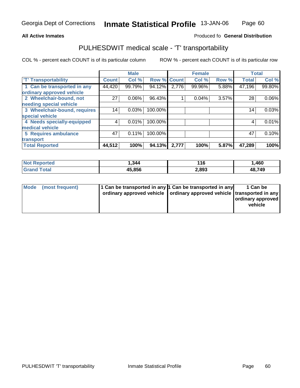#### **Inmate Statistical Profile** 13-JAN-06 Page Page 60

#### **All Active Inmates Allowski** Produced fo **General Distribution**

## PULHESDWIT medical scale - 'T' transportability

|                              |              | <b>Male</b> |                    |       | <b>Female</b> |       | <b>Total</b> |        |
|------------------------------|--------------|-------------|--------------------|-------|---------------|-------|--------------|--------|
| <b>T' Transportability</b>   | <b>Count</b> | Col %       | <b>Row % Count</b> |       | Col %         | Row % | <b>Total</b> | Col %  |
| 1 Can be transported in any  | 44,420       | 99.79%      | 94.12%             | 2,776 | 99.96%        | 5.88% | 47,196       | 99.80% |
| ordinary approved vehicle    |              |             |                    |       |               |       |              |        |
| 2 Wheelchair-bound, not      | 27           | 0.06%       | 96.43%             |       | 0.04%         | 3.57% | 28           | 0.06%  |
| needing special vehicle      |              |             |                    |       |               |       |              |        |
| 3 Wheelchair-bound, requires | 14           | 0.03%       | 100.00%            |       |               |       | 14           | 0.03%  |
| special vehicle              |              |             |                    |       |               |       |              |        |
| 4 Needs specially-equipped   |              | 0.01%       | 100.00%            |       |               |       | 4            | 0.01%  |
| medical vehicle              |              |             |                    |       |               |       |              |        |
| 5 Requires ambulance         | 47           | 0.11%       | 100.00%            |       |               |       | 47           | 0.10%  |
| transport                    |              |             |                    |       |               |       |              |        |
| <b>Total Reported</b>        | 44,512       | 100%        | 94.13%             | 2,777 | 100%          | 5.87% | 47,289       | 100%   |

| Not F<br>Reported | .344   | 116<br>$\sim$ | ,460   |
|-------------------|--------|---------------|--------|
| ⊺otal<br>'Grano   | 45,856 | 2,893         | 48,749 |

| Mode (most frequent) | 1 Can be transported in any 1 Can be transported in any<br>ordinary approved vehicle   ordinary approved vehicle   transported in any | 1 Can be<br>ordinary approved<br>vehicle |
|----------------------|---------------------------------------------------------------------------------------------------------------------------------------|------------------------------------------|
|                      |                                                                                                                                       |                                          |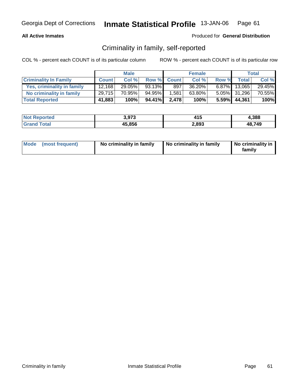#### **All Active Inmates**

#### Produced for **General Distribution**

## Criminality in family, self-reported

|                              |              | <b>Male</b> |        |             | <b>Female</b> |       |                 | Total  |
|------------------------------|--------------|-------------|--------|-------------|---------------|-------|-----------------|--------|
| <b>Criminality In Family</b> | <b>Count</b> | Col %       |        | Row % Count | Col %         | Row % | Total i         | Col %  |
| Yes, criminality in family   | 12.168       | $29.05\%$   | 93.13% | 897         | 36.20%        |       | $6.87\%$ 13,065 | 29.45% |
| No criminality in family     | 29,715       | 70.95%      | 94.95% | 1,581       | 63.80%        |       | 5.05% 31,296    | 70.55% |
| <b>Total Reported</b>        | 41,883       | 100%        | 94.41% | 2,478       | 100%          |       | $5.59\%$ 44,361 | 100%   |

| Not F<br>: Reported | 3,973  | 415   | 4,388  |
|---------------------|--------|-------|--------|
| Total               | 45,856 | 2,893 | 48.749 |

| Mode (most frequent) | No criminality in family | No criminality in family | No criminality in<br>family |
|----------------------|--------------------------|--------------------------|-----------------------------|
|----------------------|--------------------------|--------------------------|-----------------------------|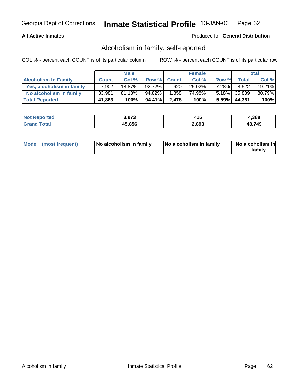### **All Active Inmates**

#### Produced for **General Distribution**

## Alcoholism in family, self-reported

|                             |              | <b>Male</b> |           |             | <b>Female</b> |          |                 | <b>Total</b> |
|-----------------------------|--------------|-------------|-----------|-------------|---------------|----------|-----------------|--------------|
| <b>Alcoholism In Family</b> | <b>Count</b> | Col%        |           | Row % Count | Col %         | Row %    | <b>Total</b>    | Col %        |
| Yes, alcoholism in family   | 7.902        | 18.87%      | $92.72\%$ | 620         | $25.02\%$     | $7.28\%$ | 8.522           | 19.21%       |
| No alcoholism in family     | 33,981       | 81.13%      | 94.82%    | 1,858       | 74.98%        |          | 5.18% 35,839    | 80.79%       |
| <b>Total Reported</b>       | 41,883       | 100%        | 94.41%    | 2,478       | 100%          |          | $5.59\%$ 44,361 | 100%         |

| Not F<br>: Reported | 3,973  | 415   | 4,388  |
|---------------------|--------|-------|--------|
| Total               | 45,856 | 2,893 | 48.749 |

| Mode (most frequent) | No alcoholism in family | No alcoholism in family | No alcoholism in<br>familv |
|----------------------|-------------------------|-------------------------|----------------------------|
|----------------------|-------------------------|-------------------------|----------------------------|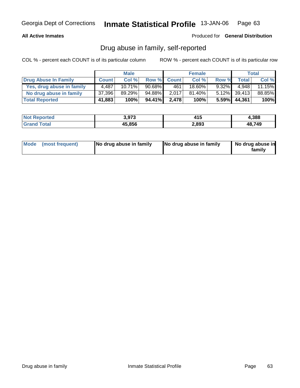### **All Active Inmates**

Produced for **General Distribution**

## Drug abuse in family, self-reported

|                           |              | <b>Male</b> |           |             | <b>Female</b> |          |                 | Total  |
|---------------------------|--------------|-------------|-----------|-------------|---------------|----------|-----------------|--------|
| Drug Abuse In Family      | <b>Count</b> | Col %       |           | Row % Count | Col %         | Row %    | <b>Total</b>    | Col %  |
| Yes, drug abuse in family | 4,487        | $10.71\%$   | $90.68\%$ | 461         | 18.60%        | $9.32\%$ | 4.948           | 11.15% |
| No drug abuse in family   | 37,396       | 89.29%      | 94.88%    | 2.017       | $81.40\%$     |          | 5.12% 39,413    | 88.85% |
| <b>Total Reported</b>     | 41,883       | 100%        | 94.41%    | 2.478       | 100%          |          | $5.59\%$ 44,361 | 100%   |

| <b>Not Reported</b> | 3,973  | 14 E<br>נו ו | 4,388  |
|---------------------|--------|--------------|--------|
| Total<br>l Grand    | 45,856 | 2,893        | 48.749 |

| Mode (most frequent)<br>No drug abuse in family | No drug abuse in family | No drug abuse in<br>familv |
|-------------------------------------------------|-------------------------|----------------------------|
|-------------------------------------------------|-------------------------|----------------------------|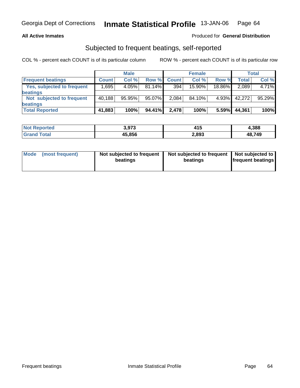#### **All Active Inmates**

### Produced for **General Distribution**

## Subjected to frequent beatings, self-reported

|                            |              | <b>Male</b> |           |              | <b>Female</b> |        |        | <b>Total</b> |
|----------------------------|--------------|-------------|-----------|--------------|---------------|--------|--------|--------------|
| <b>Frequent beatings</b>   | <b>Count</b> | Col%        | Row %     | <b>Count</b> | Col%          | Row %  | Total  | Col %        |
| Yes, subjected to frequent | .695         | 4.05%       | $81.14\%$ | 394          | 15.90%        | 18.86% | 2,089  | 4.71%        |
| <b>beatings</b>            |              |             |           |              |               |        |        |              |
| Not subjected to frequent  | 40,188       | 95.95%      | 95.07%    | 2.084        | 84.10%        | 4.93%  | 42,272 | 95.29%       |
| <b>beatings</b>            |              |             |           |              |               |        |        |              |
| <b>Total Reported</b>      | 41,883       | 100%        | 94.41%    | 2,478        | 100%          | 5.59%  | 44,361 | 100%         |

| <b>Not Reported</b>  | 3,973  | 415   | 4,388  |
|----------------------|--------|-------|--------|
| Total<br><b>Gran</b> | 45,856 | 2,893 | 48,749 |

| Mode            | Not subjected to frequent | Not subjected to frequent | Not subjected to         |
|-----------------|---------------------------|---------------------------|--------------------------|
| (most frequent) | beatings                  | beatings                  | <b>frequent beatings</b> |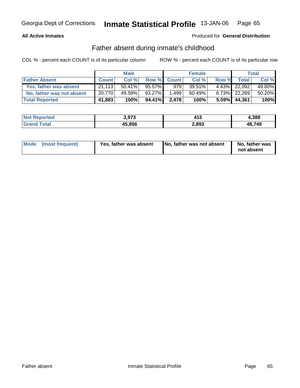### **All Active Inmates**

### Produced for **General Distribution**

## Father absent during inmate's childhood

|                           |              | <b>Male</b> |        |                  | <b>Female</b> |       |              | Total  |
|---------------------------|--------------|-------------|--------|------------------|---------------|-------|--------------|--------|
| <b>Father Absent</b>      | <b>Count</b> | Col %       |        | Row % Count      | Col %         | Row % | <b>Total</b> | Col %  |
| Yes, father was absent    | 21.113       | $50.41\%$   | 95.57% | 979 <sub>1</sub> | 39.51%        |       | 4.43% 22,092 | 49.80% |
| No, father was not absent | 20,770       | 49.59%      | 93.27% | 1.499            | 60.49%        |       | 6.73% 22,269 | 50.20% |
| <b>Total Reported</b>     | 41,883       | 100%        | 94.41% | 2.478            | 100%          |       | 5.59% 44,361 | 100%   |

| Not F<br>: Reported | 3,973  | 415   | 4,388  |
|---------------------|--------|-------|--------|
| Total               | 45,856 | 2,893 | 48.749 |

| Mode (most frequent)<br>Yes, father was absent | No, father was not absent | No, father was<br>not absent |
|------------------------------------------------|---------------------------|------------------------------|
|------------------------------------------------|---------------------------|------------------------------|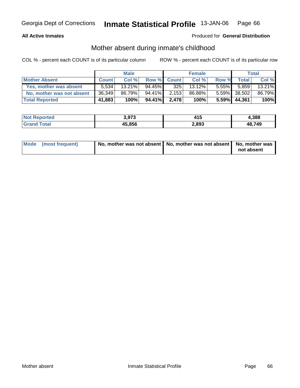### **All Active Inmates**

### Produced for **General Distribution**

## Mother absent during inmate's childhood

|                           |              | <b>Male</b> |           |             | <b>Female</b> |          |                 | <b>Total</b> |
|---------------------------|--------------|-------------|-----------|-------------|---------------|----------|-----------------|--------------|
| <b>Mother Absent</b>      | <b>Count</b> | Col %       |           | Row % Count | Col %         | Row %    | <b>Total</b>    | Col %        |
| Yes, mother was absent    | 5.534        | $13.21\%$   | $94.45\%$ | 325         | $13.12\%$     | $5.55\%$ | 5.859           | 13.21%       |
| No, mother was not absent | 36,349       | 86.79%      | $94.41\%$ | 2,153       | 86.88%        |          | 5.59% 38,502    | 86.79%       |
| <b>Total Reported</b>     | 41,883       | 100%        | 94.41%    | 2,478       | 100%          |          | $5.59\%$ 44,361 | 100%         |

| <b>Not Reported</b> | 3,973  | 415   | 4,388  |
|---------------------|--------|-------|--------|
| <b>Srand Total</b>  | 45,856 | 2,893 | 48.749 |

| Mode (most frequent) | No, mother was not absent   No, mother was not absent   No, mother was |            |
|----------------------|------------------------------------------------------------------------|------------|
|                      |                                                                        | not absent |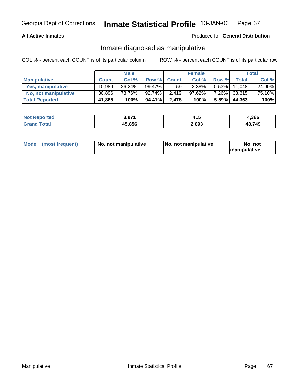#### **All Active Inmates**

### Produced for **General Distribution**

## Inmate diagnosed as manipulative

|                       |              | <b>Male</b> |        |              | <b>Female</b> |          |        | Total  |
|-----------------------|--------------|-------------|--------|--------------|---------------|----------|--------|--------|
| <b>Manipulative</b>   | <b>Count</b> | Col %       | Row %  | <b>Count</b> | Col %         | Row %    | Total  | Col %  |
| Yes, manipulative     | 10.989       | 26.24%      | 99.47% | 59           | 2.38%         | $0.53\%$ | 11.048 | 24.90% |
| No, not manipulative  | 30,896       | 73.76%      | 92.74% | 2,419        | $97.62\%$     | $7.26\%$ | 33,315 | 75.10% |
| <b>Total Reported</b> | 41,885       | 100%        | 94.41% | 2,478        | 100%          | $5.59\%$ | 44,363 | 100%   |

| <b>Not Reported</b>   | 3.97'' | .<br>ט ד | 4,386  |
|-----------------------|--------|----------|--------|
| <b>Cotal</b><br>Grand | 45,856 | 2,893    | 48,749 |

| <b>Mode</b> | (most frequent) | No, not manipulative | No, not manipulative | . not<br>No<br><b>Imanipulative</b> |
|-------------|-----------------|----------------------|----------------------|-------------------------------------|
|-------------|-----------------|----------------------|----------------------|-------------------------------------|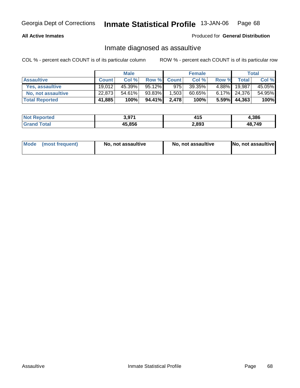#### **All Active Inmates**

#### Produced for **General Distribution**

## Inmate diagnosed as assaultive

|                       |              | <b>Male</b> |        |              | <b>Female</b> |       |                 | Total  |
|-----------------------|--------------|-------------|--------|--------------|---------------|-------|-----------------|--------|
| <b>Assaultive</b>     | <b>Count</b> | Col %       | Row %  | <b>Count</b> | Col %         | Row % | <b>Total</b>    | Col %  |
| Yes, assaultive       | 19,012       | 45.39%      | 95.12% | 975          | 39.35%        | 4.88% | 19.987          | 45.05% |
| No, not assaultive    | 22,873       | $54.61\%$   | 93.83% | 1,503        | 60.65%        |       | $6.17\%$ 24,376 | 54.95% |
| <b>Total Reported</b> | 41,885       | 100%        | 94.41% | 2,478        | 100%          |       | 5.59% 44,363    | 100%   |

| <b>Not Reported</b> | 3,971  | 14 F<br>7 I J | 4,386  |
|---------------------|--------|---------------|--------|
| <b>Grand Total</b>  | 45,856 | 2,893         | 48,749 |

| Mode (most frequent) |  | No, not assaultive | No, not assaultive | No, not assaultive |
|----------------------|--|--------------------|--------------------|--------------------|
|----------------------|--|--------------------|--------------------|--------------------|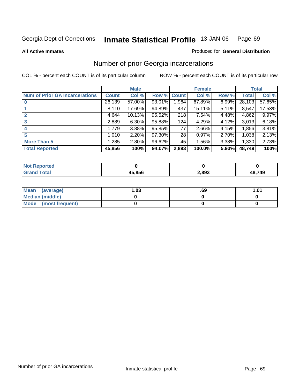**All Active Inmates**

#### Produced for **General Distribution**

## Number of prior Georgia incarcerations

|                                       |         | <b>Male</b> |             |       | <b>Female</b> |       |        | <b>Total</b> |
|---------------------------------------|---------|-------------|-------------|-------|---------------|-------|--------|--------------|
| <b>Num of Prior GA Incarcerations</b> | Count l | Col %       | Row % Count |       | Col %         | Row % | Total  | Col %        |
|                                       | 26,139  | 57.00%      | 93.01%      | 1,964 | 67.89%        | 6.99% | 28,103 | 57.65%       |
|                                       | 8,110   | 17.69%      | 94.89%      | 437   | 15.11%        | 5.11% | 8,547  | 17.53%       |
| $\overline{2}$                        | 4,644   | 10.13%      | 95.52%      | 218   | 7.54%         | 4.48% | 4,862  | 9.97%        |
| 3                                     | 2,889   | 6.30%       | 95.88%      | 124   | 4.29%         | 4.12% | 3.013  | 6.18%        |
| $\boldsymbol{4}$                      | 1,779   | 3.88%       | 95.85%      | 77    | 2.66%         | 4.15% | 1,856  | 3.81%        |
| 5                                     | 1,010   | 2.20%       | 97.30%      | 28    | 0.97%         | 2.70% | 1,038  | 2.13%        |
| <b>More Than 5</b>                    | 1,285   | 2.80%       | 96.62%      | 45    | 1.56%         | 3.38% | 1,330  | 2.73%        |
| <b>Total Reported</b>                 | 45,856  | 100%        | 94.07%      | 2,893 | 100.0%        | 5.93% | 48,749 | 100%         |

| NI (   |        |       |        |
|--------|--------|-------|--------|
| The Li | 15.856 | 2,893 | 48,749 |

| Mean (average)       | l.O3 | .69 | .01 |
|----------------------|------|-----|-----|
| Median (middle)      |      |     |     |
| Mode (most frequent) |      |     |     |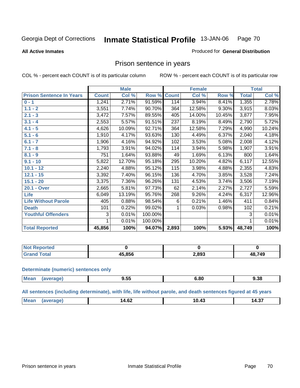**All Active Inmates**

#### Produced for **General Distribution**

## Prison sentence in years

COL % - percent each COUNT is of its particular column ROW % - percent each COUNT is of its particular row

|                                 |              | <b>Male</b> |         |              | <b>Female</b> |          |              | <b>Total</b> |
|---------------------------------|--------------|-------------|---------|--------------|---------------|----------|--------------|--------------|
| <b>Prison Sentence In Years</b> | <b>Count</b> | Col %       | Row %   | <b>Count</b> | Col %         | Row %    | <b>Total</b> | Col %        |
| $0 - 1$                         | 1,241        | 2.71%       | 91.59%  | 114          | 3.94%         | 8.41%    | 1,355        | 2.78%        |
| $1.1 - 2$                       | 3,551        | 7.74%       | 90.70%  | 364          | 12.58%        | $9.30\%$ | 3,915        | 8.03%        |
| $2.1 - 3$                       | 3,472        | 7.57%       | 89.55%  | 405          | 14.00%        | 10.45%   | 3,877        | 7.95%        |
| $3.1 - 4$                       | 2,553        | 5.57%       | 91.51%  | 237          | 8.19%         | 8.49%    | 2,790        | 5.72%        |
| $4.1 - 5$                       | 4,626        | 10.09%      | 92.71%  | 364          | 12.58%        | 7.29%    | 4,990        | 10.24%       |
| $5.1 - 6$                       | 1,910        | 4.17%       | 93.63%  | 130          | 4.49%         | 6.37%    | 2,040        | 4.18%        |
| $6.1 - 7$                       | 1,906        | 4.16%       | 94.92%  | 102          | 3.53%         | 5.08%    | 2,008        | 4.12%        |
| $7.1 - 8$                       | 1,793        | 3.91%       | 94.02%  | 114          | 3.94%         | 5.98%    | 1,907        | 3.91%        |
| $8.1 - 9$                       | 751          | 1.64%       | 93.88%  | 49           | 1.69%         | 6.13%    | 800          | 1.64%        |
| $9.1 - 10$                      | 5,822        | 12.70%      | 95.18%  | 295          | 10.20%        | 4.82%    | 6,117        | 12.55%       |
| $10.1 - 12$                     | 2,240        | 4.88%       | 95.12%  | 115          | 3.98%         | 4.88%    | 2,355        | 4.83%        |
| $12.1 - 15$                     | 3,392        | 7.40%       | 96.15%  | 136          | 4.70%         | 3.85%    | 3,528        | 7.24%        |
| $15.1 - 20$                     | 3,375        | 7.36%       | 96.26%  | 131          | 4.53%         | 3.74%    | 3,506        | 7.19%        |
| 20.1 - Over                     | 2,665        | 5.81%       | 97.73%  | 62           | 2.14%         | 2.27%    | 2,727        | 5.59%        |
| <b>Life</b>                     | 6,049        | 13.19%      | 95.76%  | 268          | 9.26%         | 4.24%    | 6,317        | 12.96%       |
| <b>Life Without Parole</b>      | 405          | 0.88%       | 98.54%  | 6            | 0.21%         | 1.46%    | 411          | 0.84%        |
| <b>Death</b>                    | 101          | 0.22%       | 99.02%  |              | 0.03%         | 0.98%    | 102          | 0.21%        |
| <b>Youthful Offenders</b>       | 3            | 0.01%       | 100.00% |              |               |          | 3            | 0.01%        |
|                                 | 1            | 0.01%       | 100.00% |              |               |          | $\mathbf 1$  | 0.01%        |
| <b>Total Reported</b>           | 45,856       | 100%        | 94.07%  | 2,893        | 100%          | 5.93%    | 48,749       | 100%         |

| orted        |       |       |        |
|--------------|-------|-------|--------|
| <b>Total</b> | 5.856 | 2,893 | 48,749 |

#### **Determinate (numeric) sentences only**

| <b>Mex</b> | ---    | 00   | 9.38 |
|------------|--------|------|------|
| 120 P      | $-5.5$ | . ОР |      |
| - .        | ວ.ບບ   | v.vv |      |

#### **All sentences (including determinate), with life, life without parole, and death sentences figured at 45 years**

| 10.4J<br>л<br>י ∡ס.ויי<br>-1.J<br>$\sim$ $\sim$<br>$\sim$ $\sim$ |  | 'Me | $\overline{ }$ | $\sim$ | $\sim$ |
|------------------------------------------------------------------|--|-----|----------------|--------|--------|
|------------------------------------------------------------------|--|-----|----------------|--------|--------|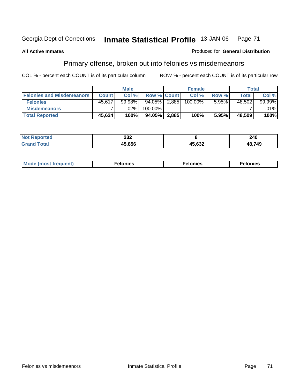### **All Active Inmates**

#### Produced for **General Distribution**

# Primary offense, broken out into felonies vs misdemeanors

|                                  |              | <b>Male</b> |                    |       | <b>Female</b> |       | Total  |        |
|----------------------------------|--------------|-------------|--------------------|-------|---------------|-------|--------|--------|
| <b>Felonies and Misdemeanors</b> | <b>Count</b> | Col%        | <b>Row % Count</b> |       | Col %         | Row % | Total  | Col %  |
| <b>Felonies</b>                  | 45,617       | 99.98%      | 94.05%             | 2,885 | 100.00%       | 5.95% | 48,502 | 99.99% |
| <b>Misdemeanors</b>              |              | .02%        | 100.00%            |       |               |       |        | .01%   |
| <b>Total Reported</b>            | 45,624       | 100%        | 94.05%             | 2,885 | 100%          | 5.95% | 48,509 | 100%   |

| <b>Not</b><br>eported<br>. | ົາາາ<br>ZJZ |        | 240    |
|----------------------------|-------------|--------|--------|
|                            | 15 856      | 45,632 | 48,749 |

| Mode (most frequent) | าทเคร | lonies | elonies |
|----------------------|-------|--------|---------|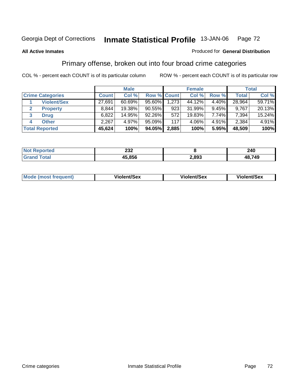#### **All Active Inmates**

#### Produced for **General Distribution**

## Primary offense, broken out into four broad crime categories

|                         |              | <b>Male</b> |                    |       | <b>Female</b> |       |        | Total  |
|-------------------------|--------------|-------------|--------------------|-------|---------------|-------|--------|--------|
| <b>Crime Categories</b> | <b>Count</b> | Col %       | <b>Row % Count</b> |       | Col %         | Row % | Total  | Col %  |
| <b>Violent/Sex</b>      | 27,691       | 60.69%      | 95.60%             | 1,273 | 44.12%        | 4.40% | 28,964 | 59.71% |
| <b>Property</b>         | 8,844        | 19.38%      | 90.55%             | 923   | 31.99%        | 9.45% | 9.767  | 20.13% |
| 3<br><b>Drug</b>        | 6,822        | 14.95%      | $92.26\%$          | 572   | 19.83%        | 7.74% | 7,394  | 15.24% |
| <b>Other</b><br>4       | 2,267        | 4.97%       | 95.09%             | 117   | 4.06%         | 4.91% | 2,384  | 4.91%  |
| <b>Total Reported</b>   | 45,624       | 100%        | 94.05%             | 2,885 | 100%          | 5.95% | 48,509 | 100%   |

| <b>Not</b><br><b>rteo</b> | າາາ<br>ZJZ |       | 240    |
|---------------------------|------------|-------|--------|
| ™otai                     | 45,856     | 2,893 | 48,749 |

|  | Mode<br>frequent) | lent/Sex<br>.<br>. | ent/Sex<br>$M_{\rm BH}$ | <b>it/Sex</b><br>$\sim$ and<br>.<br>$ -$ |
|--|-------------------|--------------------|-------------------------|------------------------------------------|
|--|-------------------|--------------------|-------------------------|------------------------------------------|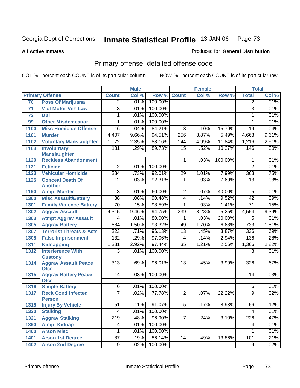Produced for **General Distribution**

#### **All Active Inmates**

# Primary offense, detailed offense code

|      |                                            | <b>Male</b>             |       |         | <b>Female</b>   | <b>Total</b> |         |                  |       |
|------|--------------------------------------------|-------------------------|-------|---------|-----------------|--------------|---------|------------------|-------|
|      | <b>Primary Offense</b>                     | <b>Count</b>            | Col % | Row %   | <b>Count</b>    | Col %        | Row %   | <b>Total</b>     | Col % |
| 70   | <b>Poss Of Marijuana</b>                   | $\overline{2}$          | .01%  | 100.00% |                 |              |         | $\overline{2}$   | .01%  |
| 71   | <b>Viol Motor Veh Law</b>                  | $\overline{3}$          | .01%  | 100.00% |                 |              |         | 3                | .01%  |
| 72   | <b>Dui</b>                                 | 1                       | .01%  | 100.00% |                 |              |         | 1                | .01%  |
| 99   | <b>Other Misdemeanor</b>                   | 1                       | .01%  | 100.00% |                 |              |         | 1                | .01%  |
| 1100 | <b>Misc Homicide Offense</b>               | 16                      | .04%  | 84.21%  | $\overline{3}$  | .10%         | 15.79%  | $\overline{19}$  | .04%  |
| 1101 | <b>Murder</b>                              | 4,407                   | 9.66% | 94.51%  | 256             | 8.87%        | 5.49%   | 4,663            | 9.61% |
| 1102 | <b>Voluntary Manslaughter</b>              | 1,072                   | 2.35% | 88.16%  | 144             | 4.99%        | 11.84%  | 1,216            | 2.51% |
| 1103 | <b>Involuntary</b>                         | 131                     | .29%  | 89.73%  | $\overline{15}$ | .52%         | 10.27%  | 146              | .30%  |
|      | <b>Manslaughter</b>                        |                         |       |         |                 |              |         |                  |       |
| 1120 | <b>Reckless Abandonment</b>                |                         |       |         | 1               | .03%         | 100.00% | 1                | .01%  |
| 1121 | <b>Feticide</b>                            | $\overline{2}$          | .01%  | 100.00% |                 |              |         | $\overline{2}$   | .01%  |
| 1123 | <b>Vehicular Homicide</b>                  | 334                     | .73%  | 92.01%  | 29              | 1.01%        | 7.99%   | 363              | .75%  |
| 1125 | <b>Conceal Death Of</b><br><b>Another</b>  | $\overline{12}$         | .03%  | 92.31%  | $\mathbf{1}$    | .03%         | 7.69%   | $\overline{13}$  | .03%  |
| 1190 | <b>Atmpt Murder</b>                        | $\overline{3}$          | .01%  | 60.00%  | $\overline{2}$  | .07%         | 40.00%  | 5                | .01%  |
| 1300 | <b>Misc Assault/Battery</b>                | $\overline{38}$         | .08%  | 90.48%  | 4               | .14%         | 9.52%   | $\overline{42}$  | .09%  |
| 1301 | <b>Family Violence Battery</b>             | $\overline{70}$         | .15%  | 98.59%  | $\mathbf 1$     | .03%         | 1.41%   | $\overline{71}$  | .15%  |
| 1302 | <b>Aggrav Assault</b>                      | 4,315                   | 9.46% | 94.75%  | 239             | 8.28%        | 5.25%   | 4,554            | 9.39% |
| 1303 | <b>Atmpt Aggrav Assault</b>                | 4                       | .01%  | 80.00%  | 1               | .03%         | 20.00%  | 5                | .01%  |
| 1305 | <b>Aggrav Battery</b>                      | 684                     | 1.50% | 93.32%  | 49              | 1.70%        | 6.68%   | 733              | 1.51% |
| 1307 | <b>Terrorist Threats &amp; Acts</b>        | $\overline{323}$        | .71%  | 96.13%  | $\overline{13}$ | .45%         | 3.87%   | 336              | .69%  |
| 1308 | <b>False Imprisonment</b>                  | 132                     | .29%  | 97.06%  | 4               | .14%         | 2.94%   | 136              | .28%  |
| 1311 | <b>Kidnapping</b>                          | 1,331                   | 2.92% | 97.44%  | $\overline{35}$ | 1.21%        | 2.56%   | 1,366            | 2.82% |
| 1312 | <b>Interference With</b><br><b>Custody</b> | $\overline{3}$          | .01%  | 100.00% |                 |              |         | 3                | .01%  |
| 1314 | <b>Aggrav Assault Peace</b><br><b>Ofcr</b> | $\overline{313}$        | .69%  | 96.01%  | $\overline{13}$ | .45%         | 3.99%   | 326              | .67%  |
| 1315 | <b>Aggrav Battery Peace</b><br><b>Ofcr</b> | 14                      | .03%  | 100.00% |                 |              |         | 14               | .03%  |
| 1316 | <b>Simple Battery</b>                      | $\overline{6}$          | .01%  | 100.00% |                 |              |         | 6                | .01%  |
| 1317 | <b>Reck Cond Infected</b>                  | $\overline{7}$          | .02%  | 77.78%  | $\overline{2}$  | .07%         | 22.22%  | 9                | .02%  |
|      | <b>Person</b>                              |                         |       |         |                 |              |         |                  |       |
| 1318 | <b>Injury By Vehicle</b>                   | 51                      | .11%  | 91.07%  | $\overline{5}$  | .17%         | 8.93%   | $\overline{56}$  | .12%  |
| 1320 | <b>Stalking</b>                            | $\overline{\mathbf{4}}$ | .01%  | 100.00% |                 |              |         | 4                | .01%  |
| 1321 | <b>Aggrav Stalking</b>                     | $\overline{219}$        | .48%  | 96.90%  | $\overline{7}$  | .24%         | 3.10%   | 226              | .47%  |
| 1390 | <b>Atmpt Kidnap</b>                        | 4                       | .01%  | 100.00% |                 |              |         | 4                | .01%  |
| 1400 | <b>Arson Misc</b>                          | 1                       | .01%  | 100.00% |                 |              |         | 1                | .01%  |
| 1401 | <b>Arson 1st Degree</b>                    | $\overline{87}$         | .19%  | 86.14%  | 14              | .49%         | 13.86%  | $\overline{101}$ | .21%  |
| 1402 | <b>Arson 2nd Degree</b>                    | $\overline{9}$          | .02%  | 100.00% |                 |              |         | 9                | .02%  |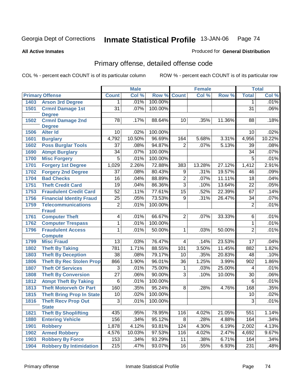Produced for **General Distribution**

#### **All Active Inmates**

# Primary offense, detailed offense code

|      |                                              | <b>Male</b>      |        |         |                  | <b>Female</b> | <b>Total</b> |                  |        |
|------|----------------------------------------------|------------------|--------|---------|------------------|---------------|--------------|------------------|--------|
|      | <b>Primary Offense</b>                       | <b>Count</b>     | Col %  | Row %   | <b>Count</b>     | Col%          | Row %        | <b>Total</b>     | Col %  |
| 1403 | <b>Arson 3rd Degree</b>                      | $\mathbf 1$      | .01%   | 100.00% |                  |               |              | 1                | .01%   |
| 1501 | <b>Crmnl Damage 1st</b>                      | $\overline{31}$  | .07%   | 100.00% |                  |               |              | $\overline{31}$  | .06%   |
|      | <b>Degree</b>                                |                  |        |         |                  |               |              |                  |        |
| 1502 | <b>Crmnl Damage 2nd</b>                      | $\overline{78}$  | .17%   | 88.64%  | 10 <sup>°</sup>  | .35%          | 11.36%       | 88               | .18%   |
| 1506 | <b>Degree</b><br><b>Alter Id</b>             | 10               | .02%   | 100.00% |                  |               |              | 10               | .02%   |
| 1601 |                                              | 4,792            | 10.50% | 96.69%  | 164              | 5.68%         | 3.31%        | 4,956            | 10.22% |
| 1602 | <b>Burglary</b><br><b>Poss Burglar Tools</b> | $\overline{37}$  | .08%   | 94.87%  | $\overline{2}$   | .07%          | 5.13%        | 39               | .08%   |
| 1690 |                                              | $\overline{34}$  | .07%   | 100.00% |                  |               |              | $\overline{34}$  | .07%   |
|      | <b>Atmpt Burglary</b>                        | $\overline{5}$   |        | 100.00% |                  |               |              | $\overline{5}$   |        |
| 1700 | <b>Misc Forgery</b>                          |                  | .01%   |         |                  |               |              |                  | .01%   |
| 1701 | <b>Forgery 1st Degree</b>                    | 1,029            | 2.26%  | 72.88%  | 383              | 13.28%        | 27.12%       | 1,412            | 2.91%  |
| 1702 | <b>Forgery 2nd Degree</b>                    | $\overline{37}$  | .08%   | 80.43%  | 9                | .31%          | 19.57%       | 46               | .09%   |
| 1704 | <b>Bad Checks</b>                            | $\overline{16}$  | .04%   | 88.89%  | $\overline{2}$   | .07%          | 11.11%       | $\overline{18}$  | .04%   |
| 1751 | <b>Theft Credit Card</b>                     | $\overline{19}$  | .04%   | 86.36%  | $\overline{3}$   | .10%          | 13.64%       | $\overline{22}$  | .05%   |
| 1753 | <b>Fraudulent Credit Card</b>                | $\overline{52}$  | .11%   | 77.61%  | $\overline{15}$  | .52%          | 22.39%       | 67               | .14%   |
| 1756 | <b>Financial Identity Fraud</b>              | $\overline{25}$  | .05%   | 73.53%  | $\overline{9}$   | .31%          | 26.47%       | $\overline{34}$  | .07%   |
| 1759 | <b>Telecommunications</b>                    | $\overline{2}$   | .01%   | 100.00% |                  |               |              | $\overline{2}$   | .01%   |
|      | <b>Fraud</b>                                 |                  | .01%   | 66.67%  | $\overline{2}$   | .07%          | 33.33%       | $\overline{6}$   | .01%   |
| 1761 | <b>Computer Theft</b>                        | $\overline{4}$   | .01%   |         |                  |               |              |                  |        |
| 1762 | <b>Computer Trespass</b>                     | $\mathbf{1}$     |        | 100.00% |                  |               |              | $\overline{1}$   | .01%   |
| 1796 | <b>Fraudulent Access</b><br><b>Compute</b>   | $\mathbf{1}$     | .01%   | 50.00%  | $\mathbf{1}$     | .03%          | 50.00%       | $\overline{2}$   | .01%   |
| 1799 | <b>Misc Fraud</b>                            | 13               | .03%   | 76.47%  | 4                | .14%          | 23.53%       | 17               | .04%   |
| 1802 | <b>Theft By Taking</b>                       | 781              | 1.71%  | 88.55%  | 101              | 3.50%         | 11.45%       | 882              | 1.82%  |
| 1803 | <b>Theft By Deception</b>                    | $\overline{38}$  | .08%   | 79.17%  | 10               | .35%          | 20.83%       | 48               | .10%   |
| 1806 | <b>Theft By Rec Stolen Prop</b>              | 866              | 1.90%  | 96.01%  | $\overline{36}$  | 1.25%         | 3.99%        | $\overline{902}$ | 1.86%  |
| 1807 | <b>Theft Of Services</b>                     | $\overline{3}$   | .01%   | 75.00%  | 1                | .03%          | 25.00%       | 4                | .01%   |
| 1808 | <b>Theft By Conversion</b>                   | $\overline{27}$  | .06%   | 90.00%  | $\overline{3}$   | .10%          | 10.00%       | $\overline{30}$  | .06%   |
| 1812 | <b>Atmpt Theft By Taking</b>                 | $\overline{6}$   | .01%   | 100.00% |                  |               |              | $\overline{6}$   | .01%   |
| 1813 | <b>Theft Motorveh Or Part</b>                | 160              | .35%   | 95.24%  | $\overline{8}$   | .28%          | 4.76%        | 168              | .35%   |
| 1815 | <b>Theft Bring Prop In State</b>             | 10               | .02%   | 100.00% |                  |               |              | 10               | .02%   |
| 1816 | <b>Theft Recv Prop Out</b>                   | $\overline{3}$   | .01%   | 100.00% |                  |               |              | $\overline{3}$   | .01%   |
|      | <b>State</b>                                 |                  |        |         |                  |               |              |                  |        |
| 1821 | <b>Theft By Shoplifting</b>                  | 435              | .95%   | 78.95%  | 116              | 4.02%         | 21.05%       | 551              | 1.14%  |
| 1880 | <b>Entering Vehicle</b>                      | 156              | .34%   | 95.12%  | $\overline{8}$   | .28%          | 4.88%        | 164              | .34%   |
| 1901 | <b>Robbery</b>                               | 1,878            | 4.12%  | 93.81%  | $\overline{124}$ | 4.30%         | 6.19%        | 2,002            | 4.13%  |
| 1902 | <b>Armed Robbery</b>                         | 4,576            | 10.03% | 97.53%  | 116              | 4.02%         | 2.47%        | 4,692            | 9.67%  |
| 1903 | <b>Robbery By Force</b>                      | 153              | .34%   | 93.29%  | 11               | .38%          | 6.71%        | 164              | .34%   |
| 1904 | <b>Robbery By Intimidation</b>               | $\overline{215}$ | .47%   | 93.07%  | 16               | .55%          | 6.93%        | 231              | .48%   |
|      |                                              |                  |        |         |                  |               |              |                  |        |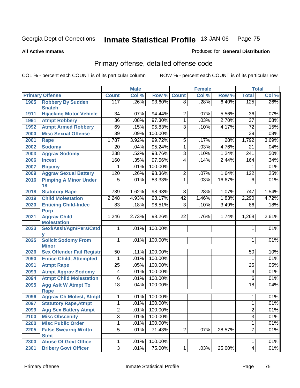Produced for **General Distribution**

#### **All Active Inmates**

# Primary offense, detailed offense code

|      |                                    |                 | <b>Male</b> |         |                | <b>Female</b> |        |                  | <b>Total</b> |
|------|------------------------------------|-----------------|-------------|---------|----------------|---------------|--------|------------------|--------------|
|      | <b>Primary Offense</b>             | <b>Count</b>    | Col %       | Row %   | <b>Count</b>   | Col %         | Row %  | <b>Total</b>     | Col %        |
| 1905 | <b>Robbery By Sudden</b>           | 117             | .26%        | 93.60%  | $\overline{8}$ | .28%          | 6.40%  | 125              | $.26\%$      |
|      | <b>Snatch</b>                      |                 |             |         |                |               |        |                  |              |
| 1911 | <b>Hijacking Motor Vehicle</b>     | $\overline{34}$ | .07%        | 94.44%  | 2              | .07%          | 5.56%  | 36               | .07%         |
| 1991 | <b>Atmpt Robbery</b>               | $\overline{36}$ | .08%        | 97.30%  | 1              | .03%          | 2.70%  | $\overline{37}$  | .08%         |
| 1992 | <b>Atmpt Armed Robbery</b>         | 69              | .15%        | 95.83%  | 3              | .10%          | 4.17%  | $\overline{72}$  | .15%         |
| 2000 | <b>Misc Sexual Offense</b>         | $\overline{39}$ | .09%        | 100.00% |                |               |        | 39               | .08%         |
| 2001 | <b>Rape</b>                        | 1,787           | 3.92%       | 99.72%  | 5              | .17%          | .28%   | 1,792            | 3.69%        |
| 2002 | <b>Sodomy</b>                      | 20              | .04%        | 95.24%  | $\mathbf{1}$   | .03%          | 4.76%  | $\overline{21}$  | .04%         |
| 2003 | <b>Aggrav Sodomy</b>               | 238             | .52%        | 98.76%  | 3              | .10%          | 1.24%  | 241              | .50%         |
| 2006 | <b>Incest</b>                      | 160             | .35%        | 97.56%  | 4              | .14%          | 2.44%  | 164              | .34%         |
| 2007 | <b>Bigamy</b>                      | 1               | .01%        | 100.00% |                |               |        | 1                | .01%         |
| 2009 | <b>Aggrav Sexual Battery</b>       | 120             | .26%        | 98.36%  | 2              | .07%          | 1.64%  | 122              | .25%         |
| 2016 | <b>Pimping A Minor Under</b>       | 5               | .01%        | 83.33%  | 1              | .03%          | 16.67% | 6                | .01%         |
|      | 18                                 |                 |             |         |                |               |        |                  |              |
| 2018 | <b>Statutory Rape</b>              | 739             | 1.62%       | 98.93%  | 8              | .28%          | 1.07%  | $\overline{747}$ | 1.54%        |
| 2019 | <b>Child Molestation</b>           | 2,248           | 4.93%       | 98.17%  | 42             | 1.46%         | 1.83%  | 2,290            | 4.72%        |
| 2020 | <b>Enticing Child-Indec</b>        | 83              | .18%        | 96.51%  | $\overline{3}$ | .10%          | 3.49%  | 86               | .18%         |
| 2021 | <b>Purp</b><br><b>Aggrav Child</b> | 1,246           | 2.73%       | 98.26%  | 22             | .76%          | 1.74%  | 1,268            | 2.61%        |
|      | <b>Molestation</b>                 |                 |             |         |                |               |        |                  |              |
| 2023 | Sexl/AssIt/Agn/Pers/Cstd           | $\mathbf 1$     | .01%        | 100.00% |                |               |        | 1                | .01%         |
|      |                                    |                 |             |         |                |               |        |                  |              |
| 2025 | <b>Solicit Sodomy From</b>         | 1               | .01%        | 100.00% |                |               |        | 1                | .01%         |
|      | <b>Minor</b>                       |                 |             |         |                |               |        |                  |              |
| 2026 | <b>Sex Offender Fail Registr</b>   | 50              | .11%        | 100.00% |                |               |        | 50               | .10%         |
| 2090 | <b>Entice Child, Attempted</b>     | 1               | .01%        | 100.00% |                |               |        | 1                | .01%         |
| 2091 | <b>Atmpt Rape</b>                  | $\overline{25}$ | .05%        | 100.00% |                |               |        | $\overline{25}$  | .05%         |
| 2093 | <b>Atmpt Aggrav Sodomy</b>         | 4               | .01%        | 100.00% |                |               |        | 4                | .01%         |
| 2094 | <b>Atmpt Child Molestation</b>     | 6               | .01%        | 100.00% |                |               |        | 6                | .01%         |
| 2095 | <b>Agg Aslt W Atmpt To</b>         | $\overline{18}$ | .04%        | 100.00% |                |               |        | $\overline{18}$  | .04%         |
|      | Rape                               |                 |             |         |                |               |        |                  |              |
| 2096 | <b>Aggrav Ch Molest, Atmpt</b>     | 1               | .01%        | 100.00% |                |               |        | 1                | .01%         |
| 2097 | <b>Statutory Rape, Atmpt</b>       | $\mathbf{1}$    | .01%        | 100.00% |                |               |        | $\mathbf 1$      | .01%         |
| 2099 | <b>Agg Sex Battery Atmpt</b>       | 2               | .01%        | 100.00% |                |               |        | $\overline{2}$   | .01%         |
| 2100 | <b>Misc Obscenity</b>              | $\overline{3}$  | .01%        | 100.00% |                |               |        | $\overline{3}$   | .01%         |
| 2200 | <b>Misc Public Order</b>           | 1               | .01%        | 100.00% |                |               |        | 1                | .01%         |
| 2205 | <b>False Swearng Writtn</b>        | $\overline{5}$  | .01%        | 71.43%  | $\overline{2}$ | .07%          | 28.57% | $\overline{7}$   | .01%         |
|      | <b>Stmt</b>                        |                 |             |         |                |               |        |                  |              |
| 2300 | <b>Abuse Of Govt Office</b>        | 1               | .01%        | 100.00% |                |               |        | 1                | .01%         |
| 2301 | <b>Bribery Govt Officer</b>        | $\overline{3}$  | .01%        | 75.00%  | 1              | .03%          | 25.00% | $\overline{4}$   | .01%         |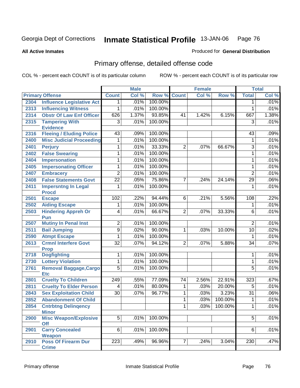Produced for **General Distribution**

#### **All Active Inmates**

# Primary offense, detailed offense code

|      |                                            |                 | <b>Male</b> |                    |                | <b>Female</b> |         |                 | <b>Total</b> |
|------|--------------------------------------------|-----------------|-------------|--------------------|----------------|---------------|---------|-----------------|--------------|
|      | <b>Primary Offense</b>                     | <b>Count</b>    | Col %       | <b>Row % Count</b> |                | Col %         | Row %   | <b>Total</b>    | Col %        |
| 2304 | <b>Influence Legislative Act</b>           | 1.              | .01%        | 100.00%            |                |               |         | $\mathbf 1$     | .01%         |
| 2313 | <b>Influencing Witness</b>                 | 1               | .01%        | 100.00%            |                |               |         | 1               | .01%         |
| 2314 | <b>Obstr Of Law Enf Officer</b>            | 626             | 1.37%       | 93.85%             | 41             | 1.42%         | 6.15%   | 667             | 1.38%        |
| 2315 | <b>Tampering With</b>                      | $\overline{3}$  | .01%        | 100.00%            |                |               |         | $\overline{3}$  | .01%         |
|      | <b>Evidence</b>                            |                 |             |                    |                |               |         |                 |              |
| 2316 | <b>Fleeing / Eluding Police</b>            | 43              | .09%        | 100.00%            |                |               |         | 43              | .09%         |
| 2400 | <b>Misc Judicial Proceeding</b>            | 1               | .01%        | 100.00%            |                |               |         | 1               | .01%         |
| 2401 | <b>Perjury</b>                             | 1               | .01%        | 33.33%             | $\overline{2}$ | .07%          | 66.67%  | 3               | .01%         |
| 2402 | <b>False Swearing</b>                      | 1               | .01%        | 100.00%            |                |               |         | 1               | .01%         |
| 2404 | Impersonation                              | 1               | .01%        | 100.00%            |                |               |         | 1               | .01%         |
| 2405 | <b>Impersonating Officer</b>               | 1               | .01%        | 100.00%            |                |               |         | 1               | .01%         |
| 2407 | <b>Embracery</b>                           | $\overline{2}$  | .01%        | 100.00%            |                |               |         | $\overline{2}$  | .01%         |
| 2408 | <b>False Statements Govt</b>               | $\overline{22}$ | .05%        | 75.86%             | 7              | .24%          | 24.14%  | $\overline{29}$ | .06%         |
| 2411 | <b>Impersntng In Legal</b>                 | 1               | .01%        | 100.00%            |                |               |         | 1               | .01%         |
|      | <b>Procd</b>                               |                 |             |                    |                |               |         |                 |              |
| 2501 | <b>Escape</b>                              | 102             | .22%        | 94.44%             | 6              | .21%          | 5.56%   | 108             | .22%         |
| 2502 | <b>Aiding Escape</b>                       | 1               | .01%        | 100.00%            |                |               |         | 1               | .01%         |
| 2503 | <b>Hindering Appreh Or</b>                 | 4               | .01%        | 66.67%             | $\overline{2}$ | .07%          | 33.33%  | 6               | .01%         |
|      | Pun                                        |                 |             |                    |                |               |         |                 |              |
| 2507 | <b>Mutiny In Penal Inst</b>                | $\overline{2}$  | .01%        | 100.00%            |                |               |         | $\overline{2}$  | .01%         |
| 2511 | <b>Bail Jumping</b>                        | $\overline{9}$  | .02%        | 90.00%             | 1              | .03%          | 10.00%  | 10              | .02%         |
| 2590 | <b>Atmpt Escape</b>                        | 1               | .01%        | 100.00%            |                |               |         | 1               | .01%         |
| 2613 | <b>Crmnl Interfere Govt</b><br><b>Prop</b> | $\overline{32}$ | .07%        | 94.12%             | $\overline{2}$ | .07%          | 5.88%   | $\overline{34}$ | .07%         |
| 2718 | <b>Dogfighting</b>                         | 1               | .01%        | 100.00%            |                |               |         | 1               | .01%         |
| 2730 | <b>Lottery Violation</b>                   | 1               | .01%        | 100.00%            |                |               |         | 1               | .01%         |
| 2761 | <b>Removal Baggage, Cargo</b>              | $\overline{5}$  | .01%        | 100.00%            |                |               |         | $\overline{5}$  | .01%         |
|      | <b>Etc</b>                                 |                 |             |                    |                |               |         |                 |              |
| 2801 | <b>Cruelty To Children</b>                 | 249             | .55%        | 77.09%             | 74             | 2.56%         | 22.91%  | 323             | .67%         |
| 2811 | <b>Cruelty To Elder Person</b>             | 4               | .01%        | 80.00%             | 1              | .03%          | 20.00%  | 5               | .01%         |
| 2843 | <b>Sex Exploitation Child</b>              | $\overline{30}$ | .07%        | 96.77%             | 1              | .03%          | 3.23%   | $\overline{31}$ | .06%         |
| 2852 | <b>Abandonment Of Child</b>                |                 |             |                    | 1.             | .03%          | 100.00% | 1               | .01%         |
| 2854 | <b>Cntrbtng Delingency</b>                 |                 |             |                    | 1.             | .03%          | 100.00% | 1               | .01%         |
|      | <b>Minor</b>                               |                 |             |                    |                |               |         |                 |              |
| 2900 | <b>Misc Weapon/Explosive</b>               | $\overline{5}$  | .01%        | 100.00%            |                |               |         | $\overline{5}$  | .01%         |
|      | <b>Off</b>                                 |                 |             |                    |                |               |         |                 |              |
| 2901 | <b>Carry Concealed</b><br>Weapon           | $6 \mid$        | .01%        | 100.00%            |                |               |         | 6               | .01%         |
| 2910 | <b>Poss Of Firearm Dur</b>                 | 223             | .49%        | 96.96%             | 7              | .24%          | 3.04%   | 230             | .47%         |
|      | <b>Crime</b>                               |                 |             |                    |                |               |         |                 |              |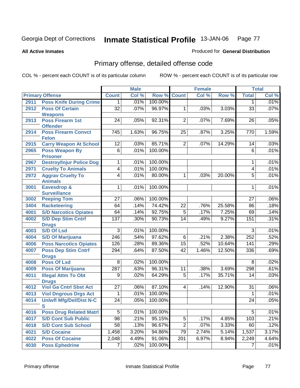Produced for **General Distribution**

#### **All Active Inmates**

# Primary offense, detailed offense code

|      |                                            |                  | <b>Male</b> |         |                         | <b>Female</b> |        |                         | <b>Total</b> |
|------|--------------------------------------------|------------------|-------------|---------|-------------------------|---------------|--------|-------------------------|--------------|
|      | <b>Primary Offense</b>                     | <b>Count</b>     | Col %       | Row %   | <b>Count</b>            | Col %         | Row %  | <b>Total</b>            | Col %        |
| 2911 | <b>Poss Knife During Crime</b>             | 1.               | .01%        | 100.00% |                         |               |        | 1                       | .01%         |
| 2912 | <b>Poss Of Certain</b>                     | $\overline{32}$  | .07%        | 96.97%  | 1                       | .03%          | 3.03%  | $\overline{33}$         | .07%         |
|      | <b>Weapons</b>                             |                  |             |         |                         |               |        |                         |              |
| 2913 | <b>Poss Firearm 1st</b>                    | $\overline{24}$  | .05%        | 92.31%  | $\overline{2}$          | .07%          | 7.69%  | 26                      | .05%         |
|      | <b>Offender</b>                            |                  |             | 96.75%  |                         |               |        |                         | 1.59%        |
| 2914 | <b>Poss Firearm Convct</b><br><b>Felon</b> | $\overline{745}$ | 1.63%       |         | 25                      | .87%          | 3.25%  | 770                     |              |
| 2915 | <b>Carry Weapon At School</b>              | 12               | .03%        | 85.71%  | $\overline{2}$          | .07%          | 14.29% | 14                      | .03%         |
| 2965 | <b>Poss Weapon By</b>                      | $\overline{6}$   | .01%        | 100.00% |                         |               |        | $\overline{6}$          | .01%         |
|      | <b>Prisoner</b>                            |                  |             |         |                         |               |        |                         |              |
| 2967 | <b>Destroy/Injur Police Dog</b>            | 1                | .01%        | 100.00% |                         |               |        | 1                       | .01%         |
| 2971 | <b>Cruelty To Animals</b>                  | 4                | .01%        | 100.00% |                         |               |        | $\overline{\mathbf{4}}$ | .01%         |
| 2972 | <b>Aggrav Cruelty To</b>                   | 4                | .01%        | 80.00%  | 1                       | .03%          | 20.00% | $\overline{5}$          | .01%         |
|      | <b>Animals</b>                             |                  |             |         |                         |               |        |                         |              |
| 3001 | Eavesdrop &                                | 1                | .01%        | 100.00% |                         |               |        | 1                       | .01%         |
|      | <b>Surveillance</b>                        |                  |             |         |                         |               |        |                         |              |
| 3002 | <b>Peeping Tom</b>                         | $\overline{27}$  | .06%        | 100.00% |                         |               |        | 27                      | .06%         |
| 3404 | <b>Racketeering</b>                        | 64               | .14%        | 74.42%  | $\overline{22}$         | .76%          | 25.58% | 86                      | .18%         |
| 4001 | <b>S/D Narcotics Opiates</b>               | 64               | .14%        | 92.75%  | $\overline{5}$          | .17%          | 7.25%  | 69                      | .14%         |
| 4002 | <b>S/D Dep Stim Cntrf</b>                  | 137              | .30%        | 90.73%  | 14                      | .49%          | 9.27%  | 151                     | .31%         |
|      | <b>Drugs</b>                               |                  |             |         |                         |               |        |                         |              |
| 4003 | <b>S/D Of Lsd</b>                          | 3                | .01%        | 100.00% |                         |               |        | 3                       | .01%         |
| 4004 | <b>S/D Of Marijuana</b>                    | $\overline{246}$ | .54%        | 97.62%  | 6                       | .21%          | 2.38%  | 252                     | .52%         |
| 4006 | <b>Poss Narcotics Opiates</b>              | 126              | .28%        | 89.36%  | $\overline{15}$         | .52%          | 10.64% | $\overline{141}$        | .29%         |
| 4007 | <b>Poss Dep Stim Cntrf</b>                 | 294              | .64%        | 87.50%  | 42                      | 1.46%         | 12.50% | 336                     | .69%         |
| 4008 | <b>Drugs</b><br><b>Poss Of Lsd</b>         | 8                | .02%        | 100.00% |                         |               |        | 8                       | .02%         |
| 4009 | <b>Poss Of Marijuana</b>                   | 287              | .63%        | 96.31%  | 11                      | .38%          | 3.69%  | 298                     | .61%         |
| 4011 | <b>Illegal Attm To Obt</b>                 | 9                | .02%        | 64.29%  | $\overline{5}$          | .17%          | 35.71% | 14                      | .03%         |
|      | <b>Drugs</b>                               |                  |             |         |                         |               |        |                         |              |
| 4012 | <b>Viol Ga Cntrl Sbst Act</b>              | 27               | .06%        | 87.10%  | $\overline{\mathbf{4}}$ | .14%          | 12.90% | 31                      | .06%         |
| 4013 | <b>Viol Dngrous Drgs Act</b>               | 1                | .01%        | 100.00% |                         |               |        | 1                       | .01%         |
| 4014 | <b>Uniwfl Mfg/Del/Dist N-C</b>             | $\overline{24}$  | .05%        | 100.00% |                         |               |        | 24                      | .05%         |
|      | s                                          |                  |             |         |                         |               |        |                         |              |
| 4016 | <b>Poss Drug Related Matri</b>             | 5                | .01%        | 100.00% |                         |               |        | 5                       | .01%         |
| 4017 | <b>S/D Cont Sub Public</b>                 | $\overline{98}$  | .21%        | 95.15%  | 5                       | .17%          | 4.85%  | 103                     | .21%         |
| 4018 | <b>S/D Cont Sub School</b>                 | $\overline{58}$  | .13%        | 96.67%  | $\overline{2}$          | .07%          | 3.33%  | 60                      | .12%         |
| 4021 | <b>S/D Cocaine</b>                         | 1,458            | 3.20%       | 94.86%  | 79                      | 2.74%         | 5.14%  | 1,537                   | 3.17%        |
| 4022 | <b>Poss Of Cocaine</b>                     | 2,048            | 4.49%       | 91.06%  | 201                     | 6.97%         | 8.94%  | 2,249                   | 4.64%        |
| 4030 | <b>Poss Ephedrine</b>                      | 7                | .02%        | 100.00% |                         |               |        | $\overline{7}$          | .01%         |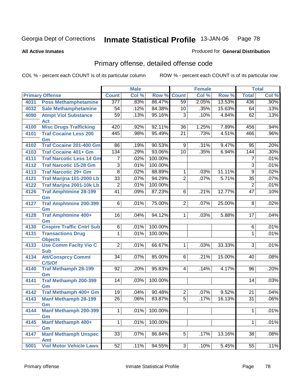Produced for **General Distribution**

#### **All Active Inmates**

# Primary offense, detailed offense code

|      |                                     |                 | <b>Male</b> |         |                 | <b>Female</b>              |        |                 | <b>Total</b> |
|------|-------------------------------------|-----------------|-------------|---------|-----------------|----------------------------|--------|-----------------|--------------|
|      | <b>Primary Offense</b>              | <b>Count</b>    | Col %       | Row %   | Count           | $\overline{\text{Col }^9}$ | Row %  | <b>Total</b>    | Col %        |
| 4031 | <b>Poss Methamphetamine</b>         | 377             | .83%        | 86.47%  | 59              | 2.05%                      | 13.53% | 436             | $.90\%$      |
| 4032 | <b>Sale Methamphetamine</b>         | 54              | .12%        | 84.38%  | 10              | .35%                       | 15.63% | 64              | .13%         |
| 4090 | <b>Atmpt Viol Substance</b>         | $\overline{59}$ | .13%        | 95.16%  | $\overline{3}$  | .10%                       | 4.84%  | 62              | .13%         |
|      | <b>Act</b>                          |                 |             |         |                 |                            |        |                 |              |
| 4100 | <b>Misc Drugs Trafficking</b>       | 420             | .92%        | 92.11%  | 36              | 1.25%                      | 7.89%  | 456             | .94%         |
| 4101 | <b>Traf Cocaine Less 200</b>        | 445             | .98%        | 95.49%  | $\overline{21}$ | .73%                       | 4.51%  | 466             | .96%         |
|      | Gm                                  |                 |             |         |                 |                            |        |                 |              |
| 4102 | <b>Traf Cocaine 201-400 Gm</b>      | 86              | .19%        | 90.53%  | $\overline{9}$  | .31%                       | 9.47%  | 95              | .20%         |
| 4103 | <b>Traf Cocaine 401+ Gm</b>         | 134             | .29%        | 93.06%  | $\overline{10}$ | .35%                       | 6.94%  | 144             | .30%         |
| 4111 | <b>Traf Narcotic Less 14 Gm</b>     | 7               | .02%        | 100.00% |                 |                            |        | 7               | .01%         |
| 4112 | <b>Traf Narcotic 15-28 Gm</b>       | $\overline{3}$  | .01%        | 100.00% |                 |                            |        | $\overline{3}$  | .01%         |
| 4113 | <b>Traf Narcotic 29+ Gm</b>         | $\overline{8}$  | .02%        | 88.89%  | 1               | .03%                       | 11.11% | $\overline{9}$  | .02%         |
| 4121 | Traf Marijna 101-2000 Lb            | $\overline{33}$ | .07%        | 94.29%  | $\overline{2}$  | .07%                       | 5.71%  | $\overline{35}$ | .07%         |
| 4122 | Traf Marijna 2001-10k Lb            | 2               | .01%        | 100.00% |                 |                            |        | $\overline{2}$  | .01%         |
| 4126 | <b>Traf Amphtmine 28-199</b><br>Gm  | $\overline{41}$ | .09%        | 87.23%  | 6               | .21%                       | 12.77% | $\overline{47}$ | .10%         |
| 4127 | <b>Traf Amphtmine 200-399</b>       | 6               | .01%        | 75.00%  | $\overline{2}$  | .07%                       | 25.00% | 8               | .02%         |
|      | Gm                                  |                 |             |         |                 |                            |        |                 |              |
| 4128 | <b>Traf Amphtmine 400+</b>          | 16              | .04%        | 94.12%  | $\mathbf 1$     | .03%                       | 5.88%  | 17              | .04%         |
|      | Gm                                  |                 |             |         |                 |                            |        |                 |              |
| 4130 | <b>Cnspire Traffic Cntrl Sub</b>    | 6               | .01%        | 100.00% |                 |                            |        | 6               | .01%         |
| 4131 | <b>Transactions Drug</b>            | $\mathbf 1$     | .01%        | 100.00% |                 |                            |        | $\mathbf{1}$    | .01%         |
|      | <b>Objects</b>                      |                 |             |         |                 |                            |        |                 |              |
| 4133 | <b>Use Comm Facity Vio C</b>        | $\overline{2}$  | .01%        | 66.67%  | $\mathbf 1$     | .03%                       | 33.33% | $\overline{3}$  | .01%         |
|      | <b>Sub</b>                          | 34              |             | 85.00%  | $6\overline{6}$ |                            |        |                 |              |
| 4134 | <b>Att/Consprcy Commt</b><br>C/S/Of |                 | .07%        |         |                 | .21%                       | 15.00% | 40              | .08%         |
| 4140 | <b>Traf Methamph 28-199</b>         | 92              | .20%        | 95.83%  | $\overline{4}$  | .14%                       | 4.17%  | 96              | .20%         |
|      | Gm                                  |                 |             |         |                 |                            |        |                 |              |
| 4141 | <b>Traf Methamph 200-399</b>        | 14              | .03%        | 100.00% |                 |                            |        | 14              | .03%         |
|      | Gm                                  |                 |             |         |                 |                            |        |                 |              |
| 4142 | Traf Methamph 400+ Gm               | 19              | .04%        | 90.48%  | $\overline{2}$  | .07%                       | 9.52%  | 21              | .04%         |
| 4143 | <b>Manf Methamph 28-199</b>         | $\overline{26}$ | .06%        | 83.87%  | $\overline{5}$  | .17%                       | 16.13% | 31              | .06%         |
|      | Gm                                  |                 |             |         |                 |                            |        |                 |              |
| 4144 | <b>Manf Methamph 200-399</b><br>Gm  | $\mathbf{1}$    | .01%        | 100.00% |                 |                            |        | $\mathbf 1$     | .01%         |
| 4145 | <b>Manf Methamph 400+</b>           | $\mathbf 1$     | .01%        | 100.00% |                 |                            |        | $\mathbf{1}$    | .01%         |
|      | Gm                                  |                 |             |         |                 |                            |        |                 |              |
| 4147 | <b>Manf Methamph Unspec</b>         | 33              | .07%        | 86.84%  | 5               | .17%                       | 13.16% | 38              | .08%         |
|      | Amt                                 |                 |             |         |                 |                            |        |                 |              |
| 5001 | <b>Viol Motor Vehicle Laws</b>      | 52              | .11%        | 94.55%  | $\overline{3}$  | .10%                       | 5.45%  | $\overline{55}$ | .11%         |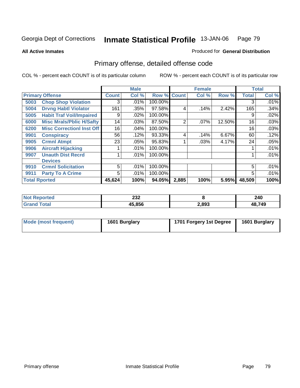Produced for **General Distribution**

#### **All Active Inmates**

# Primary offense, detailed offense code

|      |                                  |              | <b>Male</b> |                    |                | <b>Female</b> |        | <b>Total</b> |         |
|------|----------------------------------|--------------|-------------|--------------------|----------------|---------------|--------|--------------|---------|
|      | <b>Primary Offense</b>           | <b>Count</b> | Col %       | <b>Row % Count</b> |                | Col%          | Row %  | <b>Total</b> | Col %   |
| 5003 | <b>Chop Shop Violation</b>       | 3            | .01%        | 100.00%            |                |               |        | 3            | $.01\%$ |
| 5004 | <b>Drvng Habtl Violator</b>      | 161          | .35%        | 97.58%             | 4              | .14%          | 2.42%  | 165          | .34%    |
| 5005 | <b>Habit Traf Voil/Impaired</b>  | 9            | .02%        | 100.00%            |                |               |        | 9            | .02%    |
| 6000 | <b>Misc Mrals/Pblic H/Safty</b>  | 14           | .03%        | 87.50%             | $\overline{2}$ | .07%          | 12.50% | 16           | .03%    |
| 6200 | <b>Misc CorrectionI Inst Off</b> | 16           | .04%        | 100.00%            |                |               |        | 16           | .03%    |
| 9901 | <b>Conspiracy</b>                | 56           | .12%        | $93.33\%$          | 4              | .14%          | 6.67%  | 60           | .12%    |
| 9905 | <b>Crmnl Atmpt</b>               | 23           | .05%        | 95.83%             |                | $.03\%$       | 4.17%  | 24           | .05%    |
| 9906 | <b>Aircraft Hijacking</b>        |              | .01%        | 100.00%            |                |               |        |              | .01%    |
| 9907 | <b>Unauth Dist Recrd</b>         |              | .01%        | 100.00%            |                |               |        |              | .01%    |
|      | <b>Devices</b>                   |              |             |                    |                |               |        |              |         |
| 9910 | <b>Crmnl Solicitation</b>        | 5            | .01%        | 100.00%            |                |               |        | 5            | .01%    |
| 9911 | <b>Party To A Crime</b>          | 5            | .01%        | 100.00%            |                |               |        | 5            | .01%    |
|      | <b>Total Rported</b>             | 45,624       | 100%        | 94.05%             | 2,885          | 100%          | 5.95%  | 48,509       | 100%    |

| eported<br>NOT | າາາ<br>ZJZ<br>$-$ |       | 240    |
|----------------|-------------------|-------|--------|
|                | 15,856<br>л.      | 2,893 | 48,749 |

| Mode (most frequent) | 1601 Burglary | 1701 Forgery 1st Degree | 1601 Burglary |
|----------------------|---------------|-------------------------|---------------|
|                      |               |                         |               |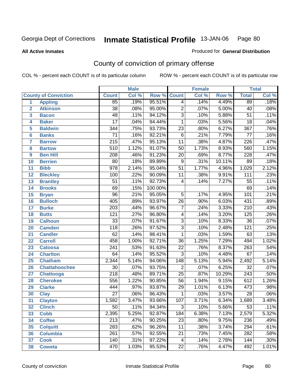Produced for **General Distribution**

#### **All Active Inmates**

# County of conviction of primary offense

|                 |                             |                  | <b>Male</b> |         | <b>Female</b>    |       |        | <b>Total</b>     |         |
|-----------------|-----------------------------|------------------|-------------|---------|------------------|-------|--------|------------------|---------|
|                 | <b>County of Conviction</b> | <b>Count</b>     | Col %       | Row %   | <b>Count</b>     | Col % | Row %  | <b>Total</b>     | Col %   |
| $\mathbf{1}$    | <b>Appling</b>              | 85               | .19%        | 95.51%  | 4                | .14%  | 4.49%  | 89               | .18%    |
| $\overline{2}$  | <b>Atkinson</b>             | $\overline{38}$  | .08%        | 95.00%  | $\overline{2}$   | .07%  | 5.00%  | 40               | .08%    |
| 3               | <b>Bacon</b>                | 48               | .11%        | 94.12%  | $\overline{3}$   | .10%  | 5.88%  | $\overline{51}$  | .11%    |
| 4               | <b>Baker</b>                | $\overline{17}$  | .04%        | 94.44%  | 1                | .03%  | 5.56%  | $\overline{18}$  | .04%    |
| 5               | <b>Baldwin</b>              | 344              | .75%        | 93.73%  | $\overline{23}$  | .80%  | 6.27%  | 367              | .76%    |
| $6\phantom{1}6$ | <b>Banks</b>                | $\overline{71}$  | .16%        | 92.21%  | $\overline{6}$   | .21%  | 7.79%  | $\overline{77}$  | .16%    |
| $\overline{7}$  | <b>Barrow</b>               | $\overline{215}$ | .47%        | 95.13%  | $\overline{11}$  | .38%  | 4.87%  | 226              | .47%    |
| 8               | <b>Bartow</b>               | 510              | 1.12%       | 91.07%  | 50               | 1.73% | 8.93%  | 560              | 1.15%   |
| 9               | <b>Ben Hill</b>             | 208              | .46%        | 91.23%  | $\overline{20}$  | .69%  | 8.77%  | 228              | .47%    |
| 10              | <b>Berrien</b>              | 80               | .18%        | 89.89%  | 9                | .31%  | 10.11% | 89               | .18%    |
| 11              | <b>Bibb</b>                 | $\overline{978}$ | 2.14%       | 95.04%  | $\overline{51}$  | 1.77% | 4.96%  | 1,029            | 2.12%   |
| 12              | <b>Bleckley</b>             | 100              | .22%        | 90.09%  | 11               | .38%  | 9.91%  | 111              | .23%    |
| 13              | <b>Brantley</b>             | $\overline{51}$  | .11%        | 92.73%  | $\overline{4}$   | .14%  | 7.27%  | $\overline{55}$  | .11%    |
| 14              | <b>Brooks</b>               | 69               | .15%        | 100.00% |                  |       |        | 69               | .14%    |
| 15              | <b>Bryan</b>                | $\overline{96}$  | .21%        | 95.05%  | $\overline{5}$   | .17%  | 4.95%  | 101              | .21%    |
| 16              | <b>Bulloch</b>              | 405              | .89%        | 93.97%  | 26               | .90%  | 6.03%  | 431              | .89%    |
| 17              | <b>Burke</b>                | $\sqrt{203}$     | .44%        | 96.67%  | $\overline{7}$   | .24%  | 3.33%  | $\overline{210}$ | .43%    |
| 18              | <b>Butts</b>                | 121              | .27%        | 96.80%  | 4                | .14%  | 3.20%  | 125              | .26%    |
| 19              | <b>Calhoun</b>              | $\overline{33}$  | .07%        | 91.67%  | $\overline{3}$   | .10%  | 8.33%  | $\overline{36}$  | .07%    |
| 20              | <b>Camden</b>               | $\overline{118}$ | .26%        | 97.52%  | $\overline{3}$   | .10%  | 2.48%  | $\overline{121}$ | .25%    |
| 21              | <b>Candler</b>              | 62               | .14%        | 98.41%  | $\mathbf{1}$     | .03%  | 1.59%  | 63               | .13%    |
| 22              | <b>Carroll</b>              | 458              | 1.00%       | 92.71%  | $\overline{36}$  | 1.25% | 7.29%  | 494              | 1.02%   |
| 23              | <b>Catoosa</b>              | 241              | .53%        | 91.63%  | $\overline{22}$  | .76%  | 8.37%  | $\overline{263}$ | .54%    |
| 24              | <b>Charlton</b>             | 64               | .14%        | 95.52%  | $\overline{3}$   | .10%  | 4.48%  | 67               | .14%    |
| 25              | <b>Chatham</b>              | 2,344            | 5.14%       | 94.06%  | $\overline{148}$ | 5.13% | 5.94%  | 2,492            | 5.14%   |
| 26              | <b>Chattahoochee</b>        | 30               | .07%        | 93.75%  | $\overline{2}$   | .07%  | 6.25%  | $\overline{32}$  | .07%    |
| 27              | <b>Chattooga</b>            | $\overline{218}$ | .48%        | 89.71%  | $\overline{25}$  | .87%  | 10.29% | 243              | .50%    |
| 28              | <b>Cherokee</b>             | 556              | 1.22%       | 90.85%  | 56               | 1.94% | 9.15%  | 612              | 1.26%   |
| 29              | <b>Clarke</b>               | 444              | .97%        | 93.87%  | 29               | 1.01% | 6.13%  | 473              | .98%    |
| 30              | <b>Clay</b>                 | $\overline{27}$  | .06%        | 96.43%  | $\mathbf 1$      | .03%  | 3.57%  | $\overline{28}$  | .06%    |
| 31              | <b>Clayton</b>              | 1,582            | 3.47%       | 93.66%  | 107              | 3.71% | 6.34%  | 1,689            | 3.48%   |
| 32              | <b>Clinch</b>               | 50               | .11%        | 94.34%  | 3                | .10%  | 5.66%  | 53               | $.11\%$ |
| 33              | <b>Cobb</b>                 | 2,395            | 5.25%       | 92.87%  | 184              | 6.38% | 7.13%  | 2,579            | 5.32%   |
| 34              | <b>Coffee</b>               | 213              | .47%        | 90.25%  | 23               | .80%  | 9.75%  | 236              | .49%    |
| 35              | <b>Colquitt</b>             | 283              | .62%        | 96.26%  | 11               | .38%  | 3.74%  | 294              | .61%    |
| 36              | <b>Columbia</b>             | 261              | .57%        | 92.55%  | 21               | .73%  | 7.45%  | 282              | .58%    |
| 37              | <b>Cook</b>                 | 140              | .31%        | 97.22%  | 4                | .14%  | 2.78%  | 144              | .30%    |
| 38              | <b>Coweta</b>               | 470              | 1.03%       | 95.53%  | $\overline{22}$  | .76%  | 4.47%  | 492              | 1.01%   |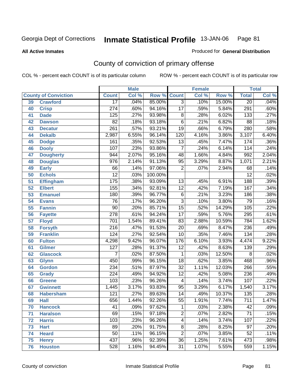#### **All Active Inmates**

## Produced for **General Distribution**

# County of conviction of primary offense

|                 |                             |                  | <b>Male</b> |         | <b>Female</b>   |       |        | <b>Total</b>     |       |  |
|-----------------|-----------------------------|------------------|-------------|---------|-----------------|-------|--------|------------------|-------|--|
|                 | <b>County of Conviction</b> | <b>Count</b>     | Col %       | Row %   | <b>Count</b>    | Col % | Row %  | <b>Total</b>     | Col % |  |
| 39              | <b>Crawford</b>             | $\overline{17}$  | .04%        | 85.00%  | $\overline{3}$  | .10%  | 15.00% | $\overline{20}$  | .04%  |  |
| 40              | <b>Crisp</b>                | $\overline{274}$ | .60%        | 94.16%  | $\overline{17}$ | .59%  | 5.84%  | 291              | .60%  |  |
| 41              | <b>Dade</b>                 | 125              | .27%        | 93.98%  | 8               | .28%  | 6.02%  | $\overline{133}$ | .27%  |  |
| 42              | <b>Dawson</b>               | $\overline{82}$  | .18%        | 93.18%  | $\overline{6}$  | .21%  | 6.82%  | $\overline{88}$  | .18%  |  |
| 43              | <b>Decatur</b>              | $\overline{261}$ | .57%        | 93.21%  | $\overline{19}$ | .66%  | 6.79%  | 280              | .58%  |  |
| 44              | <b>Dekalb</b>               | 2,987            | 6.55%       | 96.14%  | 120             | 4.16% | 3.86%  | 3,107            | 6.40% |  |
| 45              | <b>Dodge</b>                | 161              | .35%        | 92.53%  | $\overline{13}$ | .45%  | 7.47%  | 174              | .36%  |  |
| 46              | <b>Dooly</b>                | 107              | .23%        | 93.86%  | $\overline{7}$  | .24%  | 6.14%  | 114              | .24%  |  |
| 47              | <b>Dougherty</b>            | 944              | 2.07%       | 95.16%  | 48              | 1.66% | 4.84%  | 992              | 2.04% |  |
| 48              | <b>Douglas</b>              | $\overline{976}$ | 2.14%       | 91.13%  | 95              | 3.29% | 8.87%  | 1,071            | 2.21% |  |
| 49              | <b>Early</b>                | 66               | .14%        | 97.06%  | $\overline{2}$  | .07%  | 2.94%  | 68               | .14%  |  |
| 50              | <b>Echols</b>               | $\overline{12}$  | .03%        | 100.00% |                 |       |        | $\overline{12}$  | .02%  |  |
| 51              | <b>Effingham</b>            | 175              | .38%        | 93.09%  | 13              | .45%  | 6.91%  | 188              | .39%  |  |
| $\overline{52}$ | <b>Elbert</b>               | $\overline{155}$ | .34%        | 92.81%  | $\overline{12}$ | .42%  | 7.19%  | 167              | .34%  |  |
| 53              | <b>Emanuel</b>              | 180              | .39%        | 96.77%  | $\overline{6}$  | .21%  | 3.23%  | 186              | .38%  |  |
| 54              | <b>Evans</b>                | $\overline{76}$  | .17%        | 96.20%  | $\overline{3}$  | .10%  | 3.80%  | 79               | .16%  |  |
| 55              | <b>Fannin</b>               | $\overline{90}$  | .20%        | 85.71%  | $\overline{15}$ | .52%  | 14.29% | 105              | .22%  |  |
| 56              | <b>Fayette</b>              | $\overline{278}$ | .61%        | 94.24%  | $\overline{17}$ | .59%  | 5.76%  | 295              | .61%  |  |
| 57              | <b>Floyd</b>                | 701              | 1.54%       | 89.41%  | 83              | 2.88% | 10.59% | 784              | 1.62% |  |
| 58              | <b>Forsyth</b>              | $\overline{216}$ | .47%        | 91.53%  | $\overline{20}$ | .69%  | 8.47%  | 236              | .49%  |  |
| 59              | <b>Franklin</b>             | 124              | .27%        | 92.54%  | 10              | .35%  | 7.46%  | 134              | .28%  |  |
| 60              | <b>Fulton</b>               | 4,298            | 9.42%       | 96.07%  | 176             | 6.10% | 3.93%  | 4,474            | 9.22% |  |
| 61              | Gilmer                      | 127              | .28%        | 91.37%  | $\overline{12}$ | .42%  | 8.63%  | 139              | .29%  |  |
| 62              | <b>Glascock</b>             | $\overline{7}$   | .02%        | 87.50%  | $\mathbf{1}$    | .03%  | 12.50% | $\overline{8}$   | .02%  |  |
| 63              | <b>Glynn</b>                | 450              | .99%        | 96.15%  | $\overline{18}$ | .62%  | 3.85%  | 468              | .96%  |  |
| 64              | <b>Gordon</b>               | 234              | .51%        | 87.97%  | $\overline{32}$ | 1.11% | 12.03% | 266              | .55%  |  |
| 65              | <b>Grady</b>                | $\overline{224}$ | .49%        | 94.92%  | $\overline{12}$ | .42%  | 5.08%  | 236              | .49%  |  |
| 66              | <b>Greene</b>               | 103              | .23%        | 96.26%  | 4               | .14%  | 3.74%  | 107              | .22%  |  |
| 67              | <b>Gwinnett</b>             | 1,445            | 3.17%       | 93.83%  | $\overline{95}$ | 3.29% | 6.17%  | 1,540            | 3.17% |  |
| 68              | <b>Habersham</b>            | $\overline{121}$ | .27%        | 89.63%  | $\overline{14}$ | .49%  | 10.37% | 135              | .28%  |  |
| 69              | <b>Hall</b>                 | 656              | 1.44%       | 92.26%  | $\overline{55}$ | 1.91% | 7.74%  | $\overline{711}$ | 1.47% |  |
| 70              | <b>Hancock</b>              | 41               | .09%        | 97.62%  | 1               | .03%  | 2.38%  | 42               | .09%  |  |
| 71              | <b>Haralson</b>             | 69               | .15%        | 97.18%  | $\overline{2}$  | .07%  | 2.82%  | $\overline{71}$  | .15%  |  |
| 72              | <b>Harris</b>               | $\overline{103}$ | .23%        | 96.26%  | $\overline{4}$  | .14%  | 3.74%  | 107              | .22%  |  |
| 73              | <b>Hart</b>                 | 89               | .20%        | 91.75%  | $\overline{8}$  | .28%  | 8.25%  | 97               | .20%  |  |
| 74              | <b>Heard</b>                | $\overline{50}$  | .11%        | 96.15%  | $\overline{2}$  | .07%  | 3.85%  | 52               | .11%  |  |
| 75              | <b>Henry</b>                | 437              | .96%        | 92.39%  | 36              | 1.25% | 7.61%  | 473              | .98%  |  |
| 76              | <b>Houston</b>              | 528              | 1.16%       | 94.45%  | $\overline{31}$ | 1.07% | 5.55%  | 559              | 1.15% |  |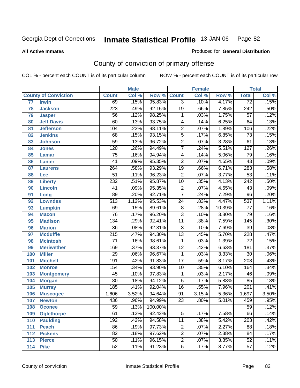**All Active Inmates**

#### Produced for **General Distribution**

# County of conviction of primary offense

|                 |                             |                  | <b>Male</b> |         | <b>Female</b>   |       |        | <b>Total</b>     |       |
|-----------------|-----------------------------|------------------|-------------|---------|-----------------|-------|--------|------------------|-------|
|                 | <b>County of Conviction</b> | <b>Count</b>     | Col %       | Row %   | <b>Count</b>    | Col % | Row %  | <b>Total</b>     | Col % |
| $\overline{77}$ | <b>Irwin</b>                | 69               | .15%        | 95.83%  | $\overline{3}$  | .10%  | 4.17%  | $\overline{72}$  | .15%  |
| 78              | <b>Jackson</b>              | 223              | .49%        | 92.15%  | $\overline{19}$ | .66%  | 7.85%  | $\overline{242}$ | .50%  |
| 79              | <b>Jasper</b>               | $\overline{56}$  | .12%        | 98.25%  | 1               | .03%  | 1.75%  | $\overline{57}$  | .12%  |
| 80              | <b>Jeff Davis</b>           | 60               | .13%        | 93.75%  | 4               | .14%  | 6.25%  | 64               | .13%  |
| 81              | <b>Jefferson</b>            | 104              | .23%        | 98.11%  | $\overline{2}$  | .07%  | 1.89%  | 106              | .22%  |
| 82              | <b>Jenkins</b>              | 68               | .15%        | 93.15%  | $\overline{5}$  | .17%  | 6.85%  | $\overline{73}$  | .15%  |
| 83              | <b>Johnson</b>              | $\overline{59}$  | .13%        | 96.72%  | $\overline{2}$  | .07%  | 3.28%  | 61               | .13%  |
| 84              | <b>Jones</b>                | $\overline{120}$ | .26%        | 94.49%  | $\overline{7}$  | .24%  | 5.51%  | $\overline{127}$ | .26%  |
| 85              | <b>Lamar</b>                | $\overline{75}$  | .16%        | 94.94%  | 4               | .14%  | 5.06%  | $\overline{79}$  | .16%  |
| 86              | <b>Lanier</b>               | 41               | .09%        | 95.35%  | $\overline{2}$  | .07%  | 4.65%  | 43               | .09%  |
| 87              | <b>Laurens</b>              | $\overline{264}$ | .58%        | 93.29%  | $\overline{19}$ | .66%  | 6.71%  | 283              | .58%  |
| 88              | Lee                         | $\overline{51}$  | .11%        | 96.23%  | $\overline{2}$  | .07%  | 3.77%  | $\overline{53}$  | .11%  |
| 89              | <b>Liberty</b>              | 232              | .51%        | 95.87%  | $\overline{10}$ | .35%  | 4.13%  | 242              | .50%  |
| 90              | <b>Lincoln</b>              | 41               | .09%        | 95.35%  | $\overline{2}$  | .07%  | 4.65%  | 43               | .09%  |
| 91              | Long                        | 89               | .20%        | 92.71%  | $\overline{7}$  | .24%  | 7.29%  | $\overline{96}$  | .20%  |
| 92              | <b>Lowndes</b>              | $\overline{513}$ | 1.12%       | 95.53%  | 24              | .83%  | 4.47%  | $\overline{537}$ | 1.11% |
| 93              | <b>Lumpkin</b>              | 69               | .15%        | 89.61%  | $\overline{8}$  | .28%  | 10.39% | $\overline{77}$  | .16%  |
| 94              | <b>Macon</b>                | $\overline{76}$  | .17%        | 96.20%  | $\overline{3}$  | .10%  | 3.80%  | 79               | .16%  |
| 95              | <b>Madison</b>              | $\overline{134}$ | .29%        | 92.41%  | $\overline{11}$ | .38%  | 7.59%  | $\overline{145}$ | .30%  |
| 96              | <b>Marion</b>               | $\overline{36}$  | .08%        | 92.31%  | $\overline{3}$  | .10%  | 7.69%  | $\overline{39}$  | .08%  |
| 97              | <b>Mcduffie</b>             | $\overline{215}$ | .47%        | 94.30%  | $\overline{13}$ | .45%  | 5.70%  | 228              | .47%  |
| 98              | <b>Mcintosh</b>             | $\overline{71}$  | .16%        | 98.61%  | 1               | .03%  | 1.39%  | $\overline{72}$  | .15%  |
| 99              | <b>Meriwether</b>           | 169              | .37%        | 93.37%  | $\overline{12}$ | .42%  | 6.63%  | 181              | .37%  |
| 100             | <b>Miller</b>               | $\overline{29}$  | .06%        | 96.67%  | 1               | .03%  | 3.33%  | 30               | .06%  |
| 101             | <b>Mitchell</b>             | 191              | .42%        | 91.83%  | $\overline{17}$ | .59%  | 8.17%  | $\overline{208}$ | .43%  |
| 102             | <b>Monroe</b>               | 154              | .34%        | 93.90%  | 10              | .35%  | 6.10%  | 164              | .34%  |
| 103             | <b>Montgomery</b>           | 45               | .10%        | 97.83%  | 1               | .03%  | 2.17%  | 46               | .09%  |
| 104             | <b>Morgan</b>               | $\overline{80}$  | .18%        | 94.12%  | $\overline{5}$  | .17%  | 5.88%  | 85               | .18%  |
| 105             | <b>Murray</b>               | $\overline{185}$ | .41%        | 92.04%  | $\overline{16}$ | .55%  | 7.96%  | $\overline{201}$ | .41%  |
| 106             | <b>Muscogee</b>             | 1,606            | 3.52%       | 94.64%  | $\overline{91}$ | 3.15% | 5.36%  | 1,697            | 3.50% |
| 107             | <b>Newton</b>               | 436              | .96%        | 94.99%  | $\overline{23}$ | .80%  | 5.01%  | 459              | .95%  |
| 108             | <b>Oconee</b>               | 59               | .13%        | 100.00% |                 |       |        | 59               | .12%  |
| 109             | <b>Oglethorpe</b>           | $\overline{61}$  | .13%        | 92.42%  | $\overline{5}$  | .17%  | 7.58%  | 66               | .14%  |
| 110             | <b>Paulding</b>             | 192              | .42%        | 94.58%  | 11              | .38%  | 5.42%  | $\overline{203}$ | .42%  |
| 111             | <b>Peach</b>                | 86               | .19%        | 97.73%  | $\overline{2}$  | .07%  | 2.27%  | 88               | .18%  |
| 112             | <b>Pickens</b>              | 82               | .18%        | 97.62%  | $\overline{2}$  | .07%  | 2.38%  | 84               | .17%  |
| 113             | <b>Pierce</b>               | $\overline{50}$  | .11%        | 96.15%  | $\overline{2}$  | .07%  | 3.85%  | 52               | .11%  |
| 114             | <b>Pike</b>                 | 52               | .11%        | 91.23%  | $\overline{5}$  | .17%  | 8.77%  | 57               | .12%  |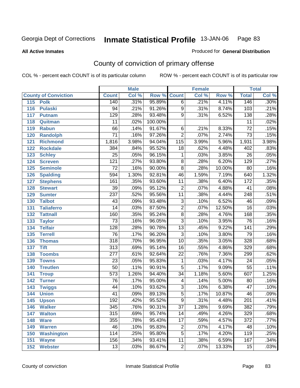**All Active Inmates**

#### Produced for **General Distribution**

# County of conviction of primary offense

|     |                             |                  | <b>Male</b> |         |                         | <b>Female</b> |        |                  | <b>Total</b> |
|-----|-----------------------------|------------------|-------------|---------|-------------------------|---------------|--------|------------------|--------------|
|     | <b>County of Conviction</b> | <b>Count</b>     | Col %       | Row %   | <b>Count</b>            | Col %         | Row %  | <b>Total</b>     | Col %        |
|     | 115 Polk                    | 140              | .31%        | 95.89%  | $\overline{6}$          | .21%          | 4.11%  | 146              | .30%         |
| 116 | <b>Pulaski</b>              | 94               | .21%        | 91.26%  | $\overline{9}$          | .31%          | 8.74%  | $\overline{103}$ | .21%         |
| 117 | <b>Putnam</b>               | $\overline{129}$ | .28%        | 93.48%  | $\overline{9}$          | .31%          | 6.52%  | 138              | .28%         |
| 118 | Quitman                     | 11               | .02%        | 100.00% |                         |               |        | 11               | .02%         |
| 119 | <b>Rabun</b>                | 66               | .14%        | 91.67%  | $\overline{6}$          | .21%          | 8.33%  | $\overline{72}$  | .15%         |
| 120 | <b>Randolph</b>             | $\overline{71}$  | .16%        | 97.26%  | $\overline{2}$          | .07%          | 2.74%  | $\overline{73}$  | .15%         |
| 121 | <b>Richmond</b>             | 1,816            | 3.98%       | 94.04%  | 115                     | 3.99%         | 5.96%  | 1,931            | 3.98%        |
| 122 | <b>Rockdale</b>             | 384              | .84%        | 95.52%  | 18                      | .62%          | 4.48%  | 402              | .83%         |
| 123 | <b>Schley</b>               | $\overline{25}$  | .05%        | 96.15%  | 1                       | .03%          | 3.85%  | $\overline{26}$  | .05%         |
| 124 | <b>Screven</b>              | 121              | .27%        | 93.80%  | 8                       | .28%          | 6.20%  | 129              | .27%         |
| 125 | <b>Seminole</b>             | $\overline{72}$  | .16%        | 90.00%  | $\overline{8}$          | .28%          | 10.00% | $\overline{80}$  | .16%         |
| 126 | <b>Spalding</b>             | 594              | 1.30%       | 92.81%  | 46                      | 1.59%         | 7.19%  | 640              | 1.32%        |
| 127 | <b>Stephens</b>             | 161              | .35%        | 93.60%  | $\overline{11}$         | .38%          | 6.40%  | 172              | .35%         |
| 128 | <b>Stewart</b>              | 39               | .09%        | 95.12%  | $\overline{2}$          | .07%          | 4.88%  | 41               | .08%         |
| 129 | <b>Sumter</b>               | $\overline{237}$ | .52%        | 95.56%  | $\overline{11}$         | .38%          | 4.44%  | $\overline{248}$ | .51%         |
| 130 | <b>Talbot</b>               | 43               | .09%        | 93.48%  | 3                       | .10%          | 6.52%  | 46               | .09%         |
| 131 | <b>Taliaferro</b>           | $\overline{14}$  | .03%        | 87.50%  | $\overline{2}$          | .07%          | 12.50% | $\overline{16}$  | .03%         |
| 132 | <b>Tattnall</b>             | 160              | .35%        | 95.24%  | $\overline{8}$          | .28%          | 4.76%  | 168              | .35%         |
| 133 | <b>Taylor</b>               | $\overline{73}$  | .16%        | 96.05%  | $\overline{3}$          | .10%          | 3.95%  | 76               | .16%         |
| 134 | <b>Telfair</b>              | 128              | .28%        | 90.78%  | $\overline{13}$         | .45%          | 9.22%  | 141              | .29%         |
| 135 | <b>Terrell</b>              | $\overline{76}$  | .17%        | 96.20%  | $\overline{3}$          | .10%          | 3.80%  | $\overline{79}$  | .16%         |
| 136 | <b>Thomas</b>               | $\overline{318}$ | .70%        | 96.95%  | $\overline{10}$         | .35%          | 3.05%  | 328              | .68%         |
| 137 | <b>Tift</b>                 | $\overline{313}$ | .69%        | 95.14%  | $\overline{16}$         | .55%          | 4.86%  | 329              | .68%         |
| 138 | <b>Toombs</b>               | 277              | .61%        | 92.64%  | 22                      | .76%          | 7.36%  | 299              | .62%         |
| 139 | <b>Towns</b>                | $\overline{23}$  | .05%        | 95.83%  | 1                       | .03%          | 4.17%  | $\overline{24}$  | .05%         |
| 140 | <b>Treutlen</b>             | $\overline{50}$  | .11%        | 90.91%  | $\overline{5}$          | .17%          | 9.09%  | 55               | .11%         |
| 141 | <b>Troup</b>                | $\overline{573}$ | 1.26%       | 94.40%  | $\overline{34}$         | 1.18%         | 5.60%  | 607              | 1.25%        |
| 142 | <b>Turner</b>               | 76               | .17%        | 95.00%  | $\overline{\mathbf{4}}$ | .14%          | 5.00%  | 80               | .16%         |
| 143 | <b>Twiggs</b>               | $\overline{44}$  | .10%        | 93.62%  | $\overline{3}$          | .10%          | 6.38%  | $\overline{47}$  | .10%         |
| 144 | <b>Union</b>                | 41               | .09%        | 89.13%  | $\overline{5}$          | .17%          | 10.87% | 46               | .09%         |
| 145 | <b>Upson</b>                | 192              | .42%        | 95.52%  | $\overline{9}$          | .31%          | 4.48%  | $\overline{201}$ | .41%         |
| 146 | <b>Walker</b>               | 345              | .76%        | 90.31%  | 37                      | 1.28%         | 9.69%  | 382              | .79%         |
| 147 | <b>Walton</b>               | $\overline{315}$ | .69%        | 95.74%  | $\overline{14}$         | .49%          | 4.26%  | 329              | .68%         |
| 148 | <b>Ware</b>                 | 355              | .78%        | 95.43%  | $\overline{17}$         | .59%          | 4.57%  | $\overline{372}$ | .77%         |
| 149 | <b>Warren</b>               | 46               | .10%        | 95.83%  | 2                       | .07%          | 4.17%  | 48               | .10%         |
| 150 | <b>Washington</b>           | 114              | .25%        | 95.80%  | $\overline{5}$          | .17%          | 4.20%  | 119              | .25%         |
| 151 | <b>Wayne</b>                | 156              | .34%        | 93.41%  | $\overline{11}$         | .38%          | 6.59%  | 167              | .34%         |
| 152 | <b>Webster</b>              | 13               | .03%        | 86.67%  | $\overline{2}$          | .07%          | 13.33% | 15               | .03%         |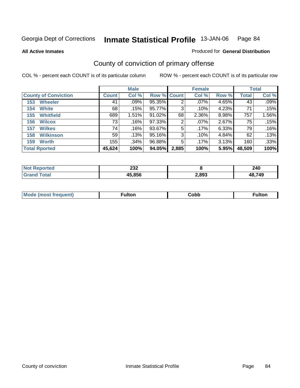Produced for **General Distribution**

#### **All Active Inmates**

# County of conviction of primary offense

|                             |              | <b>Male</b> |                    |       | <b>Female</b> |       |              | <b>Total</b> |
|-----------------------------|--------------|-------------|--------------------|-------|---------------|-------|--------------|--------------|
| <b>County of Conviction</b> | <b>Count</b> | Col %       | <b>Row % Count</b> |       | Col %         | Row % | <b>Total</b> | Col %        |
| <b>Wheeler</b><br>153       | 41           | $.09\%$     | 95.35%             | 2     | $.07\%$       | 4.65% | 43           | .09%         |
| <b>White</b><br>154         | 68           | .15%        | 95.77%             | 3     | .10%          | 4.23% | 71           | .15%         |
| <b>Whitfield</b><br>155     | 689          | 1.51%       | 91.02%             | 68    | 2.36%         | 8.98% | 757          | 1.56%        |
| <b>Wilcox</b><br>156        | 73           | .16%        | 97.33%             | 2     | $.07\%$       | 2.67% | 75           | .15%         |
| <b>Wilkes</b><br>157        | 74           | .16%        | 93.67%             | 5     | .17%          | 6.33% | 79           | .16%         |
| <b>Wilkinson</b><br>158     | 59           | .13%        | 95.16%             | 3     | .10%          | 4.84% | 62           | .13%         |
| <b>Worth</b><br>159         | 155          | .34%        | 96.88%             | 5     | $.17\%$       | 3.13% | 160          | .33%         |
| <b>Total Rported</b>        | 45,624       | 100%        | 94.05%             | 2,885 | 100%          | 5.95% | 48,509       | 100%         |

| orted | noo<br>ZJZ |       | 240    |
|-------|------------|-------|--------|
|       | 45,856     | 2,893 | 48,749 |

| <b>Mode</b><br>·uenτ) | .<br>uiton | obb، | Fulton |
|-----------------------|------------|------|--------|
|                       |            |      |        |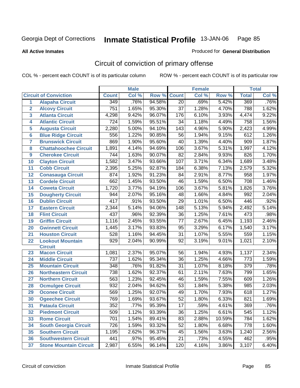Produced for **General Distribution**

#### **All Active Inmates**

# Circuit of conviction of primary offense

|                |                               |                  | <b>Male</b> |        |                 | <b>Female</b> |        |                  | <b>Total</b> |
|----------------|-------------------------------|------------------|-------------|--------|-----------------|---------------|--------|------------------|--------------|
|                | <b>Circuit of Conviction</b>  | <b>Count</b>     | Col %       | Row %  | <b>Count</b>    | Col %         | Row %  | <b>Total</b>     | Col %        |
| 1              | <b>Alapaha Circuit</b>        | 349              | .76%        | 94.58% | $\overline{20}$ | .69%          | 5.42%  | 369              | .76%         |
| $\overline{2}$ | <b>Alcovy Circuit</b>         | 751              | 1.65%       | 95.30% | $\overline{37}$ | 1.28%         | 4.70%  | 788              | 1.62%        |
| 3              | <b>Atlanta Circuit</b>        | 4,298            | 9.42%       | 96.07% | 176             | 6.10%         | 3.93%  | 4,474            | 9.22%        |
| 4              | <b>Atlantic Circuit</b>       | 724              | 1.59%       | 95.51% | 34              | 1.18%         | 4.49%  | 758              | 1.56%        |
| 5              | <b>Augusta Circuit</b>        | 2,280            | 5.00%       | 94.10% | 143             | 4.96%         | 5.90%  | 2,423            | 4.99%        |
| $6\phantom{a}$ | <b>Blue Ridge Circuit</b>     | 556              | 1.22%       | 90.85% | 56              | 1.94%         | 9.15%  | 612              | 1.26%        |
| 7              | <b>Brunswick Circuit</b>      | 869              | 1.90%       | 95.60% | 40              | 1.39%         | 4.40%  | 909              | 1.87%        |
| 8              | <b>Chattahoochee Circuit</b>  | 1,891            | 4.14%       | 94.69% | 106             | 3.67%         | 5.31%  | 1,997            | 4.12%        |
| 9              | <b>Cherokee Circuit</b>       | 744              | 1.63%       | 90.07% | 82              | 2.84%         | 9.93%  | 826              | 1.70%        |
| 10             | <b>Clayton Circuit</b>        | 1,582            | 3.47%       | 93.66% | 107             | 3.71%         | 6.34%  | 1,689            | 3.48%        |
| 11             | <b>Cobb Circuit</b>           | 2,395            | 5.25%       | 92.87% | 184             | 6.38%         | 7.13%  | 2,579            | 5.32%        |
| 12             | <b>Conasauga Circuit</b>      | 874              | 1.92%       | 91.23% | 84              | 2.91%         | 8.77%  | 958              | 1.97%        |
| 13             | <b>Cordele Circuit</b>        | 662              | 1.45%       | 93.50% | 46              | 1.59%         | 6.50%  | 708              | 1.46%        |
| 14             | <b>Coweta Circuit</b>         | 1,720            | 3.77%       | 94.19% | 106             | 3.67%         | 5.81%  | 1,826            | 3.76%        |
| 15             | <b>Dougherty Circuit</b>      | 944              | 2.07%       | 95.16% | 48              | 1.66%         | 4.84%  | 992              | 2.04%        |
| 16             | <b>Dublin Circuit</b>         | 417              | .91%        | 93.50% | 29              | 1.01%         | 6.50%  | 446              | .92%         |
| 17             | <b>Eastern Circuit</b>        | 2,344            | 5.14%       | 94.06% | 148             | 5.13%         | 5.94%  | 2,492            | 5.14%        |
| 18             | <b>Flint Circuit</b>          | 437              | .96%        | 92.39% | 36              | 1.25%         | 7.61%  | 473              | .98%         |
| 19             | <b>Griffin Circuit</b>        | 1,116            | 2.45%       | 93.55% | 77              | 2.67%         | 6.45%  | 1,193            | 2.46%        |
| 20             | <b>Gwinnett Circuit</b>       | 1,445            | 3.17%       | 93.83% | 95              | 3.29%         | 6.17%  | 1,540            | 3.17%        |
| 21             | <b>Houston Circuit</b>        | 528              | 1.16%       | 94.45% | $\overline{31}$ | 1.07%         | 5.55%  | 559              | 1.15%        |
| 22             | <b>Lookout Mountain</b>       | 929              | 2.04%       | 90.99% | 92              | 3.19%         | 9.01%  | 1,021            | 2.10%        |
|                | <b>Circuit</b>                |                  |             |        |                 |               |        |                  |              |
| 23             | <b>Macon Circuit</b>          | 1,081            | 2.37%       | 95.07% | 56              | 1.94%         | 4.93%  | 1,137            | 2.34%        |
| 24             | <b>Middle Circuit</b>         | 737              | 1.62%       | 95.34% | 36              | 1.25%         | 4.66%  | $\overline{773}$ | 1.59%        |
| 25             | <b>Mountain Circuit</b>       | 348              | .76%        | 91.82% | 31              | 1.07%         | 8.18%  | $\overline{379}$ | .78%         |
| 26             | <b>Northeastern Circuit</b>   | 738              | 1.62%       | 92.37% | 61              | 2.11%         | 7.63%  | 799              | 1.65%        |
| 27             | <b>Northern Circuit</b>       | 563              | 1.23%       | 92.45% | 46              | 1.59%         | 7.55%  | 609              | 1.26%        |
| 28             | <b>Ocmulgee Circuit</b>       | 932              | 2.04%       | 94.62% | 53              | 1.84%         | 5.38%  | 985              | 2.03%        |
| 29             | <b>Oconee Circuit</b>         | 569              | 1.25%       | 92.07% | 49              | 1.70%         | 7.93%  | 618              | 1.27%        |
| 30             | <b>Ogeechee Circuit</b>       | 769              | 1.69%       | 93.67% | $\overline{52}$ | 1.80%         | 6.33%  | 821              | 1.69%        |
| 31             | <b>Pataula Circuit</b>        | $\overline{352}$ | .77%        | 95.39% | $\overline{17}$ | .59%          | 4.61%  | 369              | .76%         |
| 32             | <b>Piedmont Circuit</b>       | 509              | 1.12%       | 93.39% | 36              | 1.25%         | 6.61%  | 545              | 1.12%        |
| 33             | <b>Rome Circuit</b>           | 701              | 1.54%       | 89.41% | 83              | 2.88%         | 10.59% | 784              | 1.62%        |
| 34             | <b>South Georgia Circuit</b>  | 726              | 1.59%       | 93.32% | 52              | 1.80%         | 6.68%  | 778              | 1.60%        |
| 35             | <b>Southern Circuit</b>       | 1,195            | 2.62%       | 96.37% | 45              | 1.56%         | 3.63%  | 1,240            | 2.56%        |
| 36             | <b>Southwestern Circuit</b>   | 441              | .97%        | 95.45% | 21              | .73%          | 4.55%  | 462              | .95%         |
| 37             | <b>Stone Mountain Circuit</b> | 2,987            | 6.55%       | 96.14% | 120             | 4.16%         | 3.86%  | 3,107            | 6.40%        |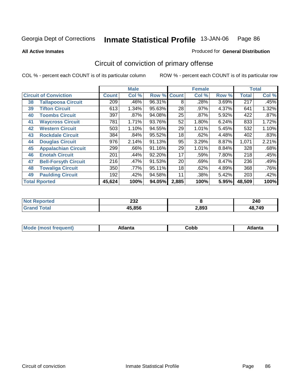**All Active Inmates**

## Produced for **General Distribution**

# Circuit of conviction of primary offense

|                              |                             |              | <b>Male</b> |                    |       | <b>Female</b> |       |              | <b>Total</b> |
|------------------------------|-----------------------------|--------------|-------------|--------------------|-------|---------------|-------|--------------|--------------|
| <b>Circuit of Conviction</b> |                             | <b>Count</b> | Col %       | <b>Row % Count</b> |       | Col %         | Row % | <b>Total</b> | Col %        |
| 38                           | <b>Tallapoosa Circuit</b>   | 209          | .46%        | 96.31%             | 8     | .28%          | 3.69% | 217          | .45%         |
| 39                           | <b>Tifton Circuit</b>       | 613          | 1.34%       | 95.63%             | 28    | .97%          | 4.37% | 641          | 1.32%        |
| 40                           | <b>Toombs Circuit</b>       | 397          | .87%        | 94.08%             | 25    | .87%          | 5.92% | 422          | .87%         |
| 41                           | <b>Waycross Circuit</b>     | 781          | 1.71%       | 93.76%             | 52    | 1.80%         | 6.24% | 833          | 1.72%        |
| 42                           | <b>Western Circuit</b>      | 503          | 1.10%       | 94.55%             | 29    | 1.01%         | 5.45% | 532          | 1.10%        |
| 43                           | <b>Rockdale Circuit</b>     | 384          | .84%        | 95.52%             | 18    | .62%          | 4.48% | 402          | .83%         |
| 44                           | <b>Douglas Circuit</b>      | 976          | 2.14%       | 91.13%             | 95    | 3.29%         | 8.87% | 1,071        | 2.21%        |
| 45                           | <b>Appalachian Circuit</b>  | 299          | .66%        | 91.16%             | 29    | 1.01%         | 8.84% | 328          | .68%         |
| 46                           | <b>Enotah Circuit</b>       | 201          | .44%        | 92.20%             | 17    | .59%          | 7.80% | 218          | .45%         |
| 47                           | <b>Bell-Forsyth Circuit</b> | 216          | .47%        | 91.53%             | 20    | .69%          | 8.47% | 236          | .49%         |
| 48                           | <b>Towaliga Circuit</b>     | 350          | .77%        | 95.11%             | 18    | .62%          | 4.89% | 368          | .76%         |
| 49                           | <b>Paulding Circuit</b>     | 192          | .42%        | 94.58%             | 11    | .38%          | 5.42% | 203          | .42%         |
|                              | <b>Total Rported</b>        | 45,624       | 100%        | 94.05%             | 2,885 | 100%          | 5.95% | 48,509       | 100%         |

| ∗ττeα⊹<br>NOT | າາາ<br>∠ა∠ |       | 240    |
|---------------|------------|-------|--------|
|               | 45,856     | 2,893 | 48,749 |

| M | --- | ∶obb<br>- - - - | Atlanta |
|---|-----|-----------------|---------|
|   |     |                 |         |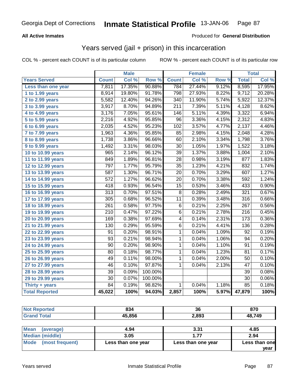## **All Active Inmates**

## Produced for **General Distribution**

## Years served (jail + prison) in this incarceration

|                              |                  | <b>Male</b> |         |                  | <b>Female</b> |       |                  | <b>Total</b> |
|------------------------------|------------------|-------------|---------|------------------|---------------|-------|------------------|--------------|
| <b>Years Served</b>          | <b>Count</b>     | Col %       | Row %   | <b>Count</b>     | Col %         | Row % | <b>Total</b>     | Col %        |
| Less than one year           | 7,811            | 17.35%      | 90.88%  | 784              | 27.44%        | 9.12% | 8,595            | 17.95%       |
| 1 to 1.99 years              | 8,914            | 19.80%      | 91.78%  | 798              | 27.93%        | 8.22% | 9,712            | 20.28%       |
| 2 to 2.99 years              | 5,582            | 12.40%      | 94.26%  | 340              | 11.90%        | 5.74% | 5,922            | 12.37%       |
| 3 to 3.99 years              | 3,917            | 8.70%       | 94.89%  | $\overline{211}$ | 7.39%         | 5.11% | 4,128            | 8.62%        |
| $\overline{4}$ to 4.99 years | 3,176            | 7.05%       | 95.61%  | 146              | 5.11%         | 4.39% | 3,322            | 6.94%        |
| 5 to 5.99 years              | 2,216            | 4.92%       | 95.85%  | $\overline{96}$  | 3.36%         | 4.15% | 2,312            | 4.83%        |
| 6 to 6.99 years              | 2,035            | 4.52%       | 95.23%  | $\overline{102}$ | 3.57%         | 4.77% | 2,137            | 4.46%        |
| $\overline{7}$ to 7.99 years | 1,963            | 4.36%       | 95.85%  | 85               | 2.98%         | 4.15% | 2,048            | 4.28%        |
| 8 to 8.99 years              | 1,738            | 3.86%       | 96.66%  | 60               | 2.10%         | 3.34% | 1,798            | 3.76%        |
| 9 to 9.99 years              | 1,492            | 3.31%       | 98.03%  | 30               | 1.05%         | 1.97% | 1,522            | 3.18%        |
| 10 to 10.99 years            | 965              | 2.14%       | 96.12%  | 39               | 1.37%         | 3.88% | 1,004            | 2.10%        |
| 11 to 11.99 years            | 849              | 1.89%       | 96.81%  | $\overline{28}$  | 0.98%         | 3.19% | 877              | 1.83%        |
| 12 to 12.99 years            | 797              | 1.77%       | 95.79%  | $\overline{35}$  | 1.23%         | 4.21% | 832              | 1.74%        |
| 13 to 13.99 years            | 587              | 1.30%       | 96.71%  | $\overline{20}$  | 0.70%         | 3.29% | 607              | 1.27%        |
| 14 to 14.99 years            | $\overline{572}$ | 1.27%       | 96.62%  | $\overline{20}$  | 0.70%         | 3.38% | 592              | 1.24%        |
| 15 to 15.99 years            | 418              | 0.93%       | 96.54%  | 15               | 0.53%         | 3.46% | 433              | 0.90%        |
| 16 to 16.99 years            | $\overline{313}$ | 0.70%       | 97.51%  | $\overline{8}$   | 0.28%         | 2.49% | 321              | 0.67%        |
| 17 to 17.99 years            | 305              | 0.68%       | 96.52%  | $\overline{11}$  | 0.39%         | 3.48% | 316              | 0.66%        |
| 18 to 18.99 years            | $\overline{261}$ | 0.58%       | 97.75%  | $\overline{6}$   | 0.21%         | 2.25% | $\overline{267}$ | 0.56%        |
| 19 to 19.99 years            | $\overline{210}$ | 0.47%       | 97.22%  | $\overline{6}$   | 0.21%         | 2.78% | $\overline{216}$ | 0.45%        |
| 20 to 20.99 years            | 169              | 0.38%       | 97.69%  | 4                | 0.14%         | 2.31% | 173              | 0.36%        |
| 21 to 21.99 years            | 130              | 0.29%       | 95.59%  | 6                | 0.21%         | 4.41% | 136              | 0.28%        |
| 22 to 22.99 years            | $\overline{91}$  | 0.20%       | 98.91%  | $\mathbf{1}$     | 0.04%         | 1.09% | $\overline{92}$  | 0.19%        |
| 23 to 23.99 years            | $\overline{93}$  | 0.21%       | 98.94%  | $\mathbf{1}$     | 0.04%         | 1.06% | $\overline{94}$  | 0.20%        |
| 24 to 24.99 years            | $\overline{90}$  | 0.20%       | 98.90%  | $\mathbf{1}$     | 0.04%         | 1.10% | 91               | 0.19%        |
| 25 to 25.99 years            | $\overline{80}$  | 0.18%       | 98.77%  | 1                | 0.04%         | 1.23% | $\overline{81}$  | 0.17%        |
| 26 to 26.99 years            | 49               | 0.11%       | 98.00%  | $\mathbf{1}$     | 0.04%         | 2.00% | 50               | 0.10%        |
| 27 to 27.99 years            | 46               | 0.10%       | 97.87%  | 1                | 0.04%         | 2.13% | $\overline{47}$  | 0.10%        |
| 28 to 28.99 years            | $\overline{39}$  | 0.09%       | 100.00% |                  |               |       | $\overline{39}$  | 0.08%        |
| 29 to 29.99 years            | 30               | 0.07%       | 100.00% |                  |               |       | 30               | 0.06%        |
| Thirty $+$ years             | $\overline{84}$  | 0.19%       | 98.82%  | $\mathbf{1}$     | 0.04%         | 1.18% | 85               | 0.18%        |
| <b>Total Reported</b>        | 45,022           | 100%        | 94.03%  | 2,857            | 100%          | 5.97% | 47,879           | 100%         |

| <b>Not Reported</b>      | 834    | 36    | 870    |
|--------------------------|--------|-------|--------|
| <b>Grand Total</b>       | 45,856 | 2,893 | 48,749 |
|                          |        |       |        |
| <b>Mean</b><br>(average) | 4.94   | 3.31  | 4.85   |
| $M$ odian (middlo)       | 2 U.E  | 4.77  | 201    |

| Median (middle)      | 3.05               |                    | 2.94          |
|----------------------|--------------------|--------------------|---------------|
| Mode (most frequent) | Less than one year | Less than one year | Less than one |
|                      |                    |                    | year          |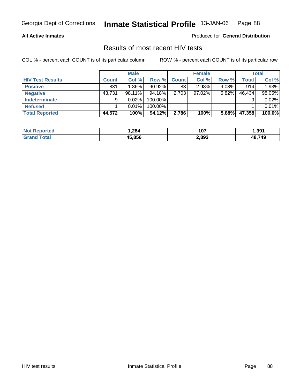### **All Active Inmates**

Produced for **General Distribution**

## Results of most recent HIV tests

|                         |              | <b>Male</b> |           |              | <b>Female</b> |          |        | Total  |
|-------------------------|--------------|-------------|-----------|--------------|---------------|----------|--------|--------|
| <b>HIV Test Results</b> | <b>Count</b> | Col %       | Row %     | <b>Count</b> | Col %         | Row %    | Total  | Col %  |
| <b>Positive</b>         | 831          | $1.86\%$    | $90.92\%$ | 83           | 2.98%         | $9.08\%$ | 914    | 1.93%  |
| <b>Negative</b>         | 43,731       | 98.11%      | 94.18%    | 2,703        | $97.02\%$     | 5.82%    | 46,434 | 98.05% |
| <b>Indeterminate</b>    | 9            | 0.02%       | 100.00%   |              |               |          |        | 0.02%  |
| <b>Refused</b>          |              | 0.01%       | 100.00%   |              |               |          |        | 0.01%  |
| <b>Total Reported</b>   | 44,572       | 100%        | 94.12%    | 2,786        | 100%          | 5.88%    | 47,358 | 100.0% |

| <b>Not Reported</b>   | .284   | 107   | 391. ا |
|-----------------------|--------|-------|--------|
| Total<br><b>Grand</b> | 45.856 | 2,893 | 48,749 |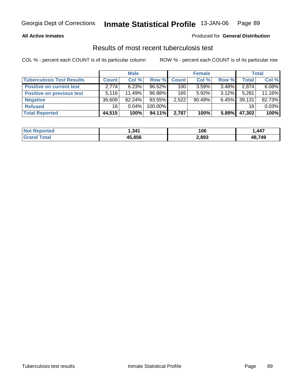## **All Active Inmates**

### Produced for **General Distribution**

## Results of most recent tuberculosis test

|                                  |              | <b>Male</b> |           |       | <b>Female</b> |          |        | <b>Total</b> |
|----------------------------------|--------------|-------------|-----------|-------|---------------|----------|--------|--------------|
| <b>Tuberculosis Test Results</b> | <b>Count</b> | Col %       | Row %     | Count | Col %         | Row %    | Total  | Col %        |
| <b>Positive on current test</b>  | 2.774        | 6.23%       | $96.52\%$ | 100   | 3.59%         | $3.48\%$ | 2,874  | 6.08%        |
| <b>Positive on previous test</b> | 5.116        | 11.49%      | 96.88%    | 165   | $5.92\%$      | $3.12\%$ | 5,281  | 11.16%       |
| <b>Negative</b>                  | 36,609       | 82.24%      | $93.55\%$ | 2,522 | 90.49%        | $6.45\%$ | 39,131 | 82.73%       |
| <b>Refused</b>                   | 16           | $0.04\%$    | 100.00%   |       |               |          | 16     | 0.03%        |
| <b>Total Reported</b>            | 44,515       | 100%        | 94.11%    | 2,787 | 100%          | 5.89%    | 47,302 | 100%         |

| <b>Not Reported</b> | .341   | 106   | ,447   |
|---------------------|--------|-------|--------|
| <b>Grand Total</b>  | 45.856 | 2,893 | 48,749 |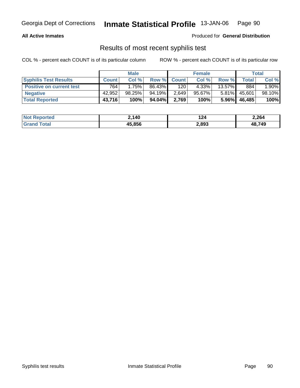## **All Active Inmates**

Produced for **General Distribution**

## Results of most recent syphilis test

|                                 | <b>Male</b>  |           |         |             | <b>Female</b> |           | Total  |         |
|---------------------------------|--------------|-----------|---------|-------------|---------------|-----------|--------|---------|
| <b>Syphilis Test Results</b>    | <b>Count</b> | Col %     |         | Row % Count | Col %         | Row %     | Total  | Col %   |
| <b>Positive on current test</b> | 764          | 1.75%     | 86.43%  | 120         | 4.33%         | $13.57\%$ | 884    | $.90\%$ |
| <b>Negative</b>                 | 42.952       | $98.25\%$ | 94.19%  | 2,649       | $95.67\%$     | $5.81\%$  | 45,601 | 98.10%  |
| <b>Total Reported</b>           | 43,716       | 100%      | 94.04%I | 2,769       | 100%          | $5.96\%$  | 46,485 | 100%    |

| <b>Not Reported</b> | 2,140  | 124   | 2,264  |
|---------------------|--------|-------|--------|
| <b>Grand Total</b>  | 45.856 | 2,893 | 48,749 |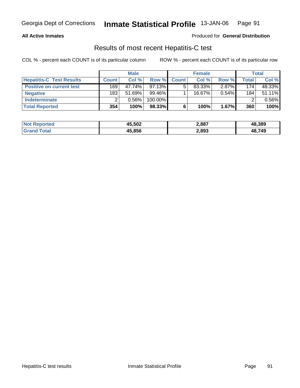## **All Active Inmates**

#### Produced for **General Distribution**

## Results of most recent Hepatitis-C test

|                                 |              | <b>Male</b> |            |              | <b>Female</b> |          |       | <b>Total</b> |
|---------------------------------|--------------|-------------|------------|--------------|---------------|----------|-------|--------------|
| <b>Hepatitis-C Test Results</b> | <b>Count</b> | Col %       | Row %      | <b>Count</b> | Col %         | Row %    | Total | Col %        |
| <b>Positive on current test</b> | 169          | 47.74%      | $97.13\%$  |              | 83.33%        | $2.87\%$ | 174   | 48.33%       |
| <b>Negative</b>                 | 183          | $51.69\%$   | 99.46%     |              | $16.67\%$     | $0.54\%$ | 184.  | 51.11%       |
| <b>Indeterminate</b>            |              | 0.56%       | $100.00\%$ |              |               |          |       | 0.56%        |
| <b>Total Reported</b>           | 354          | 100%        | 98.33%     |              | 100%          | 1.67%    | 360   | 100%         |

| <b>Not Reported</b> | 45,502 | 2,887 | 48,389 |
|---------------------|--------|-------|--------|
| Гоtal               | 45,856 | 2,893 | 48,749 |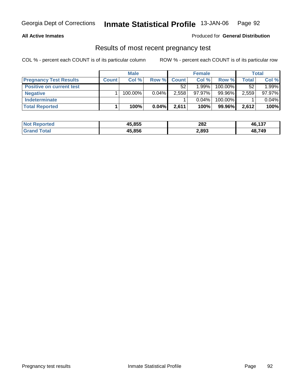## **All Active Inmates**

### Produced for **General Distribution**

## Results of most recent pregnancy test

|                                 | <b>Male</b>  |            | <b>Female</b> |              |           | Total   |       |        |
|---------------------------------|--------------|------------|---------------|--------------|-----------|---------|-------|--------|
| <b>Pregnancy Test Results</b>   | <b>Count</b> | Col %      | Row %         | <b>Count</b> | Col %     | Row %   | Total | Col %  |
| <b>Positive on current test</b> |              |            |               | 52           | $1.99\%$  | 100.00% | 52    | 1.99%  |
| <b>Negative</b>                 |              | $100.00\%$ | $0.04\%$      | 2,558        | $97.97\%$ | 99.96%  | 2,559 | 97.97% |
| <b>Indeterminate</b>            |              |            |               |              | $0.04\%$  | 100.00% |       | 0.04%  |
| <b>Total Reported</b>           |              | 100%       | $0.04\%$      | 2,611        | 100%      | 99.96%  | 2,612 | 100%   |

| <b>Not Reported</b> | 45,855 | 282   | 46,137 |
|---------------------|--------|-------|--------|
| <b>Grand Total</b>  | 45,856 | 2,893 | 48,749 |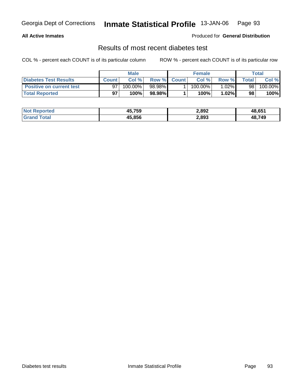## **All Active Inmates**

## Produced for **General Distribution**

## Results of most recent diabetes test

|                                 | Male         |         |         |             | <b>Female</b> |          |                | Total   |  |
|---------------------------------|--------------|---------|---------|-------------|---------------|----------|----------------|---------|--|
| Diabetes Test Results           | <b>Count</b> | Col %   |         | Row % Count | Col %         | Row %    | <b>Total</b> i | Col %   |  |
| <b>Positive on current test</b> |              | 100.00% | 98.98%I |             | $100.00\%$    | $1.02\%$ | 98             | 100.00% |  |
| <b>Total Reported</b>           | 97           | 100%    | 98.98%  |             | 100%          | 1.02%    | 98             | 100%    |  |

| <b>Not Reported</b> | 45,759 | 2,892 | 48,651 |
|---------------------|--------|-------|--------|
| <b>Srand Total</b>  | 45.856 | 2,893 | 48,749 |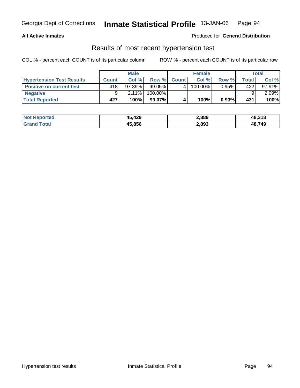## **All Active Inmates**

## Produced for **General Distribution**

## Results of most recent hypertension test

|                                  | <b>Male</b> |           |           |             | <b>Female</b> |          | Total  |           |
|----------------------------------|-------------|-----------|-----------|-------------|---------------|----------|--------|-----------|
| <b>Hypertension Test Results</b> | Count       | Col%      |           | Row % Count | Col%          | Row %    | Total, | Col %     |
| <b>Positive on current test</b>  | 418'        | $97.89\%$ | $99.05\%$ |             | 100.00%       | $0.95\%$ | 422    | $97.91\%$ |
| <b>Negative</b>                  |             | $2.11\%$  | 100.00%   |             |               |          |        | $2.09\%$  |
| <b>Total Reported</b>            | 427         | 100%      | $99.07\%$ |             | 100%          | 0.93%    | 431    | 100%      |

| <b>Not Reported</b> | 45,429 | 2,889 | 48,318 |
|---------------------|--------|-------|--------|
| <b>Grand Total</b>  | 45,856 | 2,893 | 48,749 |